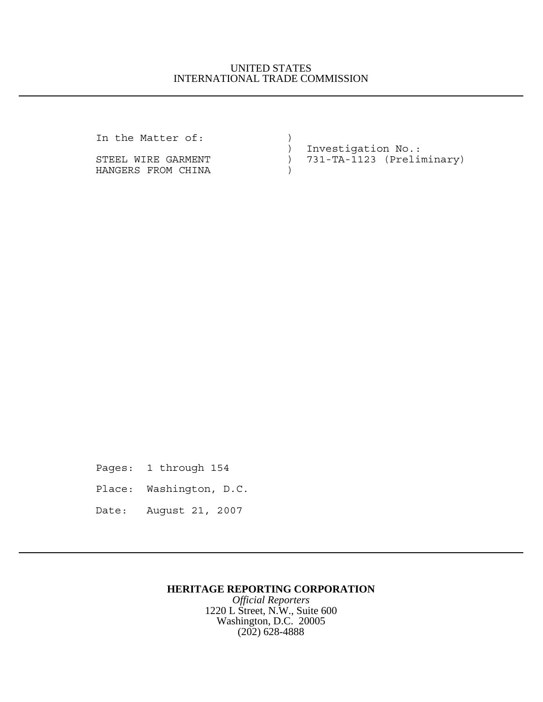### UNITED STATES INTERNATIONAL TRADE COMMISSION

In the Matter of:  $)$ 

HANGERS FROM CHINA (1999)

 ) Investigation No.: STEEL WIRE GARMENT (2008) 731-TA-1123 (Preliminary)

Pages: 1 through 154 Place: Washington, D.C. Date: August 21, 2007

## **HERITAGE REPORTING CORPORATION**

*Official Reporters* 1220 L Street, N.W., Suite 600 Washington, D.C. 20005 (202) 628-4888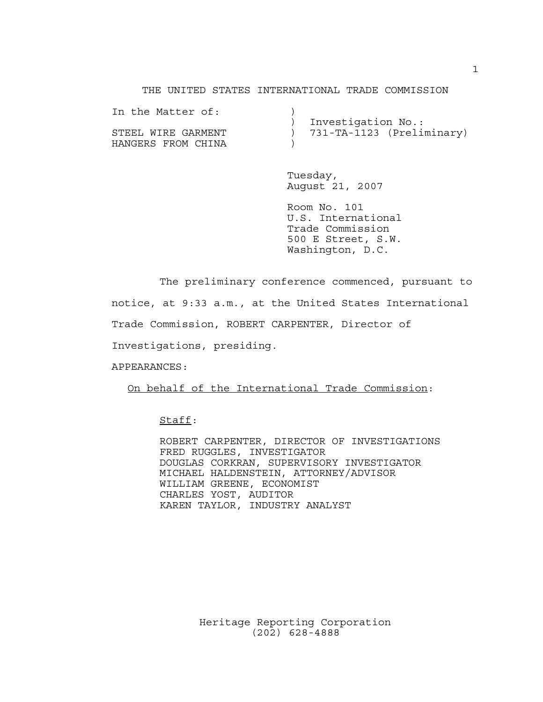#### THE UNITED STATES INTERNATIONAL TRADE COMMISSION

| In the Matter of:  |                             |
|--------------------|-----------------------------|
|                    | ) Investigation No.:        |
| STEEL WIRE GARMENT | ) 731-TA-1123 (Preliminary) |
| HANGERS FROM CHINA |                             |

Tuesday, August 21, 2007

Room No. 101 U.S. International Trade Commission 500 E Street, S.W. Washington, D.C.

The preliminary conference commenced, pursuant to notice, at 9:33 a.m., at the United States International Trade Commission, ROBERT CARPENTER, Director of Investigations, presiding.

APPEARANCES:

On behalf of the International Trade Commission:

## Staff:

ROBERT CARPENTER, DIRECTOR OF INVESTIGATIONS FRED RUGGLES, INVESTIGATOR DOUGLAS CORKRAN, SUPERVISORY INVESTIGATOR MICHAEL HALDENSTEIN, ATTORNEY/ADVISOR WILLIAM GREENE, ECONOMIST CHARLES YOST, AUDITOR KAREN TAYLOR, INDUSTRY ANALYST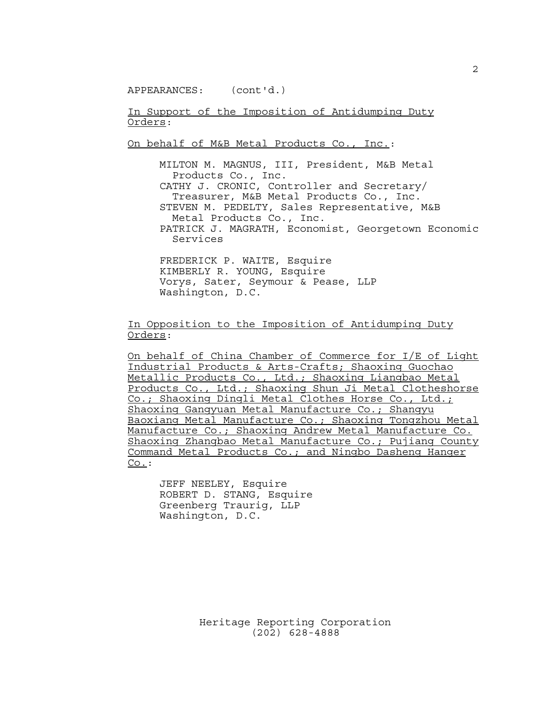APPEARANCES: (cont'd.)

In Support of the Imposition of Antidumping Duty Orders:

On behalf of M&B Metal Products Co., Inc.:

MILTON M. MAGNUS, III, President, M&B Metal Products Co., Inc. CATHY J. CRONIC, Controller and Secretary/ Treasurer, M&B Metal Products Co., Inc. STEVEN M. PEDELTY, Sales Representative, M&B Metal Products Co., Inc. PATRICK J. MAGRATH, Economist, Georgetown Economic Services

FREDERICK P. WAITE, Esquire KIMBERLY R. YOUNG, Esquire Vorys, Sater, Seymour & Pease, LLP Washington, D.C.

In Opposition to the Imposition of Antidumping Duty Orders:

On behalf of China Chamber of Commerce for I/E of Light Industrial Products & Arts-Crafts; Shaoxing Guochao Metallic Products Co., Ltd.; Shaoxing Liangbao Metal Products Co., Ltd.; Shaoxing Shun Ji Metal Clotheshorse Co.; Shaoxing Dingli Metal Clothes Horse Co., Ltd.; Shaoxing Gangyuan Metal Manufacture Co.; Shangyu Baoxiang Metal Manufacture Co.; Shaoxing Tongzhou Metal Manufacture Co.; Shaoxing Andrew Metal Manufacture Co. Shaoxing Zhangbao Metal Manufacture Co.; Pujiang County Command Metal Products Co.; and Ningbo Dasheng Hanger Co.:

JEFF NEELEY, Esquire ROBERT D. STANG, Esquire Greenberg Traurig, LLP Washington, D.C.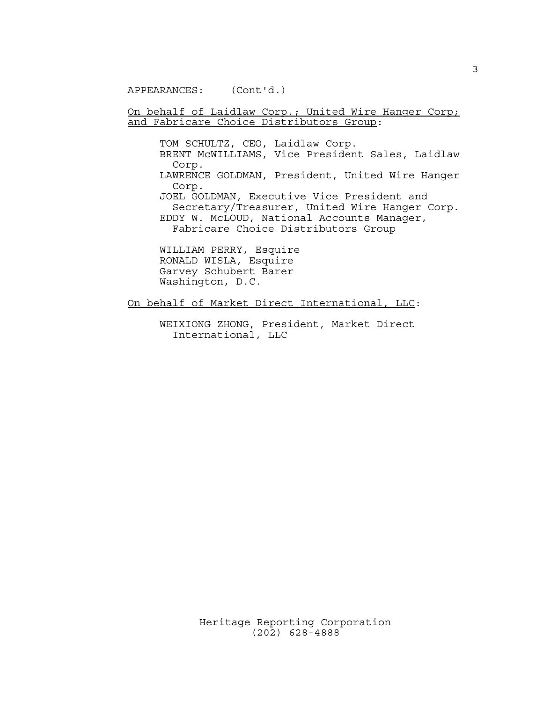APPEARANCES: (Cont'd.)

#### On behalf of Laidlaw Corp.; United Wire Hanger Corp; and Fabricare Choice Distributors Group:

TOM SCHULTZ, CEO, Laidlaw Corp. BRENT McWILLIAMS, Vice President Sales, Laidlaw Corp. LAWRENCE GOLDMAN, President, United Wire Hanger Corp. JOEL GOLDMAN, Executive Vice President and Secretary/Treasurer, United Wire Hanger Corp. EDDY W. McLOUD, National Accounts Manager, Fabricare Choice Distributors Group

WILLIAM PERRY, Esquire RONALD WISLA, Esquire Garvey Schubert Barer Washington, D.C.

On behalf of Market Direct International, LLC:

WEIXIONG ZHONG, President, Market Direct International, LLC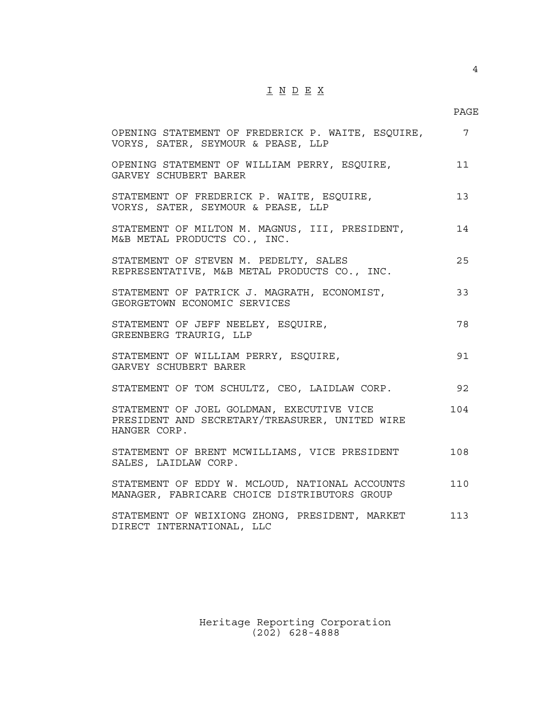# $\underline{\texttt{I}} \underline{\texttt{N}} \underline{\texttt{D}} \underline{\texttt{E}} \underline{\texttt{X}}$

| OPENING STATEMENT OF FREDERICK P. WAITE, ESQUIRE,<br>VORYS, SATER, SEYMOUR & PEASE, LLP                     | $7\phantom{.0}$ |
|-------------------------------------------------------------------------------------------------------------|-----------------|
| OPENING STATEMENT OF WILLIAM PERRY, ESQUIRE,<br>GARVEY SCHUBERT BARER                                       | 11              |
| STATEMENT OF FREDERICK P. WAITE, ESQUIRE,<br>VORYS, SATER, SEYMOUR & PEASE, LLP                             | 13              |
| STATEMENT OF MILTON M. MAGNUS, III, PRESIDENT,<br>M&B METAL PRODUCTS CO., INC.                              | 14              |
| STATEMENT OF STEVEN M. PEDELTY, SALES<br>REPRESENTATIVE, M&B METAL PRODUCTS CO., INC.                       | 25              |
| STATEMENT OF PATRICK J. MAGRATH, ECONOMIST,<br>GEORGETOWN ECONOMIC SERVICES                                 | 33              |
| STATEMENT OF JEFF NEELEY, ESQUIRE,<br>GREENBERG TRAURIG, LLP                                                | 78              |
| STATEMENT OF WILLIAM PERRY, ESQUIRE,<br>GARVEY SCHUBERT BARER                                               | 91              |
| STATEMENT OF TOM SCHULTZ, CEO, LAIDLAW CORP.                                                                | 92              |
| STATEMENT OF JOEL GOLDMAN, EXECUTIVE VICE<br>PRESIDENT AND SECRETARY/TREASURER, UNITED WIRE<br>HANGER CORP. | 104             |
| STATEMENT OF BRENT MCWILLIAMS, VICE PRESIDENT<br>SALES, LAIDLAW CORP.                                       | 108             |
| STATEMENT OF EDDY W. MCLOUD, NATIONAL ACCOUNTS<br>MANAGER, FABRICARE CHOICE DISTRIBUTORS GROUP              | 110             |
| STATEMENT OF WEIXIONG ZHONG, PRESIDENT, MARKET<br>DIRECT INTERNATIONAL, LLC                                 | 113             |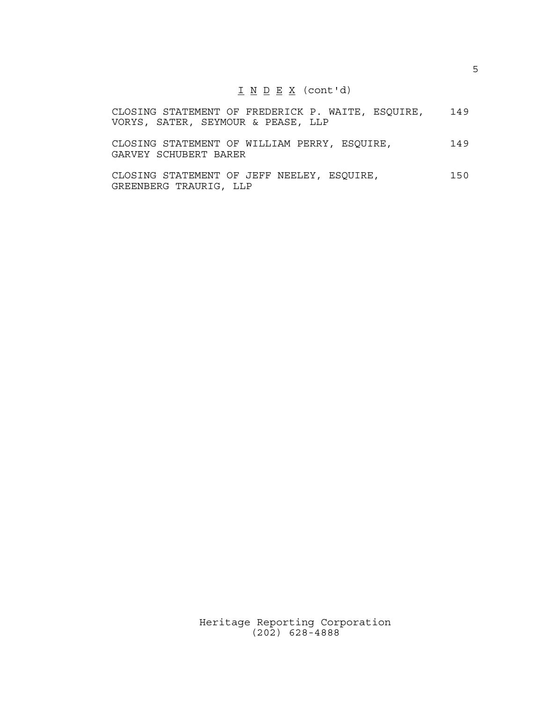#### $I N D E X (cont'd)$

|  |  |                                    |  | CLOSING STATEMENT OF FREDERICK P. WAITE, ESQUIRE, | 149 |
|--|--|------------------------------------|--|---------------------------------------------------|-----|
|  |  | VORYS, SATER, SEYMOUR & PEASE, LLP |  |                                                   |     |

CLOSING STATEMENT OF WILLIAM PERRY, ESQUIRE, 149 GARVEY SCHUBERT BARER

CLOSING STATEMENT OF JEFF NEELEY, ESQUIRE, 150 GREENBERG TRAURIG, LLP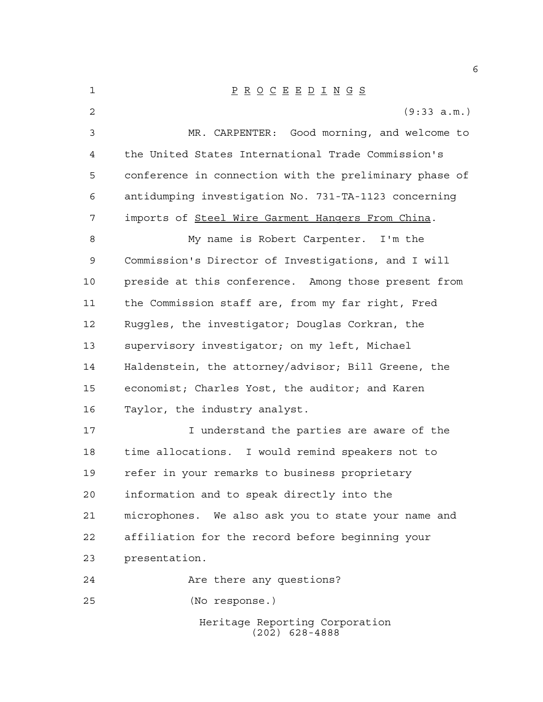Heritage Reporting Corporation (202) 628-4888 P R O C E E D I N G S (9:33 a.m.) MR. CARPENTER: Good morning, and welcome to the United States International Trade Commission's conference in connection with the preliminary phase of antidumping investigation No. 731-TA-1123 concerning imports of Steel Wire Garment Hangers From China. My name is Robert Carpenter. I'm the Commission's Director of Investigations, and I will preside at this conference. Among those present from the Commission staff are, from my far right, Fred Ruggles, the investigator; Douglas Corkran, the supervisory investigator; on my left, Michael Haldenstein, the attorney/advisor; Bill Greene, the economist; Charles Yost, the auditor; and Karen Taylor, the industry analyst. I understand the parties are aware of the time allocations. I would remind speakers not to refer in your remarks to business proprietary information and to speak directly into the microphones. We also ask you to state your name and affiliation for the record before beginning your presentation. Are there any questions? (No response.)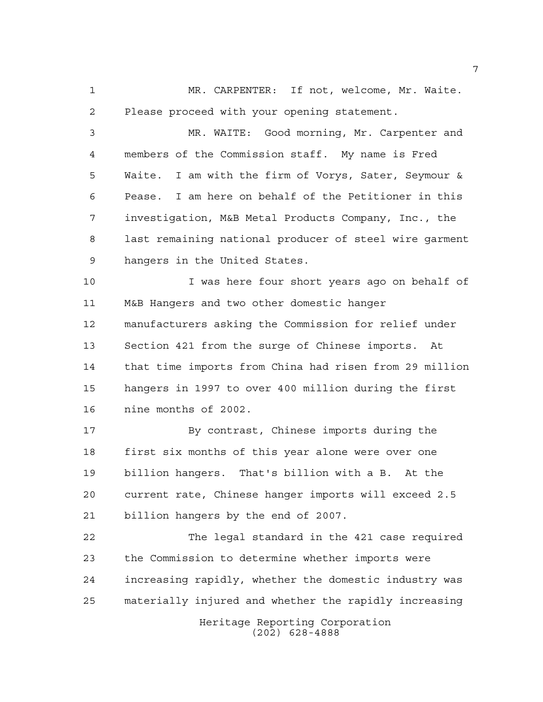MR. CARPENTER: If not, welcome, Mr. Waite. Please proceed with your opening statement.

 MR. WAITE: Good morning, Mr. Carpenter and members of the Commission staff. My name is Fred Waite. I am with the firm of Vorys, Sater, Seymour & Pease. I am here on behalf of the Petitioner in this investigation, M&B Metal Products Company, Inc., the last remaining national producer of steel wire garment hangers in the United States.

 I was here four short years ago on behalf of M&B Hangers and two other domestic hanger manufacturers asking the Commission for relief under Section 421 from the surge of Chinese imports. At that time imports from China had risen from 29 million hangers in 1997 to over 400 million during the first nine months of 2002.

 By contrast, Chinese imports during the first six months of this year alone were over one billion hangers. That's billion with a B. At the current rate, Chinese hanger imports will exceed 2.5 billion hangers by the end of 2007.

 The legal standard in the 421 case required the Commission to determine whether imports were increasing rapidly, whether the domestic industry was materially injured and whether the rapidly increasing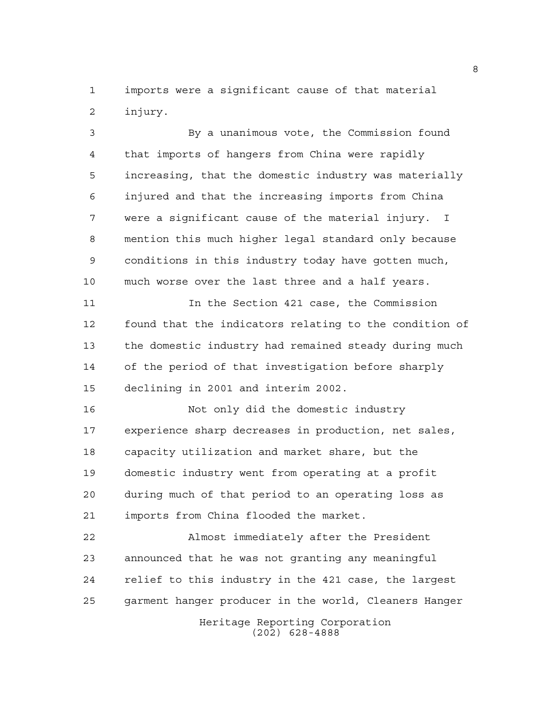imports were a significant cause of that material injury.

 By a unanimous vote, the Commission found that imports of hangers from China were rapidly increasing, that the domestic industry was materially injured and that the increasing imports from China were a significant cause of the material injury. I mention this much higher legal standard only because conditions in this industry today have gotten much, much worse over the last three and a half years.

 In the Section 421 case, the Commission found that the indicators relating to the condition of the domestic industry had remained steady during much of the period of that investigation before sharply declining in 2001 and interim 2002.

 Not only did the domestic industry experience sharp decreases in production, net sales, capacity utilization and market share, but the domestic industry went from operating at a profit during much of that period to an operating loss as imports from China flooded the market.

 Almost immediately after the President announced that he was not granting any meaningful relief to this industry in the 421 case, the largest garment hanger producer in the world, Cleaners Hanger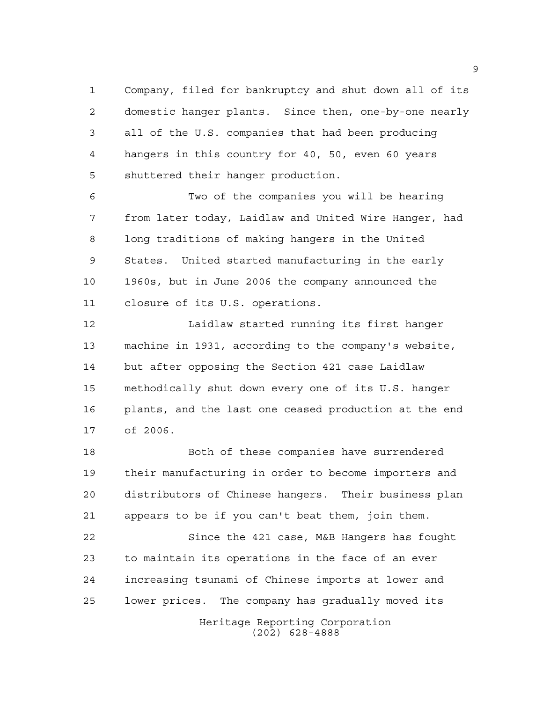Company, filed for bankruptcy and shut down all of its domestic hanger plants. Since then, one-by-one nearly all of the U.S. companies that had been producing hangers in this country for 40, 50, even 60 years shuttered their hanger production.

 Two of the companies you will be hearing from later today, Laidlaw and United Wire Hanger, had long traditions of making hangers in the United States. United started manufacturing in the early 1960s, but in June 2006 the company announced the closure of its U.S. operations.

 Laidlaw started running its first hanger machine in 1931, according to the company's website, but after opposing the Section 421 case Laidlaw methodically shut down every one of its U.S. hanger plants, and the last one ceased production at the end of 2006.

 Both of these companies have surrendered their manufacturing in order to become importers and distributors of Chinese hangers. Their business plan appears to be if you can't beat them, join them.

Heritage Reporting Corporation Since the 421 case, M&B Hangers has fought to maintain its operations in the face of an ever increasing tsunami of Chinese imports at lower and lower prices. The company has gradually moved its

(202) 628-4888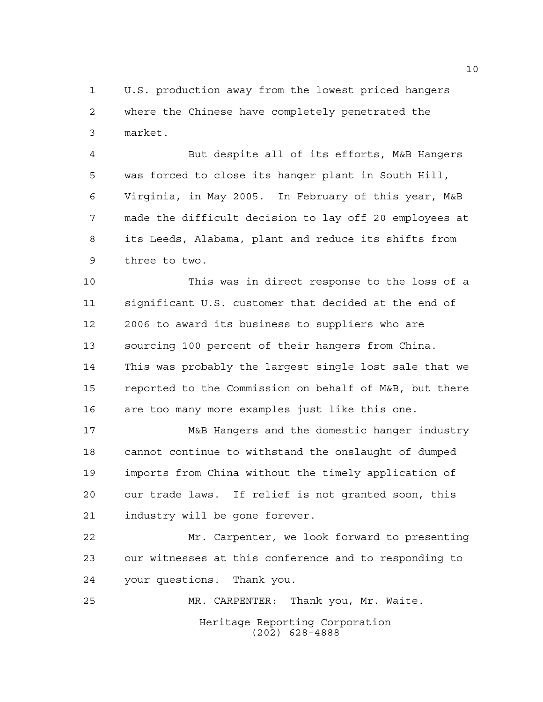U.S. production away from the lowest priced hangers where the Chinese have completely penetrated the market.

 But despite all of its efforts, M&B Hangers was forced to close its hanger plant in South Hill, Virginia, in May 2005. In February of this year, M&B made the difficult decision to lay off 20 employees at its Leeds, Alabama, plant and reduce its shifts from three to two.

 This was in direct response to the loss of a significant U.S. customer that decided at the end of 2006 to award its business to suppliers who are sourcing 100 percent of their hangers from China. This was probably the largest single lost sale that we reported to the Commission on behalf of M&B, but there are too many more examples just like this one.

 M&B Hangers and the domestic hanger industry cannot continue to withstand the onslaught of dumped imports from China without the timely application of our trade laws. If relief is not granted soon, this industry will be gone forever.

 Mr. Carpenter, we look forward to presenting our witnesses at this conference and to responding to your questions. Thank you.

Heritage Reporting Corporation (202) 628-4888 MR. CARPENTER: Thank you, Mr. Waite.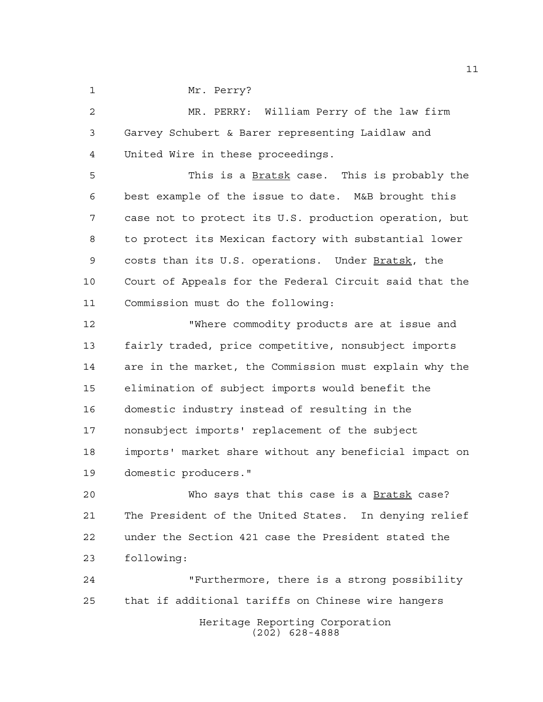1 Mr. Perry?

 MR. PERRY: William Perry of the law firm Garvey Schubert & Barer representing Laidlaw and United Wire in these proceedings.

5 This is a **Bratsk** case. This is probably the best example of the issue to date. M&B brought this case not to protect its U.S. production operation, but to protect its Mexican factory with substantial lower costs than its U.S. operations. Under Bratsk, the Court of Appeals for the Federal Circuit said that the Commission must do the following:

 "Where commodity products are at issue and fairly traded, price competitive, nonsubject imports are in the market, the Commission must explain why the elimination of subject imports would benefit the domestic industry instead of resulting in the nonsubject imports' replacement of the subject imports' market share without any beneficial impact on domestic producers."

 Who says that this case is a Bratsk case? The President of the United States. In denying relief under the Section 421 case the President stated the following:

Heritage Reporting Corporation (202) 628-4888 "Furthermore, there is a strong possibility that if additional tariffs on Chinese wire hangers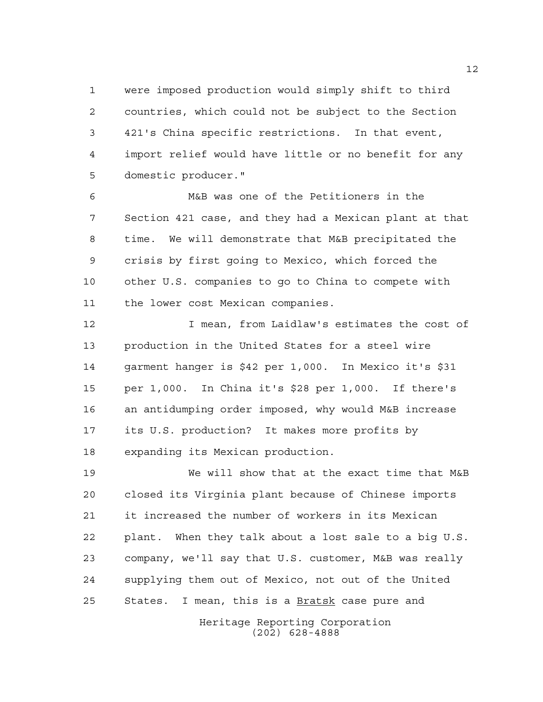were imposed production would simply shift to third countries, which could not be subject to the Section 421's China specific restrictions. In that event, import relief would have little or no benefit for any domestic producer."

 M&B was one of the Petitioners in the Section 421 case, and they had a Mexican plant at that time. We will demonstrate that M&B precipitated the crisis by first going to Mexico, which forced the other U.S. companies to go to China to compete with the lower cost Mexican companies.

 I mean, from Laidlaw's estimates the cost of production in the United States for a steel wire garment hanger is \$42 per 1,000. In Mexico it's \$31 per 1,000. In China it's \$28 per 1,000. If there's an antidumping order imposed, why would M&B increase its U.S. production? It makes more profits by expanding its Mexican production.

 We will show that at the exact time that M&B closed its Virginia plant because of Chinese imports it increased the number of workers in its Mexican plant. When they talk about a lost sale to a big U.S. company, we'll say that U.S. customer, M&B was really supplying them out of Mexico, not out of the United States. I mean, this is a Bratsk case pure and

> Heritage Reporting Corporation (202) 628-4888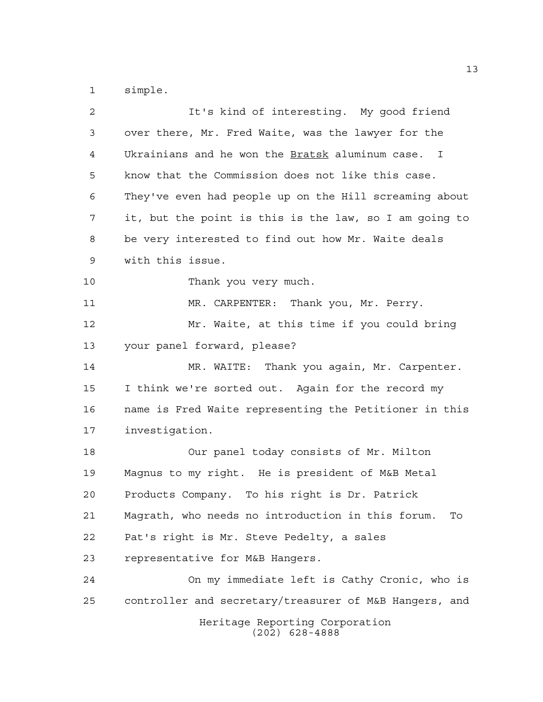simple.

| $\overline{a}$ | It's kind of interesting. My good friend                |
|----------------|---------------------------------------------------------|
| 3              | over there, Mr. Fred Waite, was the lawyer for the      |
| 4              | Ukrainians and he won the Bratsk aluminum case. I       |
| 5              | know that the Commission does not like this case.       |
| 6              | They've even had people up on the Hill screaming about  |
| 7              | it, but the point is this is the law, so I am going to  |
| 8              | be very interested to find out how Mr. Waite deals      |
| 9              | with this issue.                                        |
| $10$           | Thank you very much.                                    |
| 11             | MR. CARPENTER: Thank you, Mr. Perry.                    |
| 12             | Mr. Waite, at this time if you could bring              |
| 13             | your panel forward, please?                             |
| 14             | MR. WAITE: Thank you again, Mr. Carpenter.              |
| 15             | I think we're sorted out. Again for the record my       |
| 16             | name is Fred Waite representing the Petitioner in this  |
| 17             | investigation.                                          |
| 18             | Our panel today consists of Mr. Milton                  |
| 19             | Magnus to my right. He is president of M&B Metal        |
| 20             | Products Company. To his right is Dr. Patrick           |
| 21             | Magrath, who needs no introduction in this forum.<br>To |
| 22             | Pat's right is Mr. Steve Pedelty, a sales               |
| 23             | representative for M&B Hangers.                         |
| 24             | On my immediate left is Cathy Cronic, who is            |
| 25             | controller and secretary/treasurer of M&B Hangers, and  |
|                | Heritage Reporting Corporation<br>$(202)$ 628-4888      |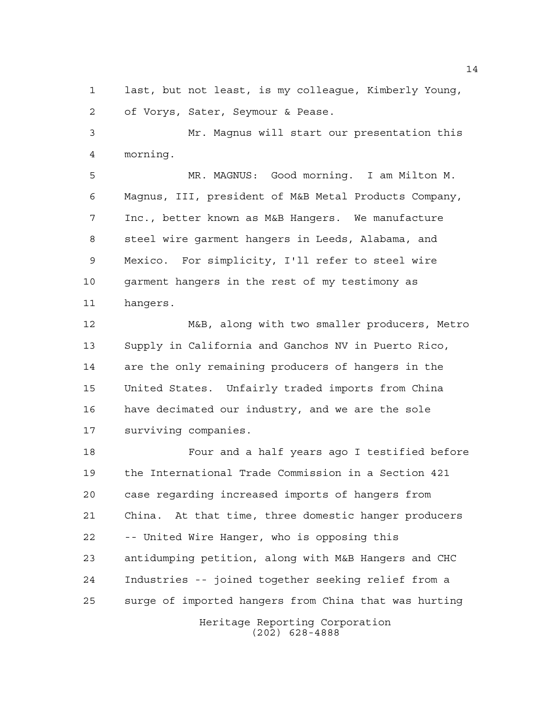last, but not least, is my colleague, Kimberly Young, of Vorys, Sater, Seymour & Pease.

 Mr. Magnus will start our presentation this morning.

 MR. MAGNUS: Good morning. I am Milton M. Magnus, III, president of M&B Metal Products Company, Inc., better known as M&B Hangers. We manufacture steel wire garment hangers in Leeds, Alabama, and Mexico. For simplicity, I'll refer to steel wire garment hangers in the rest of my testimony as hangers.

 M&B, along with two smaller producers, Metro Supply in California and Ganchos NV in Puerto Rico, are the only remaining producers of hangers in the United States. Unfairly traded imports from China have decimated our industry, and we are the sole surviving companies.

 Four and a half years ago I testified before the International Trade Commission in a Section 421 case regarding increased imports of hangers from China. At that time, three domestic hanger producers -- United Wire Hanger, who is opposing this antidumping petition, along with M&B Hangers and CHC Industries -- joined together seeking relief from a surge of imported hangers from China that was hurting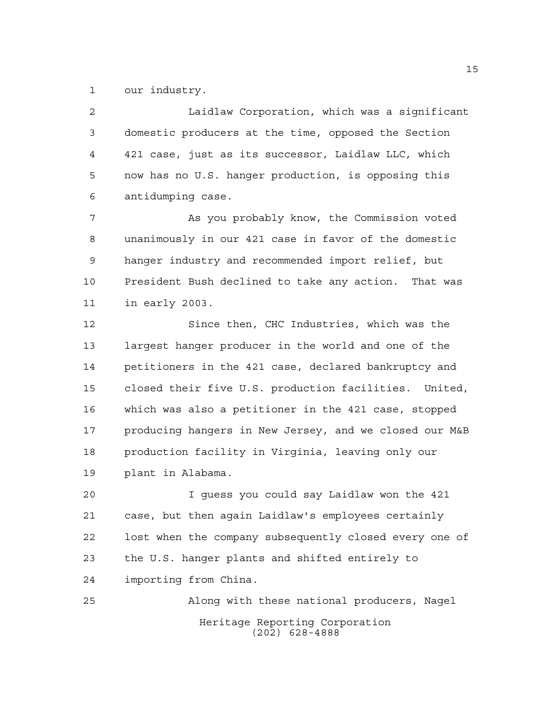our industry.

 Laidlaw Corporation, which was a significant domestic producers at the time, opposed the Section 421 case, just as its successor, Laidlaw LLC, which now has no U.S. hanger production, is opposing this antidumping case.

 As you probably know, the Commission voted unanimously in our 421 case in favor of the domestic hanger industry and recommended import relief, but President Bush declined to take any action. That was in early 2003.

 Since then, CHC Industries, which was the largest hanger producer in the world and one of the petitioners in the 421 case, declared bankruptcy and closed their five U.S. production facilities. United, which was also a petitioner in the 421 case, stopped producing hangers in New Jersey, and we closed our M&B production facility in Virginia, leaving only our plant in Alabama.

 I guess you could say Laidlaw won the 421 case, but then again Laidlaw's employees certainly lost when the company subsequently closed every one of the U.S. hanger plants and shifted entirely to importing from China.

Heritage Reporting Corporation (202) 628-4888 Along with these national producers, Nagel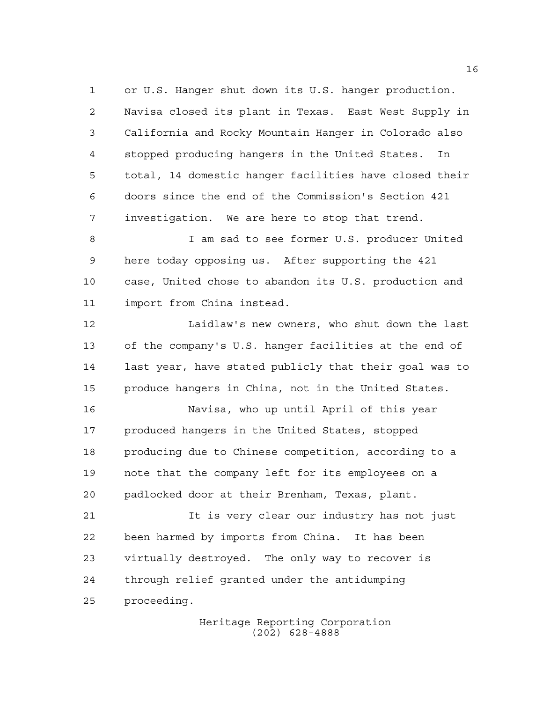or U.S. Hanger shut down its U.S. hanger production. Navisa closed its plant in Texas. East West Supply in California and Rocky Mountain Hanger in Colorado also stopped producing hangers in the United States. In total, 14 domestic hanger facilities have closed their doors since the end of the Commission's Section 421 investigation. We are here to stop that trend.

 I am sad to see former U.S. producer United here today opposing us. After supporting the 421 case, United chose to abandon its U.S. production and import from China instead.

 Laidlaw's new owners, who shut down the last of the company's U.S. hanger facilities at the end of last year, have stated publicly that their goal was to produce hangers in China, not in the United States.

 Navisa, who up until April of this year produced hangers in the United States, stopped producing due to Chinese competition, according to a note that the company left for its employees on a padlocked door at their Brenham, Texas, plant.

 It is very clear our industry has not just been harmed by imports from China. It has been virtually destroyed. The only way to recover is through relief granted under the antidumping proceeding.

> Heritage Reporting Corporation (202) 628-4888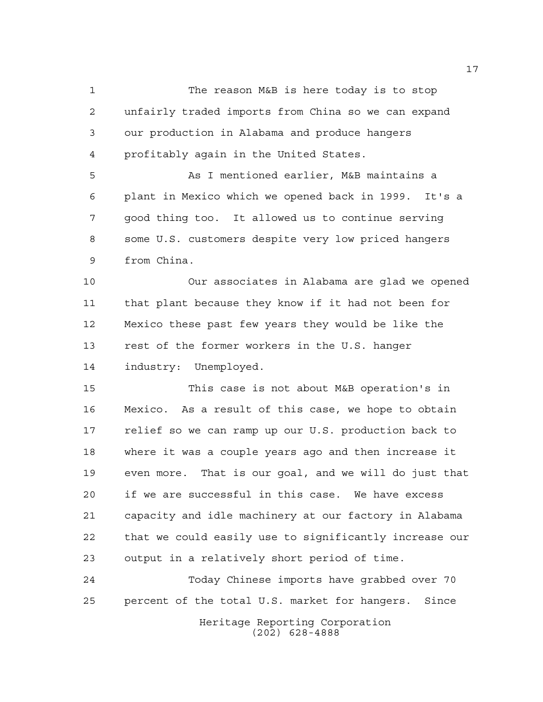The reason M&B is here today is to stop unfairly traded imports from China so we can expand our production in Alabama and produce hangers profitably again in the United States.

 As I mentioned earlier, M&B maintains a plant in Mexico which we opened back in 1999. It's a good thing too. It allowed us to continue serving some U.S. customers despite very low priced hangers from China.

 Our associates in Alabama are glad we opened that plant because they know if it had not been for Mexico these past few years they would be like the rest of the former workers in the U.S. hanger industry: Unemployed.

 This case is not about M&B operation's in Mexico. As a result of this case, we hope to obtain relief so we can ramp up our U.S. production back to where it was a couple years ago and then increase it even more. That is our goal, and we will do just that if we are successful in this case. We have excess capacity and idle machinery at our factory in Alabama that we could easily use to significantly increase our output in a relatively short period of time.

Heritage Reporting Corporation Today Chinese imports have grabbed over 70 percent of the total U.S. market for hangers. Since

(202) 628-4888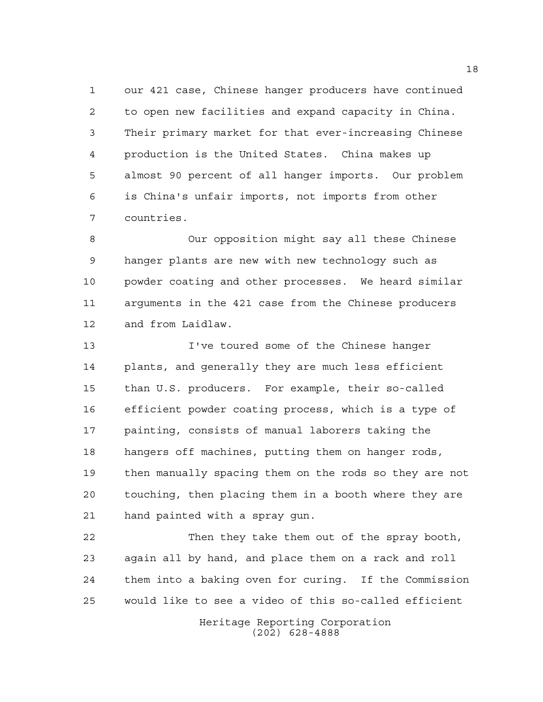our 421 case, Chinese hanger producers have continued to open new facilities and expand capacity in China. Their primary market for that ever-increasing Chinese production is the United States. China makes up almost 90 percent of all hanger imports. Our problem is China's unfair imports, not imports from other countries.

 Our opposition might say all these Chinese hanger plants are new with new technology such as powder coating and other processes. We heard similar arguments in the 421 case from the Chinese producers and from Laidlaw.

 I've toured some of the Chinese hanger plants, and generally they are much less efficient than U.S. producers. For example, their so-called efficient powder coating process, which is a type of painting, consists of manual laborers taking the hangers off machines, putting them on hanger rods, then manually spacing them on the rods so they are not touching, then placing them in a booth where they are hand painted with a spray gun.

 Then they take them out of the spray booth, again all by hand, and place them on a rack and roll them into a baking oven for curing. If the Commission would like to see a video of this so-called efficient

> Heritage Reporting Corporation (202) 628-4888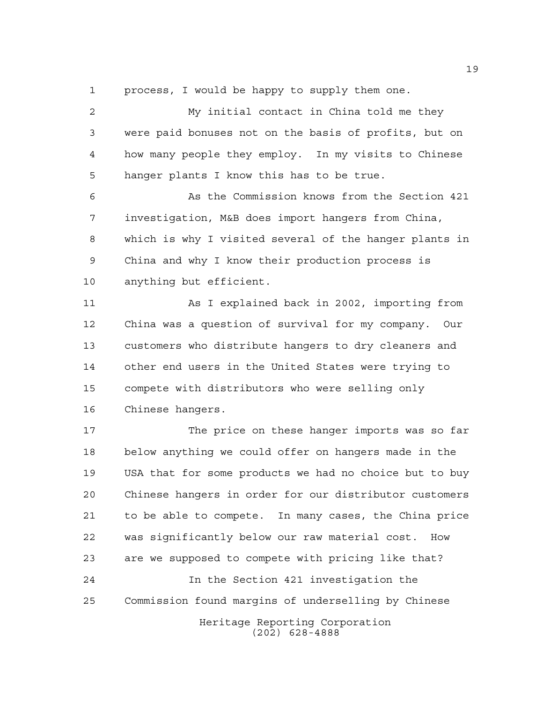process, I would be happy to supply them one.

 My initial contact in China told me they were paid bonuses not on the basis of profits, but on how many people they employ. In my visits to Chinese hanger plants I know this has to be true.

 As the Commission knows from the Section 421 investigation, M&B does import hangers from China, which is why I visited several of the hanger plants in China and why I know their production process is anything but efficient.

 As I explained back in 2002, importing from China was a question of survival for my company. Our customers who distribute hangers to dry cleaners and other end users in the United States were trying to compete with distributors who were selling only Chinese hangers.

 The price on these hanger imports was so far below anything we could offer on hangers made in the USA that for some products we had no choice but to buy Chinese hangers in order for our distributor customers to be able to compete. In many cases, the China price was significantly below our raw material cost. How are we supposed to compete with pricing like that? In the Section 421 investigation the

Commission found margins of underselling by Chinese

Heritage Reporting Corporation (202) 628-4888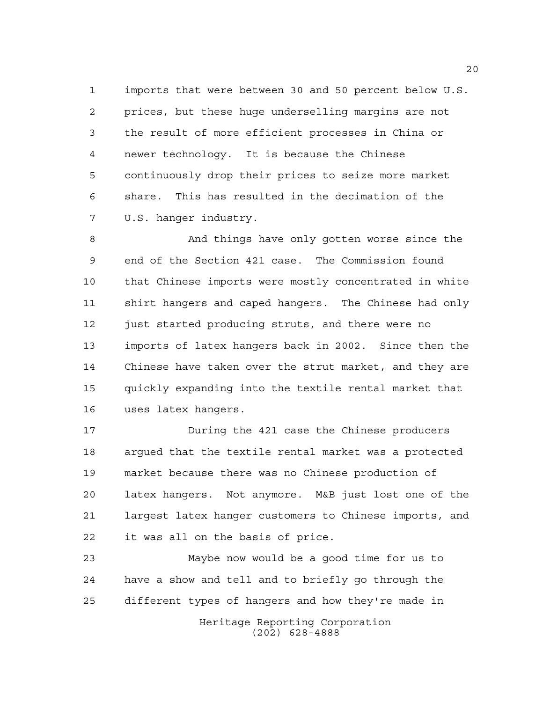imports that were between 30 and 50 percent below U.S. prices, but these huge underselling margins are not the result of more efficient processes in China or newer technology. It is because the Chinese continuously drop their prices to seize more market share. This has resulted in the decimation of the U.S. hanger industry.

 And things have only gotten worse since the end of the Section 421 case. The Commission found that Chinese imports were mostly concentrated in white shirt hangers and caped hangers. The Chinese had only just started producing struts, and there were no imports of latex hangers back in 2002. Since then the Chinese have taken over the strut market, and they are quickly expanding into the textile rental market that uses latex hangers.

 During the 421 case the Chinese producers argued that the textile rental market was a protected market because there was no Chinese production of latex hangers. Not anymore. M&B just lost one of the largest latex hanger customers to Chinese imports, and it was all on the basis of price.

 Maybe now would be a good time for us to have a show and tell and to briefly go through the different types of hangers and how they're made in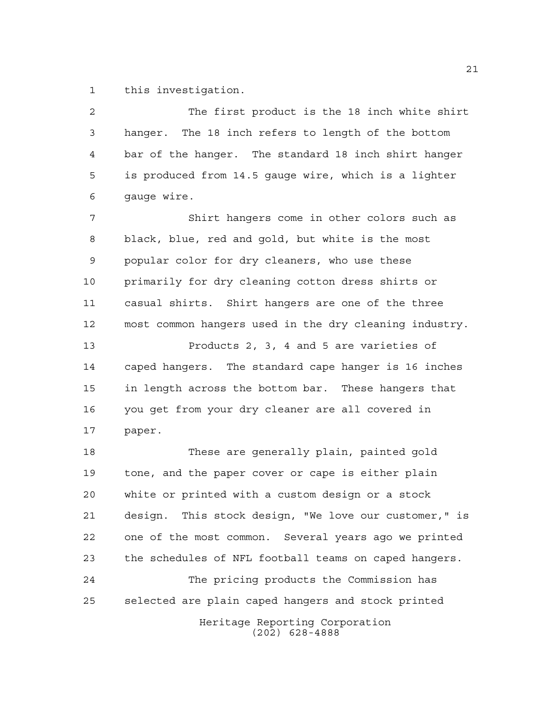this investigation.

 The first product is the 18 inch white shirt hanger. The 18 inch refers to length of the bottom bar of the hanger. The standard 18 inch shirt hanger is produced from 14.5 gauge wire, which is a lighter gauge wire. Shirt hangers come in other colors such as black, blue, red and gold, but white is the most popular color for dry cleaners, who use these primarily for dry cleaning cotton dress shirts or casual shirts. Shirt hangers are one of the three most common hangers used in the dry cleaning industry. Products 2, 3, 4 and 5 are varieties of caped hangers. The standard cape hanger is 16 inches in length across the bottom bar. These hangers that you get from your dry cleaner are all covered in

paper.

 These are generally plain, painted gold tone, and the paper cover or cape is either plain white or printed with a custom design or a stock design. This stock design, "We love our customer," is one of the most common. Several years ago we printed the schedules of NFL football teams on caped hangers. The pricing products the Commission has

selected are plain caped hangers and stock printed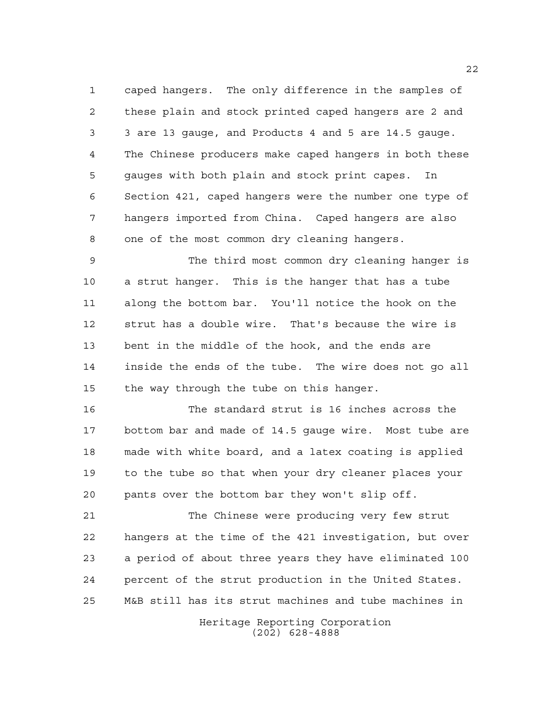caped hangers. The only difference in the samples of these plain and stock printed caped hangers are 2 and 3 are 13 gauge, and Products 4 and 5 are 14.5 gauge. The Chinese producers make caped hangers in both these gauges with both plain and stock print capes. In Section 421, caped hangers were the number one type of hangers imported from China. Caped hangers are also one of the most common dry cleaning hangers.

 The third most common dry cleaning hanger is a strut hanger. This is the hanger that has a tube along the bottom bar. You'll notice the hook on the strut has a double wire. That's because the wire is bent in the middle of the hook, and the ends are inside the ends of the tube. The wire does not go all the way through the tube on this hanger.

 The standard strut is 16 inches across the bottom bar and made of 14.5 gauge wire. Most tube are made with white board, and a latex coating is applied to the tube so that when your dry cleaner places your pants over the bottom bar they won't slip off.

 The Chinese were producing very few strut hangers at the time of the 421 investigation, but over a period of about three years they have eliminated 100 percent of the strut production in the United States. M&B still has its strut machines and tube machines in

> Heritage Reporting Corporation (202) 628-4888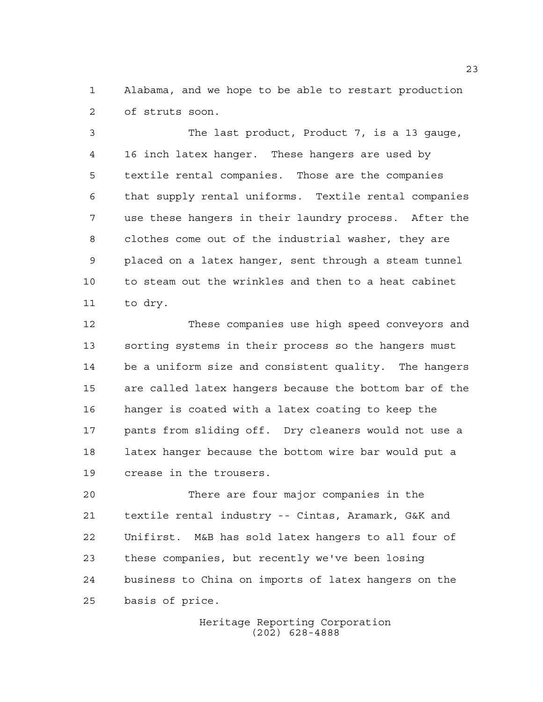Alabama, and we hope to be able to restart production of struts soon.

 The last product, Product 7, is a 13 gauge, 16 inch latex hanger. These hangers are used by textile rental companies. Those are the companies that supply rental uniforms. Textile rental companies use these hangers in their laundry process. After the clothes come out of the industrial washer, they are placed on a latex hanger, sent through a steam tunnel to steam out the wrinkles and then to a heat cabinet to dry.

 These companies use high speed conveyors and sorting systems in their process so the hangers must be a uniform size and consistent quality. The hangers are called latex hangers because the bottom bar of the hanger is coated with a latex coating to keep the pants from sliding off. Dry cleaners would not use a latex hanger because the bottom wire bar would put a crease in the trousers.

 There are four major companies in the textile rental industry -- Cintas, Aramark, G&K and Unifirst. M&B has sold latex hangers to all four of these companies, but recently we've been losing business to China on imports of latex hangers on the basis of price.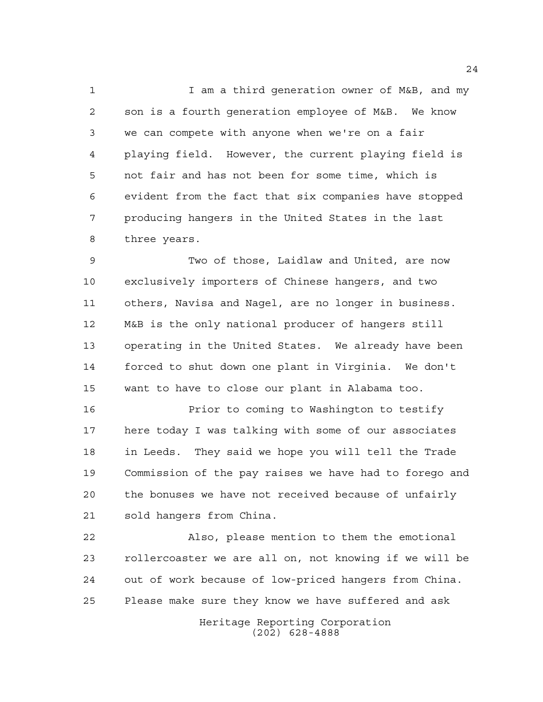1 I am a third generation owner of M&B, and my son is a fourth generation employee of M&B. We know we can compete with anyone when we're on a fair playing field. However, the current playing field is not fair and has not been for some time, which is evident from the fact that six companies have stopped producing hangers in the United States in the last three years.

 Two of those, Laidlaw and United, are now exclusively importers of Chinese hangers, and two others, Navisa and Nagel, are no longer in business. M&B is the only national producer of hangers still operating in the United States. We already have been forced to shut down one plant in Virginia. We don't want to have to close our plant in Alabama too.

 Prior to coming to Washington to testify here today I was talking with some of our associates in Leeds. They said we hope you will tell the Trade Commission of the pay raises we have had to forego and the bonuses we have not received because of unfairly sold hangers from China.

 Also, please mention to them the emotional rollercoaster we are all on, not knowing if we will be out of work because of low-priced hangers from China. Please make sure they know we have suffered and ask

> Heritage Reporting Corporation (202) 628-4888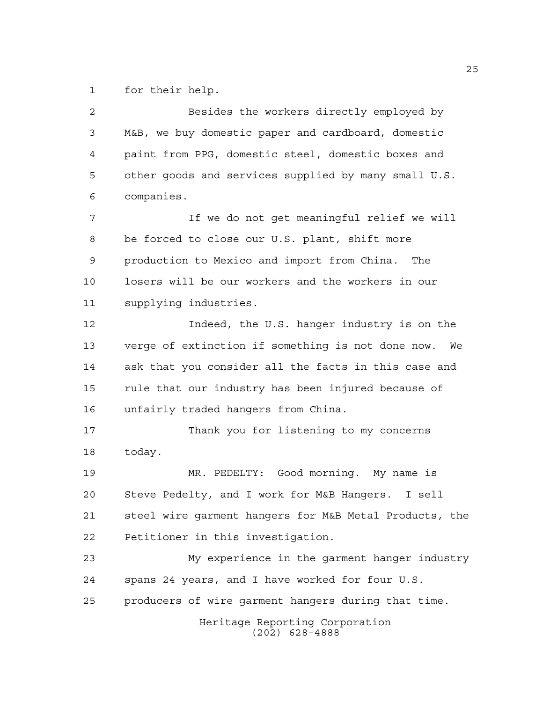for their help.

| $\overline{a}$ | Besides the workers directly employed by               |
|----------------|--------------------------------------------------------|
| 3              | M&B, we buy domestic paper and cardboard, domestic     |
| 4              | paint from PPG, domestic steel, domestic boxes and     |
| 5              | other goods and services supplied by many small U.S.   |
| 6              | companies.                                             |
| 7              | If we do not get meaningful relief we will             |
| 8              | be forced to close our U.S. plant, shift more          |
| $\mathsf 9$    | production to Mexico and import from China. The        |
| 10             | losers will be our workers and the workers in our      |
| 11             | supplying industries.                                  |
| 12             | Indeed, the U.S. hanger industry is on the             |
| 13             | verge of extinction if something is not done now. We   |
| 14             | ask that you consider all the facts in this case and   |
| 15             | rule that our industry has been injured because of     |
| 16             | unfairly traded hangers from China.                    |
| 17             | Thank you for listening to my concerns                 |
| 18             | today.                                                 |
| 19             | MR. PEDELTY: Good morning. My name is                  |
| 20             | Steve Pedelty, and I work for M&B Hangers. I sell      |
| 21             | steel wire garment hangers for M&B Metal Products, the |
| 22             | Petitioner in this investigation.                      |
| 23             | My experience in the garment hanger industry           |
| 24             | spans 24 years, and I have worked for four U.S.        |
| 25             | producers of wire garment hangers during that time.    |
|                | Heritage Reporting Corporation<br>$(202)$ 628-4888     |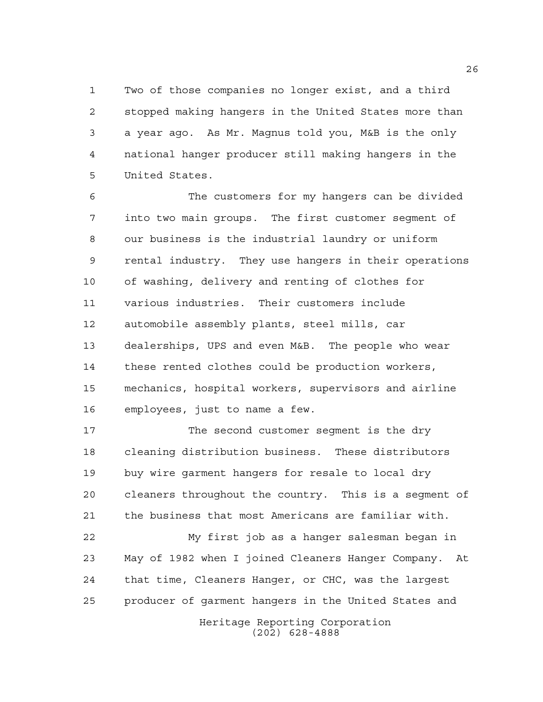Two of those companies no longer exist, and a third stopped making hangers in the United States more than a year ago. As Mr. Magnus told you, M&B is the only national hanger producer still making hangers in the United States.

 The customers for my hangers can be divided into two main groups. The first customer segment of our business is the industrial laundry or uniform rental industry. They use hangers in their operations of washing, delivery and renting of clothes for various industries. Their customers include automobile assembly plants, steel mills, car dealerships, UPS and even M&B. The people who wear these rented clothes could be production workers, mechanics, hospital workers, supervisors and airline employees, just to name a few.

 The second customer segment is the dry cleaning distribution business. These distributors buy wire garment hangers for resale to local dry cleaners throughout the country. This is a segment of the business that most Americans are familiar with.

Heritage Reporting Corporation My first job as a hanger salesman began in May of 1982 when I joined Cleaners Hanger Company. At that time, Cleaners Hanger, or CHC, was the largest producer of garment hangers in the United States and

(202) 628-4888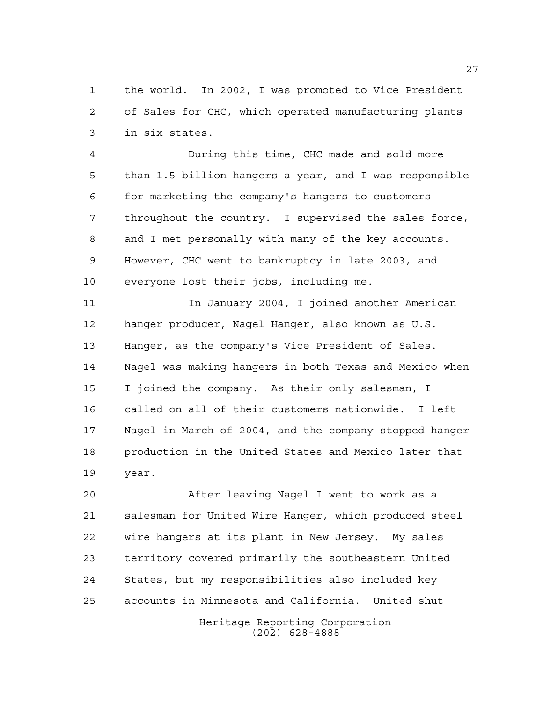the world. In 2002, I was promoted to Vice President of Sales for CHC, which operated manufacturing plants in six states.

 During this time, CHC made and sold more than 1.5 billion hangers a year, and I was responsible for marketing the company's hangers to customers throughout the country. I supervised the sales force, and I met personally with many of the key accounts. However, CHC went to bankruptcy in late 2003, and everyone lost their jobs, including me.

 In January 2004, I joined another American hanger producer, Nagel Hanger, also known as U.S. Hanger, as the company's Vice President of Sales. Nagel was making hangers in both Texas and Mexico when I joined the company. As their only salesman, I called on all of their customers nationwide. I left Nagel in March of 2004, and the company stopped hanger production in the United States and Mexico later that year.

 After leaving Nagel I went to work as a salesman for United Wire Hanger, which produced steel wire hangers at its plant in New Jersey. My sales territory covered primarily the southeastern United States, but my responsibilities also included key accounts in Minnesota and California. United shut

> Heritage Reporting Corporation (202) 628-4888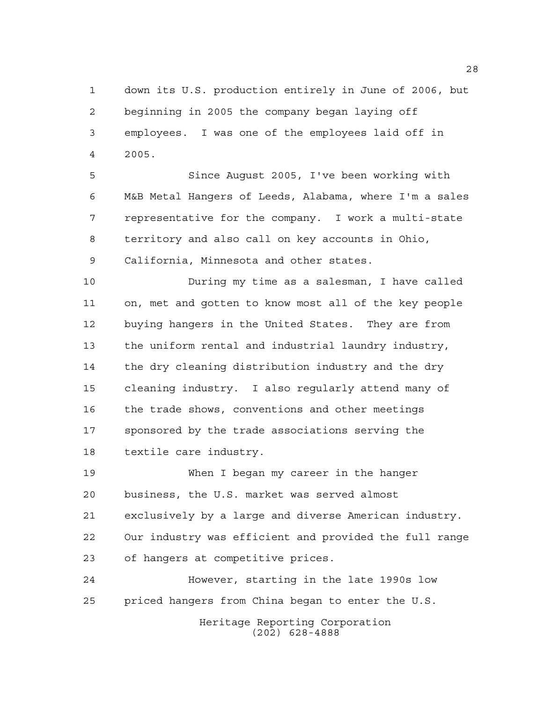down its U.S. production entirely in June of 2006, but beginning in 2005 the company began laying off employees. I was one of the employees laid off in 2005.

 Since August 2005, I've been working with M&B Metal Hangers of Leeds, Alabama, where I'm a sales representative for the company. I work a multi-state territory and also call on key accounts in Ohio, California, Minnesota and other states.

 During my time as a salesman, I have called on, met and gotten to know most all of the key people buying hangers in the United States. They are from the uniform rental and industrial laundry industry, 14 the dry cleaning distribution industry and the dry cleaning industry. I also regularly attend many of the trade shows, conventions and other meetings sponsored by the trade associations serving the textile care industry.

 When I began my career in the hanger business, the U.S. market was served almost exclusively by a large and diverse American industry. Our industry was efficient and provided the full range of hangers at competitive prices.

 However, starting in the late 1990s low priced hangers from China began to enter the U.S.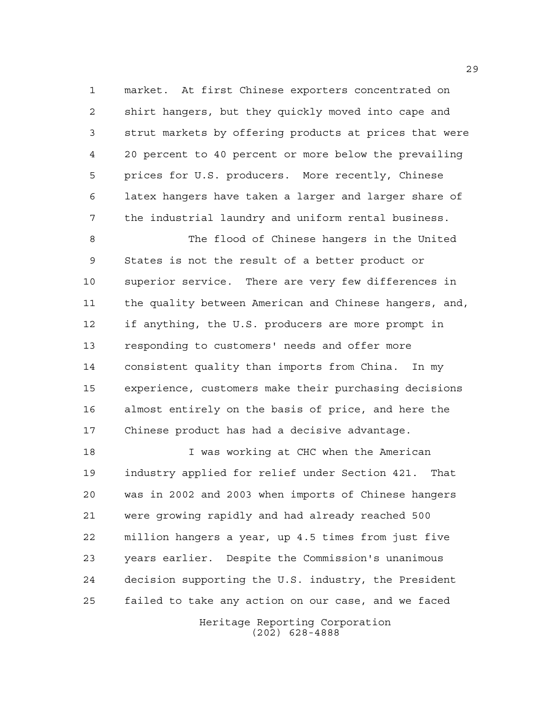market. At first Chinese exporters concentrated on shirt hangers, but they quickly moved into cape and strut markets by offering products at prices that were 20 percent to 40 percent or more below the prevailing prices for U.S. producers. More recently, Chinese latex hangers have taken a larger and larger share of the industrial laundry and uniform rental business.

 The flood of Chinese hangers in the United States is not the result of a better product or superior service. There are very few differences in the quality between American and Chinese hangers, and, if anything, the U.S. producers are more prompt in responding to customers' needs and offer more consistent quality than imports from China. In my experience, customers make their purchasing decisions almost entirely on the basis of price, and here the Chinese product has had a decisive advantage.

 I was working at CHC when the American industry applied for relief under Section 421. That was in 2002 and 2003 when imports of Chinese hangers were growing rapidly and had already reached 500 million hangers a year, up 4.5 times from just five years earlier. Despite the Commission's unanimous decision supporting the U.S. industry, the President failed to take any action on our case, and we faced

> Heritage Reporting Corporation (202) 628-4888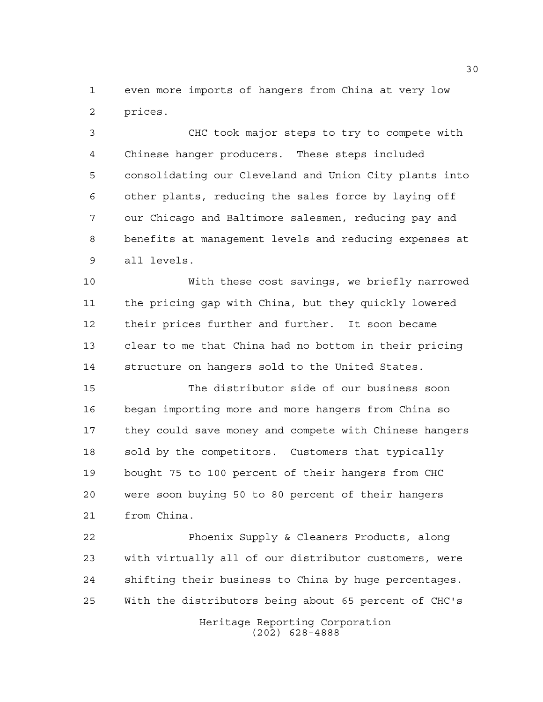even more imports of hangers from China at very low prices.

 CHC took major steps to try to compete with Chinese hanger producers. These steps included consolidating our Cleveland and Union City plants into other plants, reducing the sales force by laying off our Chicago and Baltimore salesmen, reducing pay and benefits at management levels and reducing expenses at all levels.

 With these cost savings, we briefly narrowed the pricing gap with China, but they quickly lowered their prices further and further. It soon became clear to me that China had no bottom in their pricing structure on hangers sold to the United States.

 The distributor side of our business soon began importing more and more hangers from China so they could save money and compete with Chinese hangers sold by the competitors. Customers that typically bought 75 to 100 percent of their hangers from CHC were soon buying 50 to 80 percent of their hangers from China.

 Phoenix Supply & Cleaners Products, along with virtually all of our distributor customers, were shifting their business to China by huge percentages. With the distributors being about 65 percent of CHC's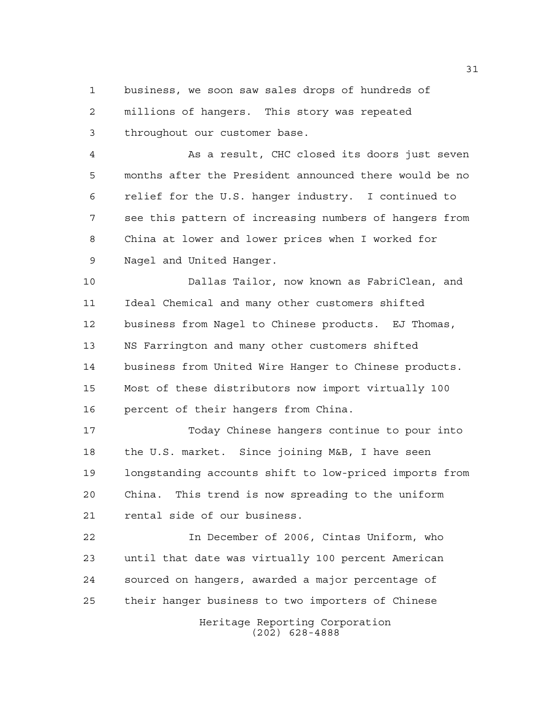business, we soon saw sales drops of hundreds of millions of hangers. This story was repeated

throughout our customer base.

 As a result, CHC closed its doors just seven months after the President announced there would be no relief for the U.S. hanger industry. I continued to see this pattern of increasing numbers of hangers from China at lower and lower prices when I worked for Nagel and United Hanger.

 Dallas Tailor, now known as FabriClean, and Ideal Chemical and many other customers shifted business from Nagel to Chinese products. EJ Thomas, NS Farrington and many other customers shifted business from United Wire Hanger to Chinese products. Most of these distributors now import virtually 100 percent of their hangers from China.

 Today Chinese hangers continue to pour into the U.S. market. Since joining M&B, I have seen longstanding accounts shift to low-priced imports from China. This trend is now spreading to the uniform rental side of our business.

 In December of 2006, Cintas Uniform, who until that date was virtually 100 percent American sourced on hangers, awarded a major percentage of their hanger business to two importers of Chinese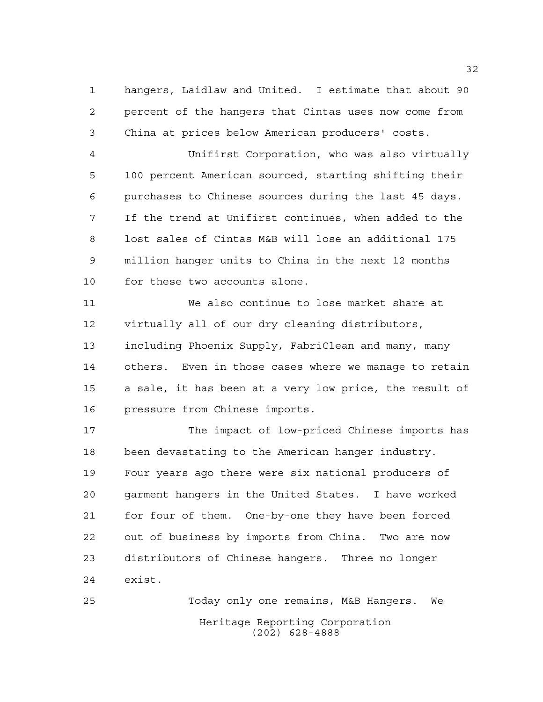hangers, Laidlaw and United. I estimate that about 90 percent of the hangers that Cintas uses now come from China at prices below American producers' costs.

 Unifirst Corporation, who was also virtually 100 percent American sourced, starting shifting their purchases to Chinese sources during the last 45 days. If the trend at Unifirst continues, when added to the lost sales of Cintas M&B will lose an additional 175 million hanger units to China in the next 12 months for these two accounts alone.

 We also continue to lose market share at virtually all of our dry cleaning distributors, including Phoenix Supply, FabriClean and many, many others. Even in those cases where we manage to retain a sale, it has been at a very low price, the result of pressure from Chinese imports.

 The impact of low-priced Chinese imports has been devastating to the American hanger industry. Four years ago there were six national producers of garment hangers in the United States. I have worked for four of them. One-by-one they have been forced out of business by imports from China. Two are now distributors of Chinese hangers. Three no longer exist.

Heritage Reporting Corporation (202) 628-4888 Today only one remains, M&B Hangers. We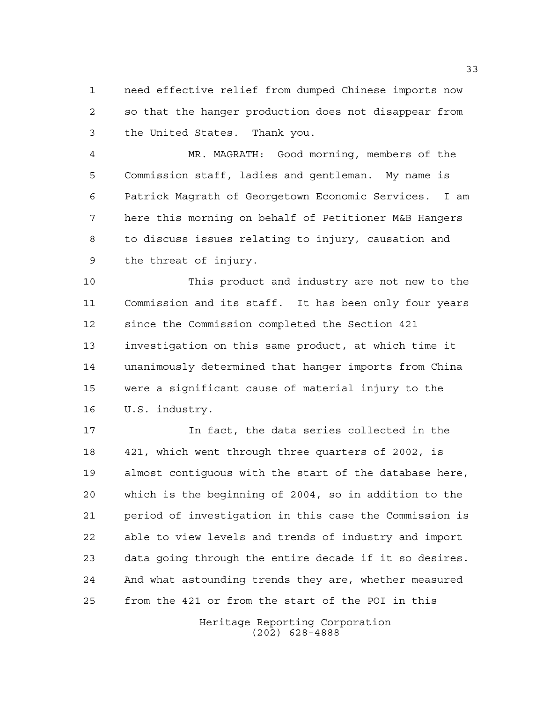need effective relief from dumped Chinese imports now so that the hanger production does not disappear from the United States. Thank you.

 MR. MAGRATH: Good morning, members of the Commission staff, ladies and gentleman. My name is Patrick Magrath of Georgetown Economic Services. I am here this morning on behalf of Petitioner M&B Hangers to discuss issues relating to injury, causation and the threat of injury.

 This product and industry are not new to the Commission and its staff. It has been only four years since the Commission completed the Section 421 investigation on this same product, at which time it unanimously determined that hanger imports from China were a significant cause of material injury to the U.S. industry.

 In fact, the data series collected in the 421, which went through three quarters of 2002, is almost contiguous with the start of the database here, which is the beginning of 2004, so in addition to the period of investigation in this case the Commission is able to view levels and trends of industry and import data going through the entire decade if it so desires. And what astounding trends they are, whether measured from the 421 or from the start of the POI in this

> Heritage Reporting Corporation (202) 628-4888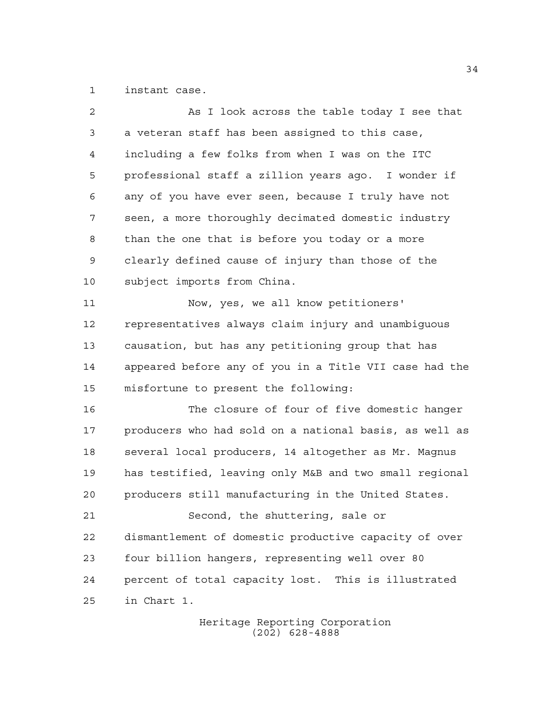instant case.

| $\overline{2}$ | As I look across the table today I see that            |
|----------------|--------------------------------------------------------|
| 3              | a veteran staff has been assigned to this case,        |
| 4              | including a few folks from when I was on the ITC       |
| 5              | professional staff a zillion years ago. I wonder if    |
| 6              | any of you have ever seen, because I truly have not    |
| 7              | seen, a more thoroughly decimated domestic industry    |
| 8              | than the one that is before you today or a more        |
| 9              | clearly defined cause of injury than those of the      |
| 10             | subject imports from China.                            |
| 11             | Now, yes, we all know petitioners'                     |
| 12             | representatives always claim injury and unambiquous    |
| 13             | causation, but has any petitioning group that has      |
| 14             | appeared before any of you in a Title VII case had the |
| 15             | misfortune to present the following:                   |
| 16             | The closure of four of five domestic hanger            |
| 17             | producers who had sold on a national basis, as well as |
| 18             | several local producers, 14 altogether as Mr. Magnus   |
| 19             | has testified, leaving only M&B and two small regional |
| 20             | producers still manufacturing in the United States.    |
| 21             | Second, the shuttering, sale or                        |
| 22             | dismantlement of domestic productive capacity of over  |
| 23             | four billion hangers, representing well over 80        |
| 24             | percent of total capacity lost. This is illustrated    |
| 25             | in Chart 1.                                            |
|                |                                                        |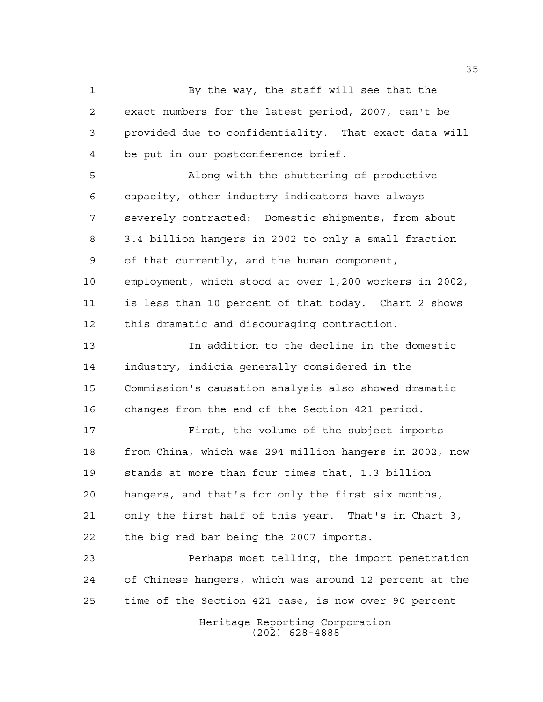By the way, the staff will see that the exact numbers for the latest period, 2007, can't be provided due to confidentiality. That exact data will be put in our postconference brief.

 Along with the shuttering of productive capacity, other industry indicators have always severely contracted: Domestic shipments, from about 3.4 billion hangers in 2002 to only a small fraction of that currently, and the human component, employment, which stood at over 1,200 workers in 2002, is less than 10 percent of that today. Chart 2 shows this dramatic and discouraging contraction.

 In addition to the decline in the domestic industry, indicia generally considered in the Commission's causation analysis also showed dramatic changes from the end of the Section 421 period.

 First, the volume of the subject imports from China, which was 294 million hangers in 2002, now stands at more than four times that, 1.3 billion hangers, and that's for only the first six months, only the first half of this year. That's in Chart 3, the big red bar being the 2007 imports.

 Perhaps most telling, the import penetration of Chinese hangers, which was around 12 percent at the time of the Section 421 case, is now over 90 percent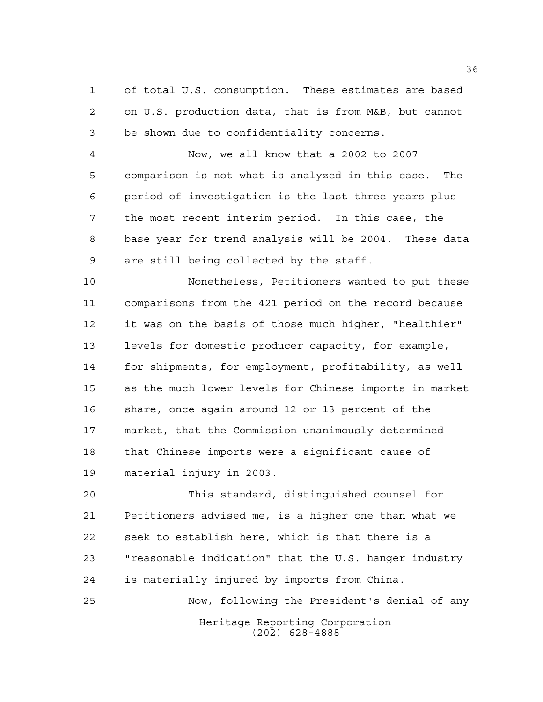of total U.S. consumption. These estimates are based on U.S. production data, that is from M&B, but cannot be shown due to confidentiality concerns.

 Now, we all know that a 2002 to 2007 comparison is not what is analyzed in this case. The period of investigation is the last three years plus the most recent interim period. In this case, the base year for trend analysis will be 2004. These data are still being collected by the staff.

 Nonetheless, Petitioners wanted to put these comparisons from the 421 period on the record because it was on the basis of those much higher, "healthier" levels for domestic producer capacity, for example, for shipments, for employment, profitability, as well as the much lower levels for Chinese imports in market share, once again around 12 or 13 percent of the market, that the Commission unanimously determined that Chinese imports were a significant cause of material injury in 2003.

 This standard, distinguished counsel for Petitioners advised me, is a higher one than what we seek to establish here, which is that there is a "reasonable indication" that the U.S. hanger industry is materially injured by imports from China. Now, following the President's denial of any

> Heritage Reporting Corporation (202) 628-4888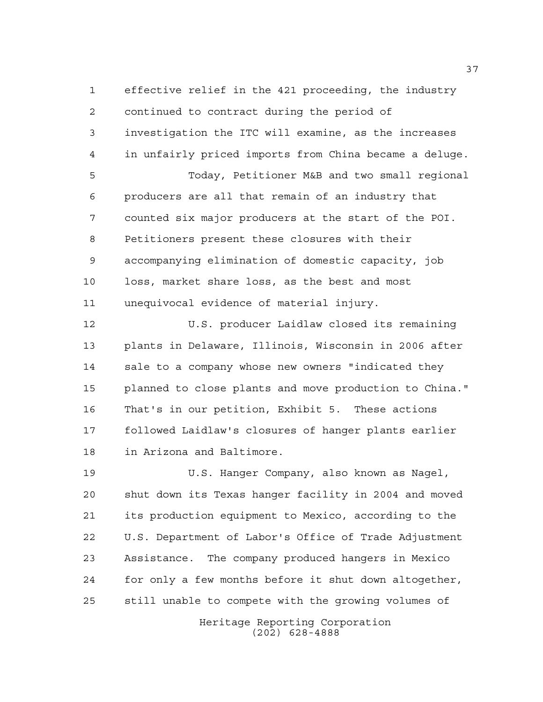effective relief in the 421 proceeding, the industry continued to contract during the period of investigation the ITC will examine, as the increases in unfairly priced imports from China became a deluge. Today, Petitioner M&B and two small regional producers are all that remain of an industry that counted six major producers at the start of the POI. Petitioners present these closures with their accompanying elimination of domestic capacity, job loss, market share loss, as the best and most

unequivocal evidence of material injury.

 U.S. producer Laidlaw closed its remaining plants in Delaware, Illinois, Wisconsin in 2006 after sale to a company whose new owners "indicated they planned to close plants and move production to China." That's in our petition, Exhibit 5. These actions followed Laidlaw's closures of hanger plants earlier in Arizona and Baltimore.

 U.S. Hanger Company, also known as Nagel, shut down its Texas hanger facility in 2004 and moved its production equipment to Mexico, according to the U.S. Department of Labor's Office of Trade Adjustment Assistance. The company produced hangers in Mexico for only a few months before it shut down altogether, still unable to compete with the growing volumes of

> Heritage Reporting Corporation (202) 628-4888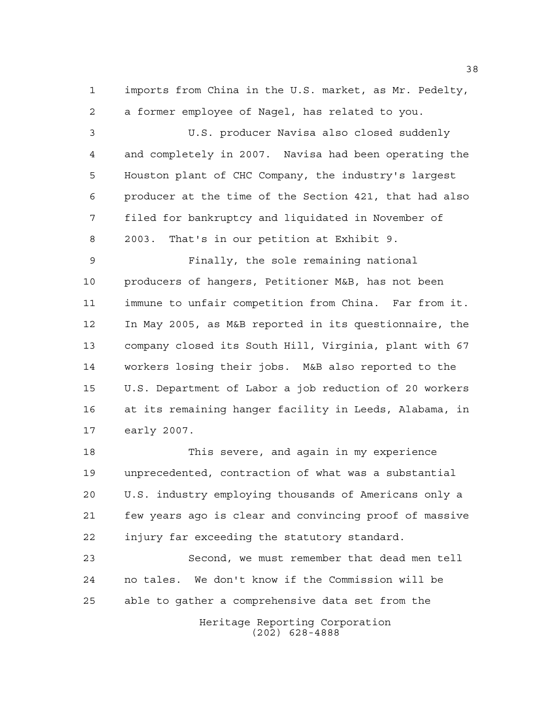imports from China in the U.S. market, as Mr. Pedelty, a former employee of Nagel, has related to you.

 U.S. producer Navisa also closed suddenly and completely in 2007. Navisa had been operating the Houston plant of CHC Company, the industry's largest producer at the time of the Section 421, that had also filed for bankruptcy and liquidated in November of 2003. That's in our petition at Exhibit 9.

 Finally, the sole remaining national producers of hangers, Petitioner M&B, has not been immune to unfair competition from China. Far from it. In May 2005, as M&B reported in its questionnaire, the company closed its South Hill, Virginia, plant with 67 workers losing their jobs. M&B also reported to the U.S. Department of Labor a job reduction of 20 workers at its remaining hanger facility in Leeds, Alabama, in early 2007.

 This severe, and again in my experience unprecedented, contraction of what was a substantial U.S. industry employing thousands of Americans only a few years ago is clear and convincing proof of massive injury far exceeding the statutory standard.

 Second, we must remember that dead men tell no tales. We don't know if the Commission will be able to gather a comprehensive data set from the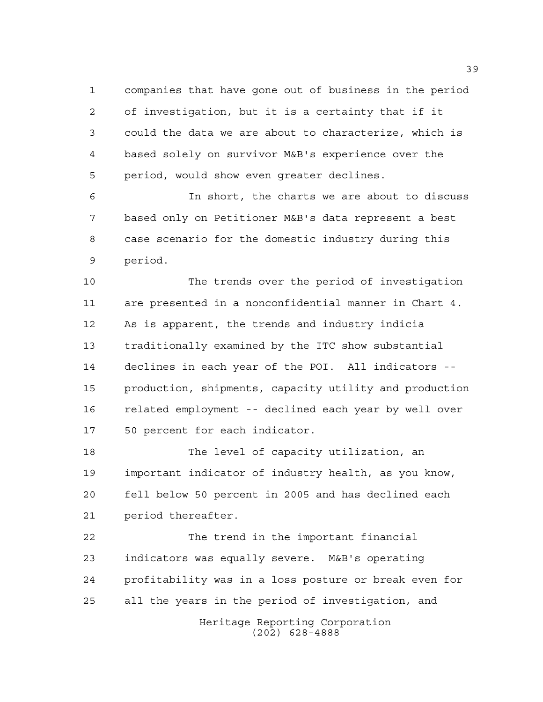companies that have gone out of business in the period of investigation, but it is a certainty that if it could the data we are about to characterize, which is based solely on survivor M&B's experience over the period, would show even greater declines.

 In short, the charts we are about to discuss based only on Petitioner M&B's data represent a best case scenario for the domestic industry during this period.

 The trends over the period of investigation are presented in a nonconfidential manner in Chart 4. As is apparent, the trends and industry indicia traditionally examined by the ITC show substantial declines in each year of the POI. All indicators -- production, shipments, capacity utility and production related employment -- declined each year by well over 50 percent for each indicator.

 The level of capacity utilization, an important indicator of industry health, as you know, fell below 50 percent in 2005 and has declined each period thereafter.

Heritage Reporting Corporation The trend in the important financial indicators was equally severe. M&B's operating profitability was in a loss posture or break even for all the years in the period of investigation, and

(202) 628-4888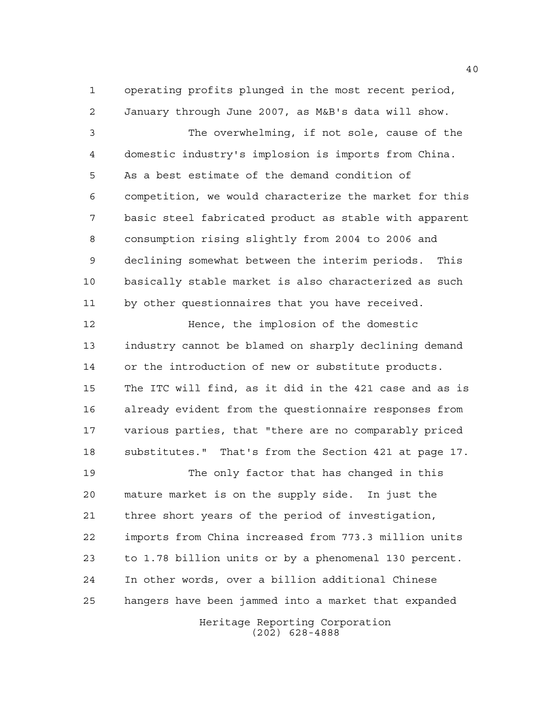operating profits plunged in the most recent period, January through June 2007, as M&B's data will show.

 The overwhelming, if not sole, cause of the domestic industry's implosion is imports from China. As a best estimate of the demand condition of competition, we would characterize the market for this basic steel fabricated product as stable with apparent consumption rising slightly from 2004 to 2006 and declining somewhat between the interim periods. This basically stable market is also characterized as such by other questionnaires that you have received.

 Hence, the implosion of the domestic industry cannot be blamed on sharply declining demand or the introduction of new or substitute products. The ITC will find, as it did in the 421 case and as is already evident from the questionnaire responses from various parties, that "there are no comparably priced substitutes." That's from the Section 421 at page 17.

 The only factor that has changed in this mature market is on the supply side. In just the three short years of the period of investigation, imports from China increased from 773.3 million units to 1.78 billion units or by a phenomenal 130 percent. In other words, over a billion additional Chinese hangers have been jammed into a market that expanded

> Heritage Reporting Corporation (202) 628-4888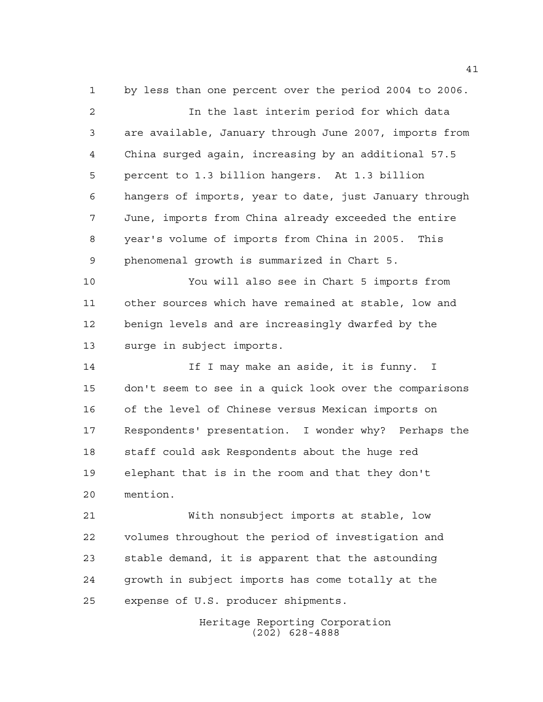by less than one percent over the period 2004 to 2006. In the last interim period for which data are available, January through June 2007, imports from China surged again, increasing by an additional 57.5 percent to 1.3 billion hangers. At 1.3 billion hangers of imports, year to date, just January through June, imports from China already exceeded the entire year's volume of imports from China in 2005. This phenomenal growth is summarized in Chart 5. You will also see in Chart 5 imports from other sources which have remained at stable, low and benign levels and are increasingly dwarfed by the surge in subject imports. 14 14 If I may make an aside, it is funny. I don't seem to see in a quick look over the comparisons of the level of Chinese versus Mexican imports on Respondents' presentation. I wonder why? Perhaps the staff could ask Respondents about the huge red elephant that is in the room and that they don't mention. With nonsubject imports at stable, low volumes throughout the period of investigation and stable demand, it is apparent that the astounding growth in subject imports has come totally at the expense of U.S. producer shipments.

> Heritage Reporting Corporation (202) 628-4888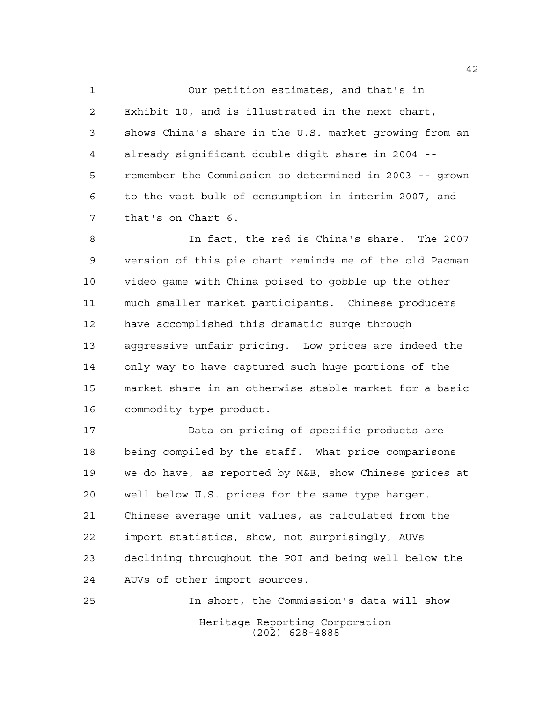Our petition estimates, and that's in Exhibit 10, and is illustrated in the next chart, shows China's share in the U.S. market growing from an already significant double digit share in 2004 -- remember the Commission so determined in 2003 -- grown to the vast bulk of consumption in interim 2007, and that's on Chart 6.

 In fact, the red is China's share. The 2007 version of this pie chart reminds me of the old Pacman video game with China poised to gobble up the other much smaller market participants. Chinese producers have accomplished this dramatic surge through aggressive unfair pricing. Low prices are indeed the only way to have captured such huge portions of the market share in an otherwise stable market for a basic commodity type product.

 Data on pricing of specific products are being compiled by the staff. What price comparisons we do have, as reported by M&B, show Chinese prices at well below U.S. prices for the same type hanger. Chinese average unit values, as calculated from the import statistics, show, not surprisingly, AUVs declining throughout the POI and being well below the AUVs of other import sources.

Heritage Reporting Corporation (202) 628-4888 In short, the Commission's data will show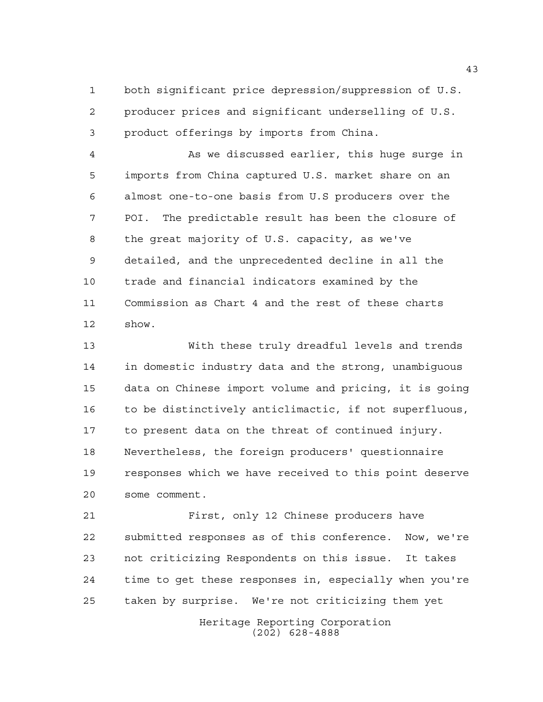both significant price depression/suppression of U.S. producer prices and significant underselling of U.S. product offerings by imports from China.

 As we discussed earlier, this huge surge in imports from China captured U.S. market share on an almost one-to-one basis from U.S producers over the POI. The predictable result has been the closure of the great majority of U.S. capacity, as we've detailed, and the unprecedented decline in all the trade and financial indicators examined by the Commission as Chart 4 and the rest of these charts show.

 With these truly dreadful levels and trends in domestic industry data and the strong, unambiguous data on Chinese import volume and pricing, it is going to be distinctively anticlimactic, if not superfluous, to present data on the threat of continued injury. Nevertheless, the foreign producers' questionnaire responses which we have received to this point deserve some comment.

 First, only 12 Chinese producers have submitted responses as of this conference. Now, we're not criticizing Respondents on this issue. It takes time to get these responses in, especially when you're taken by surprise. We're not criticizing them yet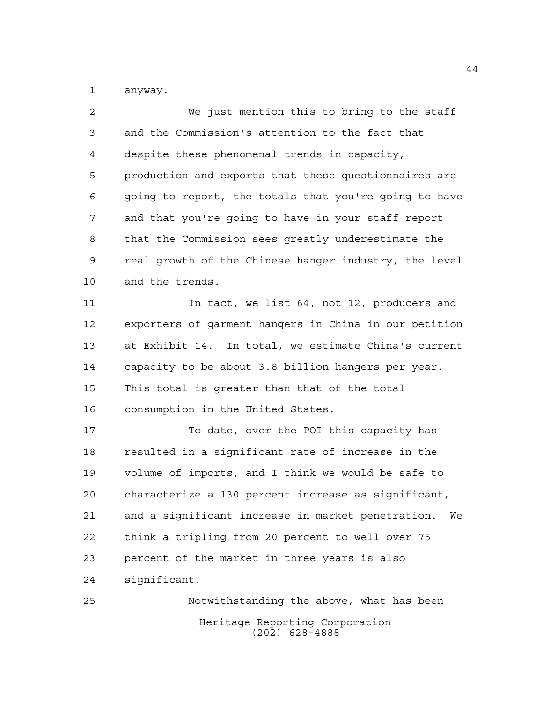anyway.

 We just mention this to bring to the staff and the Commission's attention to the fact that despite these phenomenal trends in capacity, production and exports that these questionnaires are going to report, the totals that you're going to have and that you're going to have in your staff report that the Commission sees greatly underestimate the real growth of the Chinese hanger industry, the level and the trends. In fact, we list 64, not 12, producers and exporters of garment hangers in China in our petition at Exhibit 14. In total, we estimate China's current capacity to be about 3.8 billion hangers per year. This total is greater than that of the total consumption in the United States. To date, over the POI this capacity has resulted in a significant rate of increase in the volume of imports, and I think we would be safe to characterize a 130 percent increase as significant, and a significant increase in market penetration. We think a tripling from 20 percent to well over 75 percent of the market in three years is also significant. Notwithstanding the above, what has been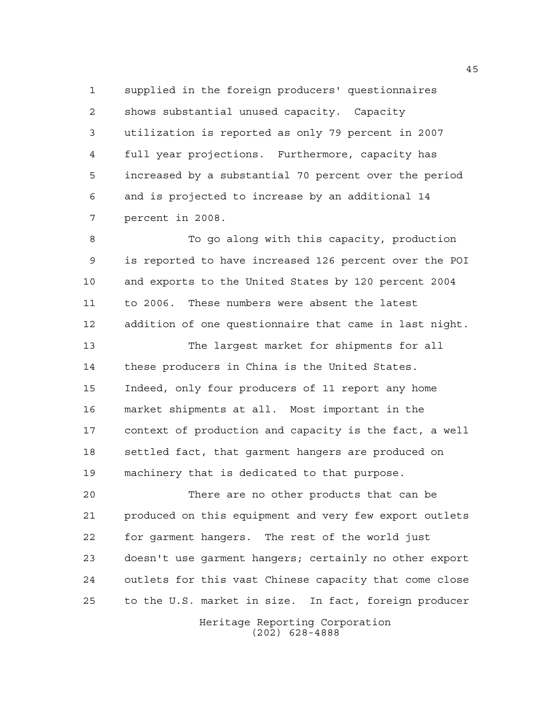supplied in the foreign producers' questionnaires shows substantial unused capacity. Capacity utilization is reported as only 79 percent in 2007 full year projections. Furthermore, capacity has increased by a substantial 70 percent over the period and is projected to increase by an additional 14 percent in 2008.

 To go along with this capacity, production is reported to have increased 126 percent over the POI and exports to the United States by 120 percent 2004 to 2006. These numbers were absent the latest addition of one questionnaire that came in last night.

 The largest market for shipments for all these producers in China is the United States. Indeed, only four producers of 11 report any home market shipments at all. Most important in the context of production and capacity is the fact, a well settled fact, that garment hangers are produced on machinery that is dedicated to that purpose.

 There are no other products that can be produced on this equipment and very few export outlets for garment hangers. The rest of the world just doesn't use garment hangers; certainly no other export outlets for this vast Chinese capacity that come close to the U.S. market in size. In fact, foreign producer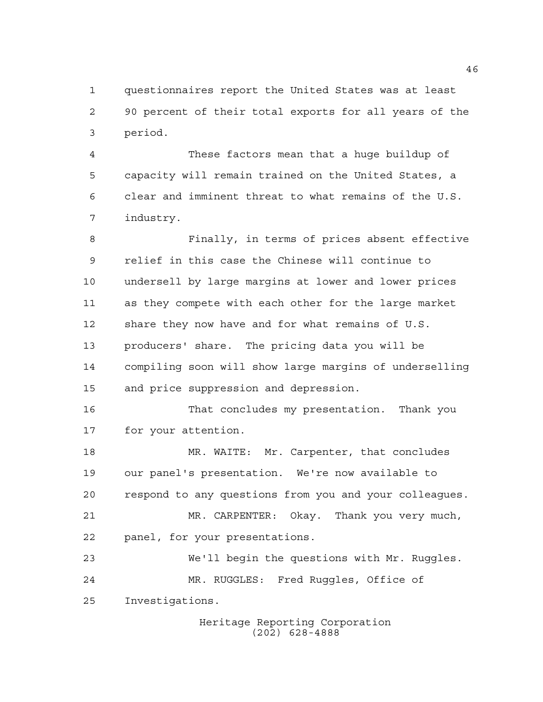questionnaires report the United States was at least 90 percent of their total exports for all years of the period.

 These factors mean that a huge buildup of capacity will remain trained on the United States, a clear and imminent threat to what remains of the U.S. industry.

 Finally, in terms of prices absent effective relief in this case the Chinese will continue to undersell by large margins at lower and lower prices as they compete with each other for the large market share they now have and for what remains of U.S. producers' share. The pricing data you will be compiling soon will show large margins of underselling and price suppression and depression.

 That concludes my presentation. Thank you for your attention.

 MR. WAITE: Mr. Carpenter, that concludes our panel's presentation. We're now available to respond to any questions from you and your colleagues. MR. CARPENTER: Okay. Thank you very much,

panel, for your presentations.

 We'll begin the questions with Mr. Ruggles. MR. RUGGLES: Fred Ruggles, Office of Investigations.

> Heritage Reporting Corporation (202) 628-4888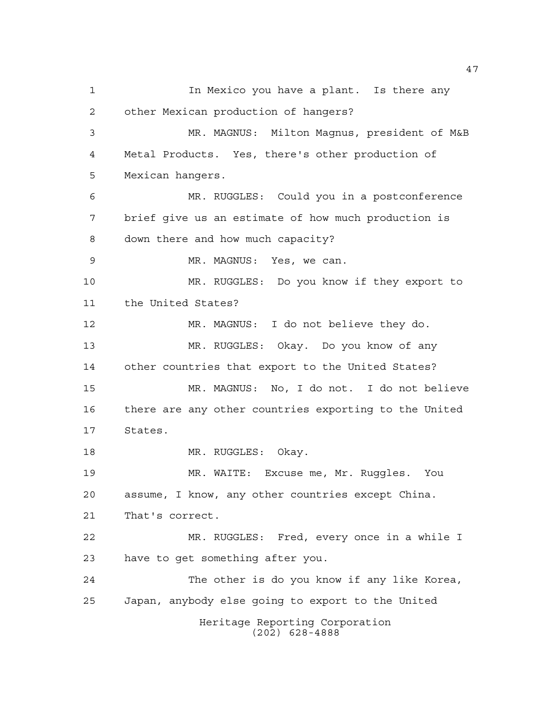Heritage Reporting Corporation (202) 628-4888 In Mexico you have a plant. Is there any other Mexican production of hangers? MR. MAGNUS: Milton Magnus, president of M&B Metal Products. Yes, there's other production of Mexican hangers. MR. RUGGLES: Could you in a postconference brief give us an estimate of how much production is down there and how much capacity? MR. MAGNUS: Yes, we can. MR. RUGGLES: Do you know if they export to the United States? MR. MAGNUS: I do not believe they do. MR. RUGGLES: Okay. Do you know of any other countries that export to the United States? MR. MAGNUS: No, I do not. I do not believe there are any other countries exporting to the United States. 18 MR. RUGGLES: Okay. MR. WAITE: Excuse me, Mr. Ruggles. You assume, I know, any other countries except China. That's correct. MR. RUGGLES: Fred, every once in a while I have to get something after you. The other is do you know if any like Korea, Japan, anybody else going to export to the United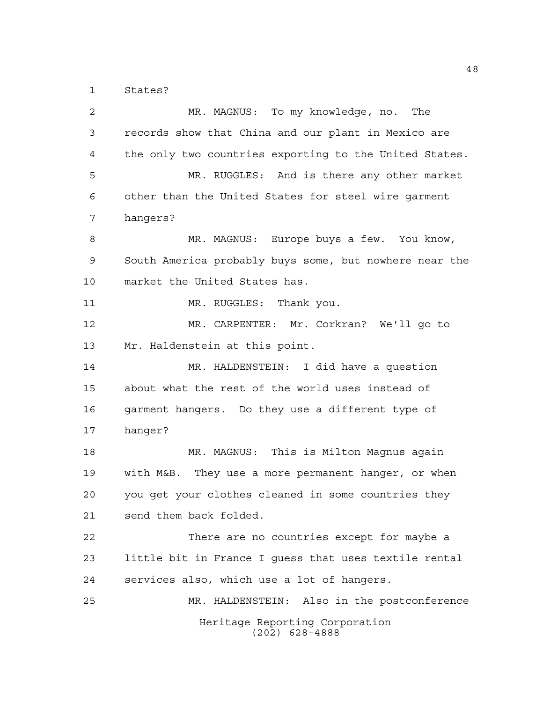States?

Heritage Reporting Corporation (202) 628-4888 MR. MAGNUS: To my knowledge, no. The records show that China and our plant in Mexico are the only two countries exporting to the United States. MR. RUGGLES: And is there any other market other than the United States for steel wire garment hangers? MR. MAGNUS: Europe buys a few. You know, South America probably buys some, but nowhere near the market the United States has. 11 MR. RUGGLES: Thank you. MR. CARPENTER: Mr. Corkran? We'll go to Mr. Haldenstein at this point. MR. HALDENSTEIN: I did have a question about what the rest of the world uses instead of garment hangers. Do they use a different type of hanger? MR. MAGNUS: This is Milton Magnus again with M&B. They use a more permanent hanger, or when you get your clothes cleaned in some countries they send them back folded. There are no countries except for maybe a little bit in France I guess that uses textile rental services also, which use a lot of hangers. MR. HALDENSTEIN: Also in the postconference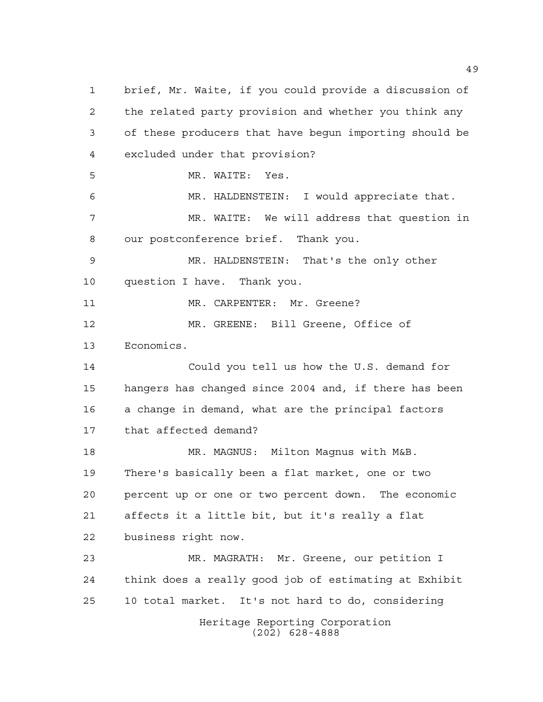Heritage Reporting Corporation (202) 628-4888 brief, Mr. Waite, if you could provide a discussion of the related party provision and whether you think any of these producers that have begun importing should be excluded under that provision? MR. WAITE: Yes. MR. HALDENSTEIN: I would appreciate that. MR. WAITE: We will address that question in our postconference brief. Thank you. MR. HALDENSTEIN: That's the only other question I have. Thank you. 11 MR. CARPENTER: Mr. Greene? MR. GREENE: Bill Greene, Office of Economics. Could you tell us how the U.S. demand for hangers has changed since 2004 and, if there has been a change in demand, what are the principal factors that affected demand? MR. MAGNUS: Milton Magnus with M&B. There's basically been a flat market, one or two percent up or one or two percent down. The economic affects it a little bit, but it's really a flat business right now. MR. MAGRATH: Mr. Greene, our petition I think does a really good job of estimating at Exhibit 10 total market. It's not hard to do, considering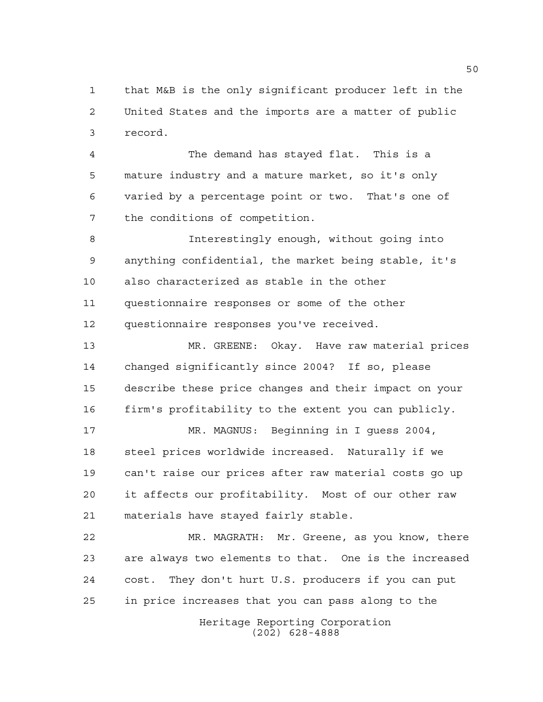that M&B is the only significant producer left in the United States and the imports are a matter of public record.

 The demand has stayed flat. This is a mature industry and a mature market, so it's only varied by a percentage point or two. That's one of the conditions of competition.

 Interestingly enough, without going into anything confidential, the market being stable, it's also characterized as stable in the other questionnaire responses or some of the other questionnaire responses you've received.

 MR. GREENE: Okay. Have raw material prices changed significantly since 2004? If so, please describe these price changes and their impact on your firm's profitability to the extent you can publicly.

 MR. MAGNUS: Beginning in I guess 2004, steel prices worldwide increased. Naturally if we can't raise our prices after raw material costs go up it affects our profitability. Most of our other raw materials have stayed fairly stable.

 MR. MAGRATH: Mr. Greene, as you know, there are always two elements to that. One is the increased cost. They don't hurt U.S. producers if you can put in price increases that you can pass along to the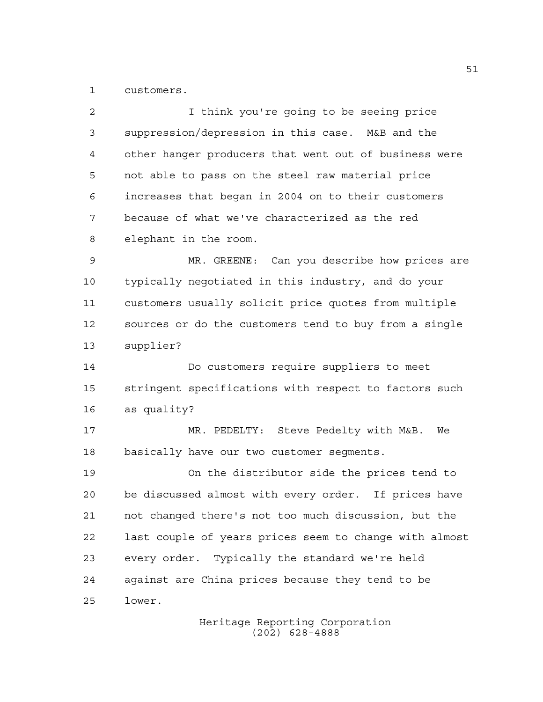customers.

 I think you're going to be seeing price suppression/depression in this case. M&B and the other hanger producers that went out of business were not able to pass on the steel raw material price increases that began in 2004 on to their customers because of what we've characterized as the red elephant in the room. MR. GREENE: Can you describe how prices are typically negotiated in this industry, and do your customers usually solicit price quotes from multiple sources or do the customers tend to buy from a single supplier? Do customers require suppliers to meet stringent specifications with respect to factors such as quality? MR. PEDELTY: Steve Pedelty with M&B. We basically have our two customer segments. On the distributor side the prices tend to be discussed almost with every order. If prices have not changed there's not too much discussion, but the last couple of years prices seem to change with almost every order. Typically the standard we're held against are China prices because they tend to be lower.

> Heritage Reporting Corporation (202) 628-4888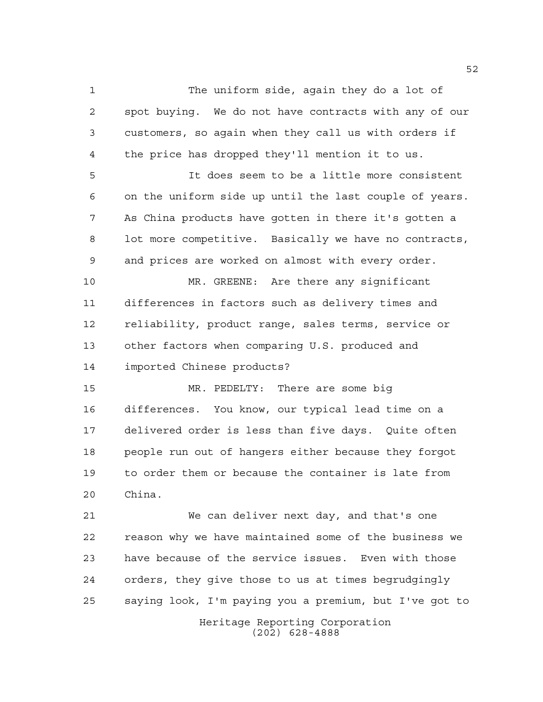The uniform side, again they do a lot of spot buying. We do not have contracts with any of our customers, so again when they call us with orders if the price has dropped they'll mention it to us.

 It does seem to be a little more consistent on the uniform side up until the last couple of years. As China products have gotten in there it's gotten a lot more competitive. Basically we have no contracts, and prices are worked on almost with every order.

 MR. GREENE: Are there any significant differences in factors such as delivery times and reliability, product range, sales terms, service or other factors when comparing U.S. produced and imported Chinese products?

 MR. PEDELTY: There are some big differences. You know, our typical lead time on a delivered order is less than five days. Quite often people run out of hangers either because they forgot to order them or because the container is late from China.

 We can deliver next day, and that's one reason why we have maintained some of the business we have because of the service issues. Even with those orders, they give those to us at times begrudgingly saying look, I'm paying you a premium, but I've got to

> Heritage Reporting Corporation (202) 628-4888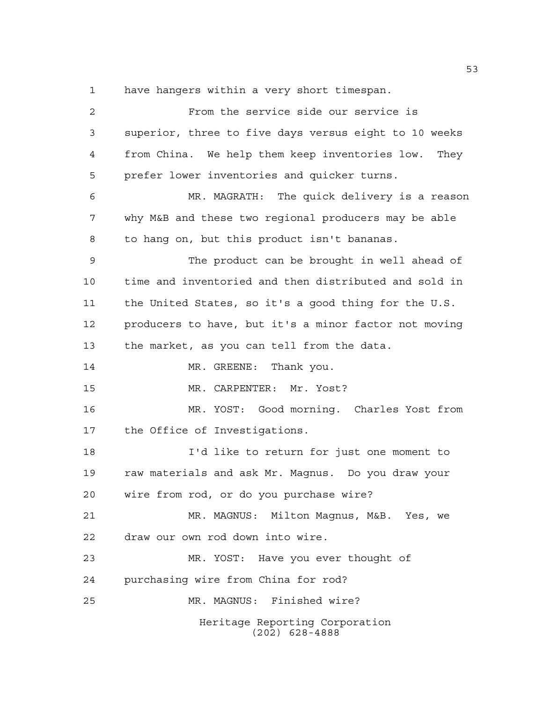have hangers within a very short timespan.

| 2  | From the service side our service is                  |
|----|-------------------------------------------------------|
| 3  | superior, three to five days versus eight to 10 weeks |
| 4  | from China. We help them keep inventories low. They   |
| 5  | prefer lower inventories and quicker turns.           |
| 6  | MR. MAGRATH: The quick delivery is a reason           |
| 7  | why M&B and these two regional producers may be able  |
| 8  | to hang on, but this product isn't bananas.           |
| 9  | The product can be brought in well ahead of           |
| 10 | time and inventoried and then distributed and sold in |
| 11 | the United States, so it's a good thing for the U.S.  |
| 12 | producers to have, but it's a minor factor not moving |
| 13 | the market, as you can tell from the data.            |
| 14 | MR. GREENE: Thank you.                                |
| 15 | MR. CARPENTER: Mr. Yost?                              |
| 16 | MR. YOST: Good morning. Charles Yost from             |
| 17 | the Office of Investigations.                         |
| 18 | I'd like to return for just one moment to             |
| 19 | raw materials and ask Mr. Magnus. Do you draw your    |
| 20 | wire from rod, or do you purchase wire?               |
| 21 | MR. MAGNUS: Milton Magnus, M&B. Yes, we               |
| 22 | draw our own rod down into wire.                      |
| 23 | MR. YOST: Have you ever thought of                    |
| 24 | purchasing wire from China for rod?                   |
| 25 | MR. MAGNUS: Finished wire?                            |
|    | Heritage Reporting Corporation<br>$(202)$ 628-4888    |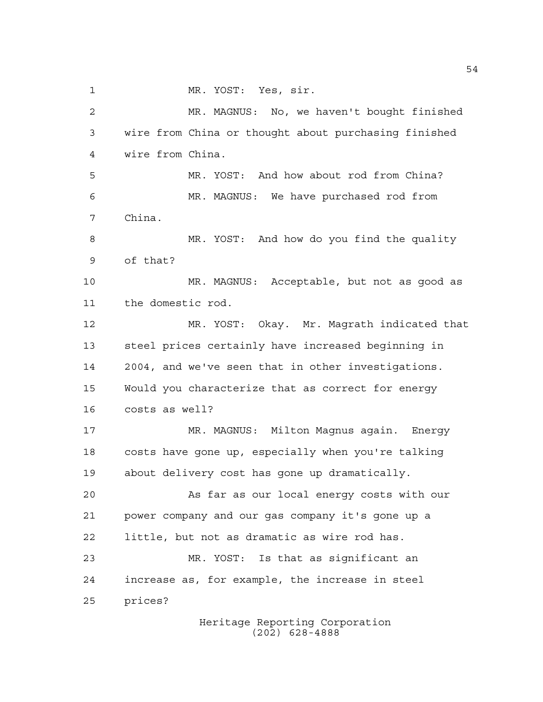MR. YOST: Yes, sir.

 MR. MAGNUS: No, we haven't bought finished wire from China or thought about purchasing finished wire from China. MR. YOST: And how about rod from China? MR. MAGNUS: We have purchased rod from China. MR. YOST: And how do you find the quality of that? MR. MAGNUS: Acceptable, but not as good as the domestic rod. MR. YOST: Okay. Mr. Magrath indicated that steel prices certainly have increased beginning in 2004, and we've seen that in other investigations. Would you characterize that as correct for energy costs as well? MR. MAGNUS: Milton Magnus again. Energy costs have gone up, especially when you're talking about delivery cost has gone up dramatically. As far as our local energy costs with our power company and our gas company it's gone up a little, but not as dramatic as wire rod has. MR. YOST: Is that as significant an increase as, for example, the increase in steel prices?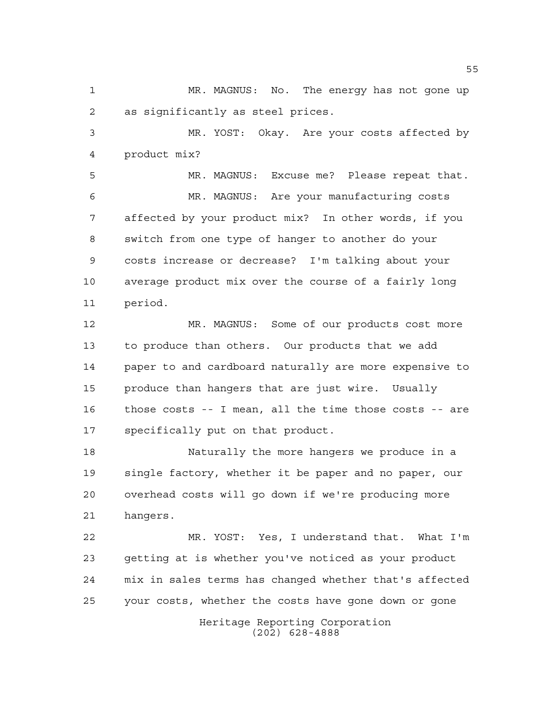MR. MAGNUS: No. The energy has not gone up as significantly as steel prices.

 MR. YOST: Okay. Are your costs affected by product mix?

 MR. MAGNUS: Excuse me? Please repeat that. MR. MAGNUS: Are your manufacturing costs affected by your product mix? In other words, if you switch from one type of hanger to another do your costs increase or decrease? I'm talking about your average product mix over the course of a fairly long period.

 MR. MAGNUS: Some of our products cost more to produce than others. Our products that we add paper to and cardboard naturally are more expensive to produce than hangers that are just wire. Usually those costs -- I mean, all the time those costs -- are specifically put on that product.

 Naturally the more hangers we produce in a single factory, whether it be paper and no paper, our overhead costs will go down if we're producing more hangers.

 MR. YOST: Yes, I understand that. What I'm getting at is whether you've noticed as your product mix in sales terms has changed whether that's affected your costs, whether the costs have gone down or gone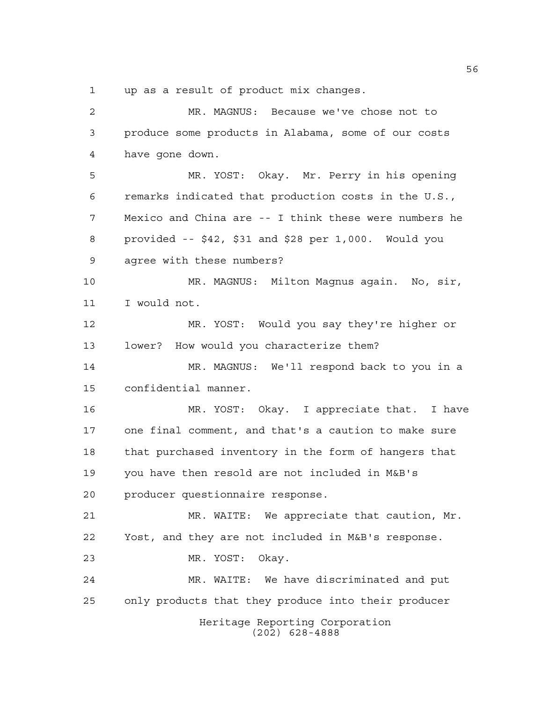up as a result of product mix changes.

Heritage Reporting Corporation (202) 628-4888 MR. MAGNUS: Because we've chose not to produce some products in Alabama, some of our costs have gone down. MR. YOST: Okay. Mr. Perry in his opening remarks indicated that production costs in the U.S., Mexico and China are -- I think these were numbers he provided -- \$42, \$31 and \$28 per 1,000. Would you agree with these numbers? MR. MAGNUS: Milton Magnus again. No, sir, I would not. MR. YOST: Would you say they're higher or lower? How would you characterize them? MR. MAGNUS: We'll respond back to you in a confidential manner. MR. YOST: Okay. I appreciate that. I have one final comment, and that's a caution to make sure that purchased inventory in the form of hangers that you have then resold are not included in M&B's producer questionnaire response. MR. WAITE: We appreciate that caution, Mr. Yost, and they are not included in M&B's response. MR. YOST: Okay. MR. WAITE: We have discriminated and put only products that they produce into their producer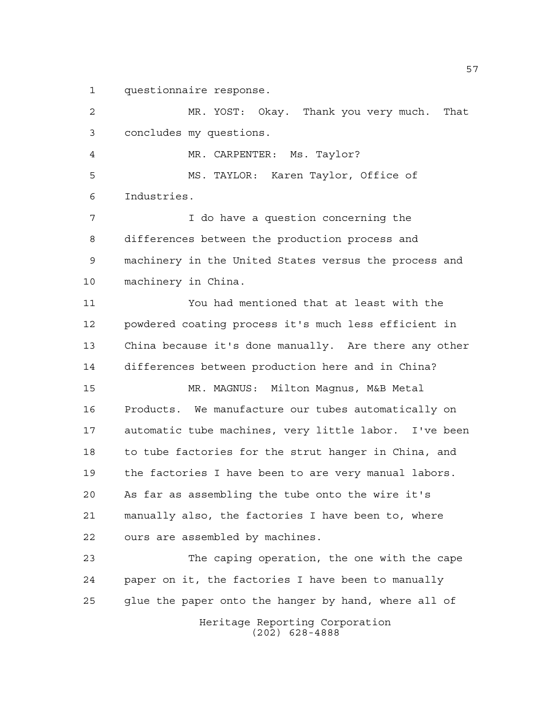questionnaire response.

 MR. YOST: Okay. Thank you very much. That concludes my questions. MR. CARPENTER: Ms. Taylor? MS. TAYLOR: Karen Taylor, Office of Industries. I do have a question concerning the differences between the production process and machinery in the United States versus the process and machinery in China. You had mentioned that at least with the powdered coating process it's much less efficient in China because it's done manually. Are there any other differences between production here and in China? MR. MAGNUS: Milton Magnus, M&B Metal Products. We manufacture our tubes automatically on automatic tube machines, very little labor. I've been 18 to tube factories for the strut hanger in China, and the factories I have been to are very manual labors. As far as assembling the tube onto the wire it's manually also, the factories I have been to, where ours are assembled by machines. The caping operation, the one with the cape paper on it, the factories I have been to manually

glue the paper onto the hanger by hand, where all of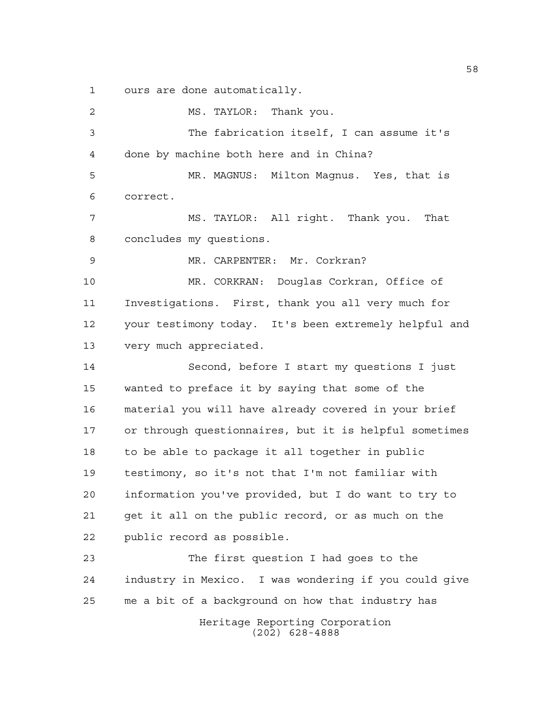ours are done automatically.

Heritage Reporting Corporation (202) 628-4888 MS. TAYLOR: Thank you. The fabrication itself, I can assume it's done by machine both here and in China? MR. MAGNUS: Milton Magnus. Yes, that is correct. MS. TAYLOR: All right. Thank you. That concludes my questions. MR. CARPENTER: Mr. Corkran? MR. CORKRAN: Douglas Corkran, Office of Investigations. First, thank you all very much for your testimony today. It's been extremely helpful and very much appreciated. Second, before I start my questions I just wanted to preface it by saying that some of the material you will have already covered in your brief or through questionnaires, but it is helpful sometimes to be able to package it all together in public testimony, so it's not that I'm not familiar with information you've provided, but I do want to try to get it all on the public record, or as much on the public record as possible. The first question I had goes to the industry in Mexico. I was wondering if you could give me a bit of a background on how that industry has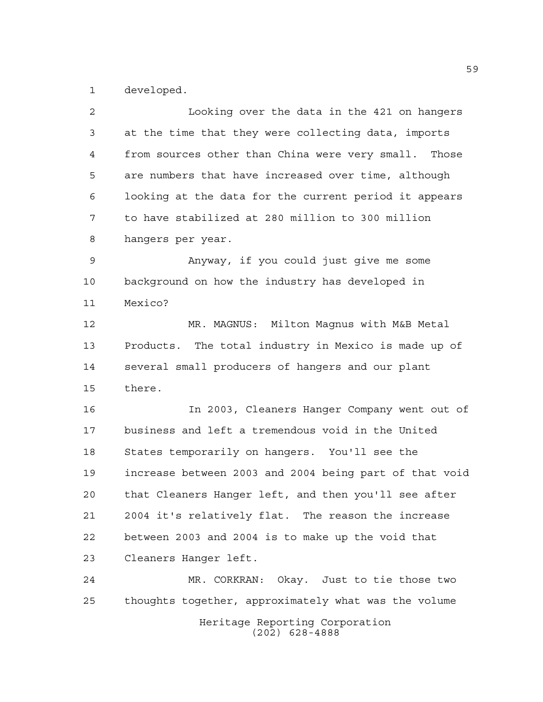developed.

| 2  | Looking over the data in the 421 on hangers            |
|----|--------------------------------------------------------|
| 3  | at the time that they were collecting data, imports    |
| 4  | from sources other than China were very small. Those   |
| 5  | are numbers that have increased over time, although    |
| 6  | looking at the data for the current period it appears  |
| 7  | to have stabilized at 280 million to 300 million       |
| 8  | hangers per year.                                      |
| 9  | Anyway, if you could just give me some                 |
| 10 | background on how the industry has developed in        |
| 11 | Mexico?                                                |
| 12 | MR. MAGNUS: Milton Magnus with M&B Metal               |
| 13 | Products. The total industry in Mexico is made up of   |
| 14 | several small producers of hangers and our plant       |
| 15 | there.                                                 |
| 16 | In 2003, Cleaners Hanger Company went out of           |
| 17 | business and left a tremendous void in the United      |
| 18 | States temporarily on hangers. You'll see the          |
| 19 | increase between 2003 and 2004 being part of that void |
| 20 | that Cleaners Hanger left, and then you'll see after   |
| 21 | 2004 it's relatively flat. The reason the increase     |
| 22 | between 2003 and 2004 is to make up the void that      |
| 23 | Cleaners Hanger left.                                  |
| 24 | MR. CORKRAN: Okay. Just to tie those two               |
| 25 | thoughts together, approximately what was the volume   |
|    |                                                        |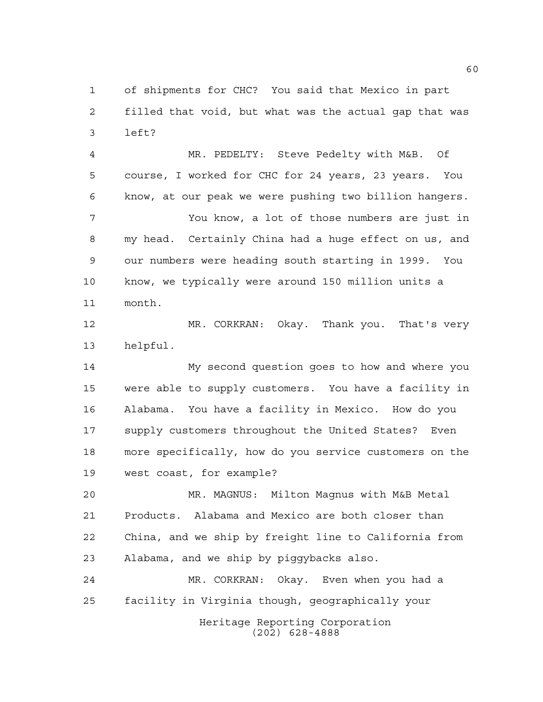of shipments for CHC? You said that Mexico in part filled that void, but what was the actual gap that was left?

 MR. PEDELTY: Steve Pedelty with M&B. Of course, I worked for CHC for 24 years, 23 years. You know, at our peak we were pushing two billion hangers. You know, a lot of those numbers are just in my head. Certainly China had a huge effect on us, and our numbers were heading south starting in 1999. You know, we typically were around 150 million units a month.

 MR. CORKRAN: Okay. Thank you. That's very helpful.

 My second question goes to how and where you were able to supply customers. You have a facility in Alabama. You have a facility in Mexico. How do you supply customers throughout the United States? Even more specifically, how do you service customers on the west coast, for example?

 MR. MAGNUS: Milton Magnus with M&B Metal Products. Alabama and Mexico are both closer than China, and we ship by freight line to California from Alabama, and we ship by piggybacks also.

 MR. CORKRAN: Okay. Even when you had a facility in Virginia though, geographically your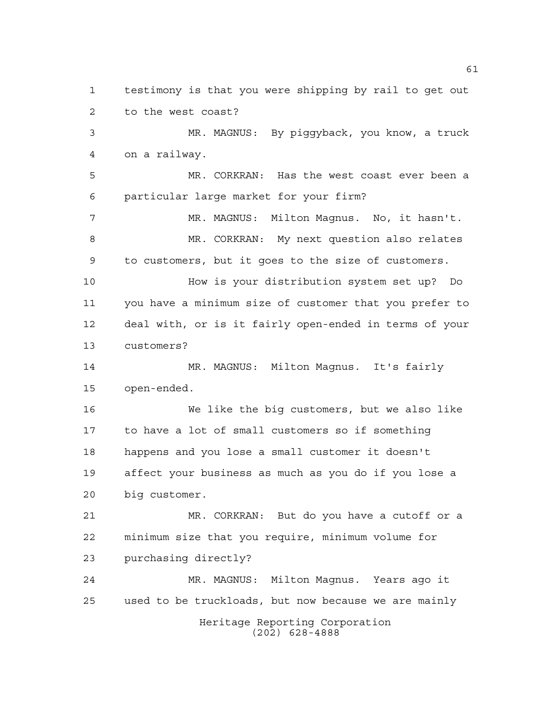Heritage Reporting Corporation (202) 628-4888 testimony is that you were shipping by rail to get out to the west coast? MR. MAGNUS: By piggyback, you know, a truck on a railway. MR. CORKRAN: Has the west coast ever been a particular large market for your firm? MR. MAGNUS: Milton Magnus. No, it hasn't. MR. CORKRAN: My next question also relates to customers, but it goes to the size of customers. How is your distribution system set up? Do you have a minimum size of customer that you prefer to deal with, or is it fairly open-ended in terms of your customers? MR. MAGNUS: Milton Magnus. It's fairly open-ended. We like the big customers, but we also like to have a lot of small customers so if something happens and you lose a small customer it doesn't affect your business as much as you do if you lose a big customer. MR. CORKRAN: But do you have a cutoff or a minimum size that you require, minimum volume for purchasing directly? MR. MAGNUS: Milton Magnus. Years ago it used to be truckloads, but now because we are mainly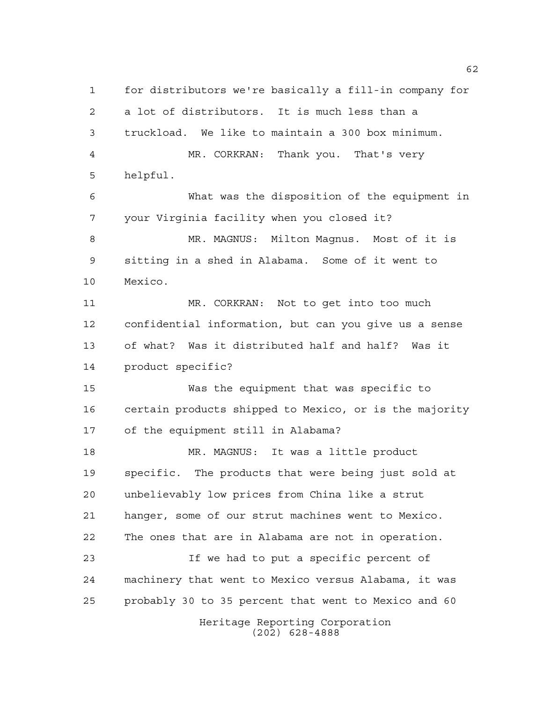Heritage Reporting Corporation (202) 628-4888 for distributors we're basically a fill-in company for a lot of distributors. It is much less than a truckload. We like to maintain a 300 box minimum. MR. CORKRAN: Thank you. That's very helpful. What was the disposition of the equipment in your Virginia facility when you closed it? MR. MAGNUS: Milton Magnus. Most of it is sitting in a shed in Alabama. Some of it went to Mexico. MR. CORKRAN: Not to get into too much confidential information, but can you give us a sense of what? Was it distributed half and half? Was it product specific? Was the equipment that was specific to certain products shipped to Mexico, or is the majority of the equipment still in Alabama? MR. MAGNUS: It was a little product specific. The products that were being just sold at unbelievably low prices from China like a strut hanger, some of our strut machines went to Mexico. The ones that are in Alabama are not in operation. If we had to put a specific percent of machinery that went to Mexico versus Alabama, it was probably 30 to 35 percent that went to Mexico and 60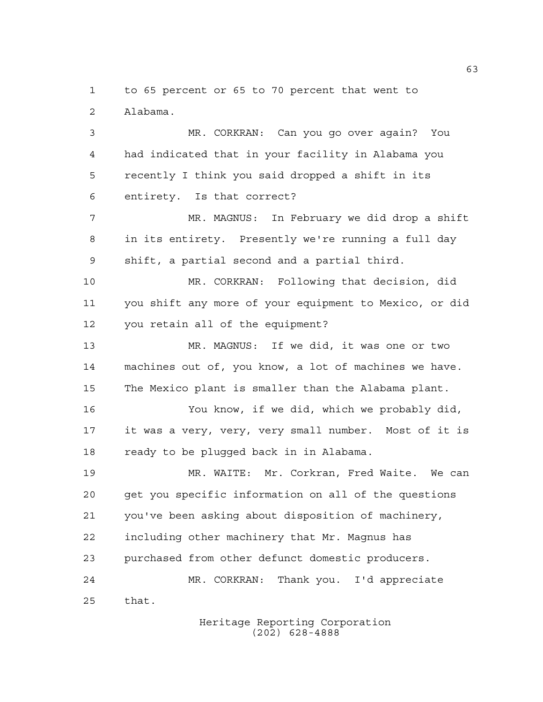to 65 percent or 65 to 70 percent that went to Alabama.

 MR. CORKRAN: Can you go over again? You had indicated that in your facility in Alabama you recently I think you said dropped a shift in its entirety. Is that correct?

 MR. MAGNUS: In February we did drop a shift in its entirety. Presently we're running a full day shift, a partial second and a partial third.

 MR. CORKRAN: Following that decision, did you shift any more of your equipment to Mexico, or did you retain all of the equipment?

 MR. MAGNUS: If we did, it was one or two machines out of, you know, a lot of machines we have. The Mexico plant is smaller than the Alabama plant.

 You know, if we did, which we probably did, it was a very, very, very small number. Most of it is ready to be plugged back in in Alabama.

 MR. WAITE: Mr. Corkran, Fred Waite. We can get you specific information on all of the questions you've been asking about disposition of machinery, including other machinery that Mr. Magnus has purchased from other defunct domestic producers. MR. CORKRAN: Thank you. I'd appreciate that.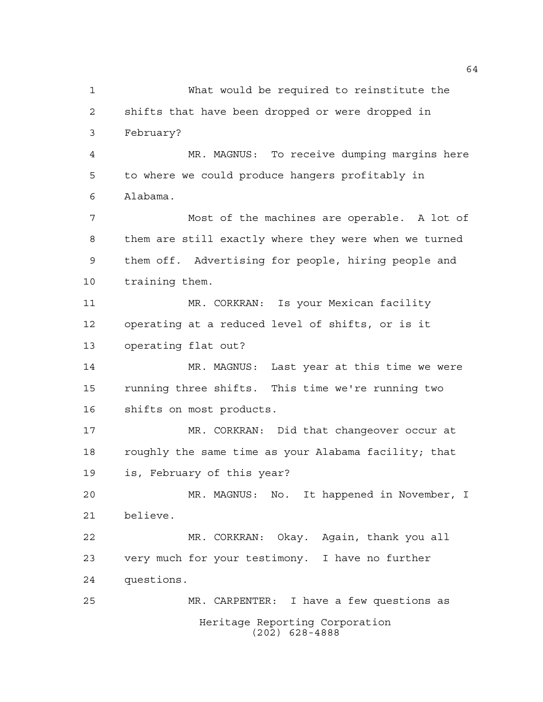Heritage Reporting Corporation (202) 628-4888 What would be required to reinstitute the shifts that have been dropped or were dropped in February? MR. MAGNUS: To receive dumping margins here to where we could produce hangers profitably in Alabama. Most of the machines are operable. A lot of them are still exactly where they were when we turned them off. Advertising for people, hiring people and training them. MR. CORKRAN: Is your Mexican facility operating at a reduced level of shifts, or is it operating flat out? MR. MAGNUS: Last year at this time we were running three shifts. This time we're running two shifts on most products. MR. CORKRAN: Did that changeover occur at roughly the same time as your Alabama facility; that is, February of this year? MR. MAGNUS: No. It happened in November, I believe. MR. CORKRAN: Okay. Again, thank you all very much for your testimony. I have no further questions. MR. CARPENTER: I have a few questions as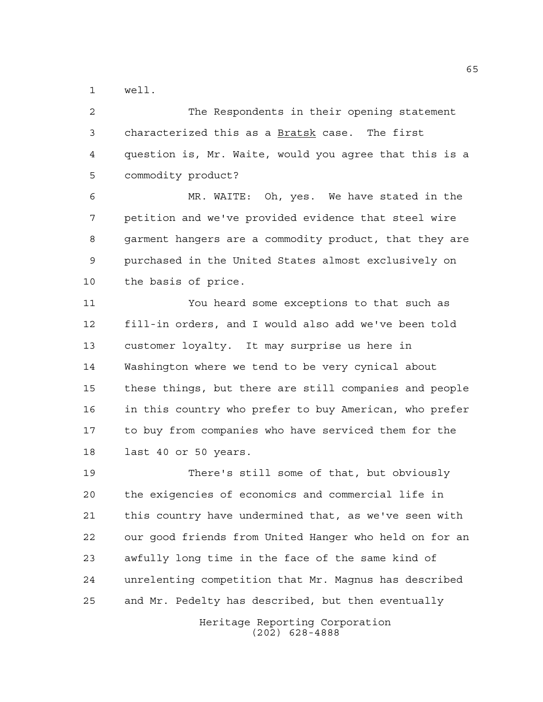well.

 The Respondents in their opening statement characterized this as a Bratsk case. The first question is, Mr. Waite, would you agree that this is a commodity product?

 MR. WAITE: Oh, yes. We have stated in the petition and we've provided evidence that steel wire garment hangers are a commodity product, that they are purchased in the United States almost exclusively on the basis of price.

 You heard some exceptions to that such as fill-in orders, and I would also add we've been told customer loyalty. It may surprise us here in Washington where we tend to be very cynical about these things, but there are still companies and people in this country who prefer to buy American, who prefer to buy from companies who have serviced them for the last 40 or 50 years.

 There's still some of that, but obviously the exigencies of economics and commercial life in this country have undermined that, as we've seen with our good friends from United Hanger who held on for an awfully long time in the face of the same kind of unrelenting competition that Mr. Magnus has described and Mr. Pedelty has described, but then eventually

> Heritage Reporting Corporation (202) 628-4888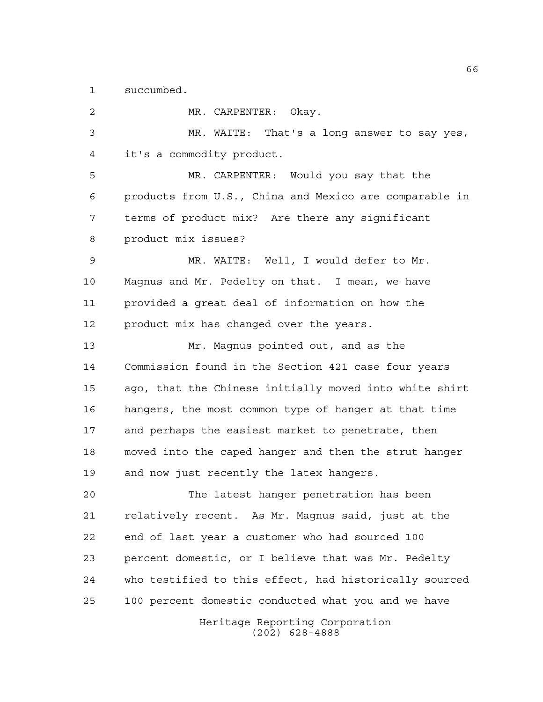succumbed.

Heritage Reporting Corporation (202) 628-4888 MR. CARPENTER: Okay. MR. WAITE: That's a long answer to say yes, it's a commodity product. MR. CARPENTER: Would you say that the products from U.S., China and Mexico are comparable in terms of product mix? Are there any significant product mix issues? MR. WAITE: Well, I would defer to Mr. Magnus and Mr. Pedelty on that. I mean, we have provided a great deal of information on how the product mix has changed over the years. Mr. Magnus pointed out, and as the Commission found in the Section 421 case four years ago, that the Chinese initially moved into white shirt hangers, the most common type of hanger at that time and perhaps the easiest market to penetrate, then moved into the caped hanger and then the strut hanger and now just recently the latex hangers. The latest hanger penetration has been relatively recent. As Mr. Magnus said, just at the end of last year a customer who had sourced 100 percent domestic, or I believe that was Mr. Pedelty who testified to this effect, had historically sourced 100 percent domestic conducted what you and we have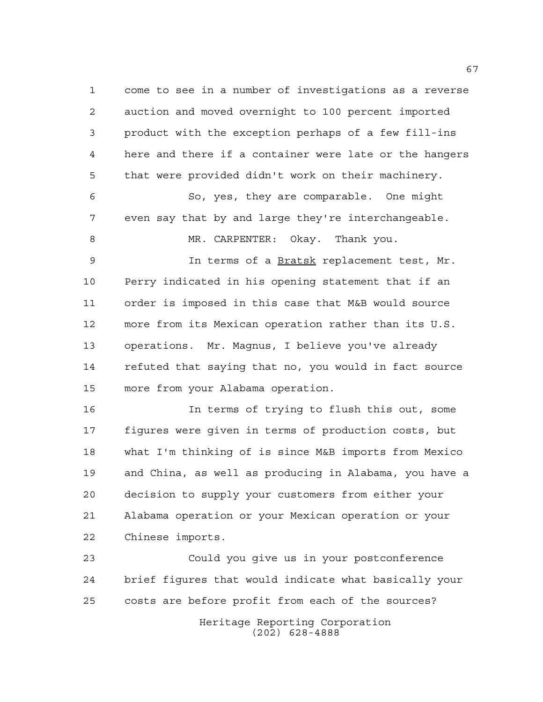come to see in a number of investigations as a reverse auction and moved overnight to 100 percent imported product with the exception perhaps of a few fill-ins here and there if a container were late or the hangers that were provided didn't work on their machinery. So, yes, they are comparable. One might even say that by and large they're interchangeable. MR. CARPENTER: Okay. Thank you. 9 1n terms of a Bratsk replacement test, Mr. Perry indicated in his opening statement that if an order is imposed in this case that M&B would source more from its Mexican operation rather than its U.S. operations. Mr. Magnus, I believe you've already refuted that saying that no, you would in fact source

more from your Alabama operation.

 In terms of trying to flush this out, some figures were given in terms of production costs, but what I'm thinking of is since M&B imports from Mexico and China, as well as producing in Alabama, you have a decision to supply your customers from either your Alabama operation or your Mexican operation or your Chinese imports.

 Could you give us in your postconference brief figures that would indicate what basically your costs are before profit from each of the sources?

> Heritage Reporting Corporation (202) 628-4888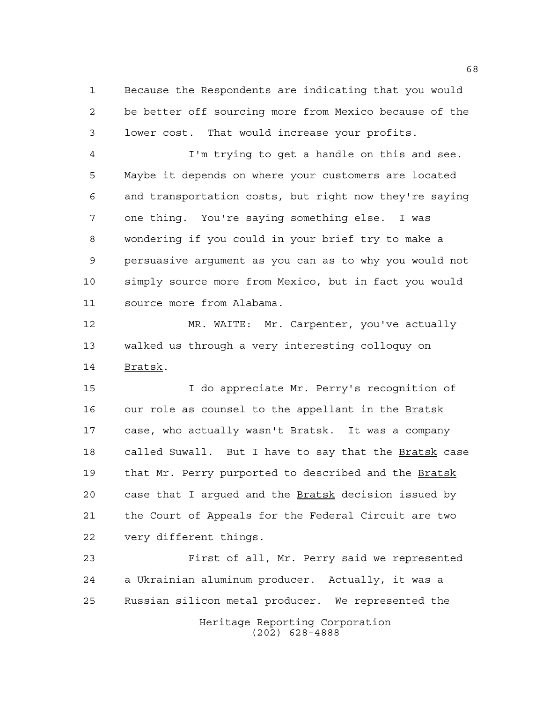Because the Respondents are indicating that you would be better off sourcing more from Mexico because of the lower cost. That would increase your profits.

 I'm trying to get a handle on this and see. Maybe it depends on where your customers are located and transportation costs, but right now they're saying one thing. You're saying something else. I was wondering if you could in your brief try to make a persuasive argument as you can as to why you would not simply source more from Mexico, but in fact you would source more from Alabama.

 MR. WAITE: Mr. Carpenter, you've actually walked us through a very interesting colloquy on Bratsk.

 I do appreciate Mr. Perry's recognition of 16 our role as counsel to the appellant in the Bratsk case, who actually wasn't Bratsk. It was a company 18 called Suwall. But I have to say that the Bratsk case that Mr. Perry purported to described and the Bratsk 20 case that I argued and the **Bratsk** decision issued by the Court of Appeals for the Federal Circuit are two very different things.

Heritage Reporting Corporation (202) 628-4888 First of all, Mr. Perry said we represented a Ukrainian aluminum producer. Actually, it was a Russian silicon metal producer. We represented the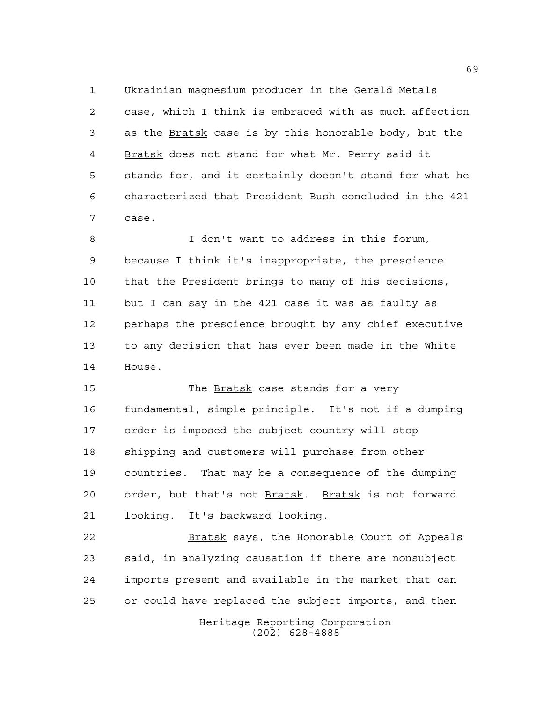Ukrainian magnesium producer in the Gerald Metals case, which I think is embraced with as much affection as the Bratsk case is by this honorable body, but the Bratsk does not stand for what Mr. Perry said it stands for, and it certainly doesn't stand for what he characterized that President Bush concluded in the 421 case.

 I don't want to address in this forum, because I think it's inappropriate, the prescience that the President brings to many of his decisions, but I can say in the 421 case it was as faulty as perhaps the prescience brought by any chief executive to any decision that has ever been made in the White House.

 The Bratsk case stands for a very fundamental, simple principle. It's not if a dumping order is imposed the subject country will stop shipping and customers will purchase from other countries. That may be a consequence of the dumping order, but that's not Bratsk. Bratsk is not forward looking. It's backward looking.

 Bratsk says, the Honorable Court of Appeals said, in analyzing causation if there are nonsubject imports present and available in the market that can or could have replaced the subject imports, and then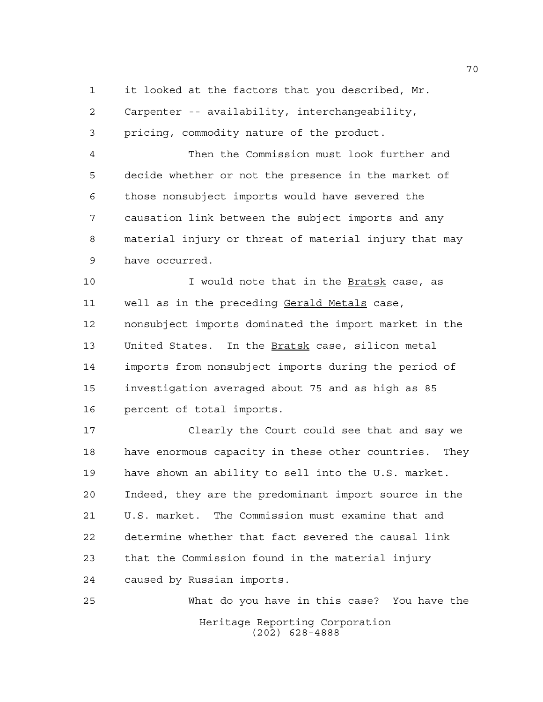it looked at the factors that you described, Mr.

Carpenter -- availability, interchangeability,

pricing, commodity nature of the product.

 Then the Commission must look further and decide whether or not the presence in the market of those nonsubject imports would have severed the causation link between the subject imports and any material injury or threat of material injury that may have occurred.

10 10 I would note that in the **Bratsk** case, as well as in the preceding Gerald Metals case, nonsubject imports dominated the import market in the United States. In the Bratsk case, silicon metal imports from nonsubject imports during the period of investigation averaged about 75 and as high as 85 percent of total imports.

 Clearly the Court could see that and say we have enormous capacity in these other countries. They have shown an ability to sell into the U.S. market. Indeed, they are the predominant import source in the U.S. market. The Commission must examine that and determine whether that fact severed the causal link that the Commission found in the material injury caused by Russian imports.

Heritage Reporting Corporation (202) 628-4888 What do you have in this case? You have the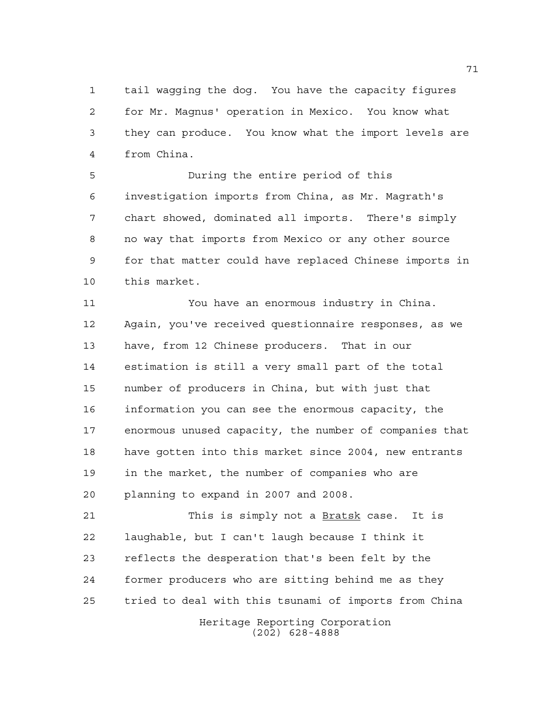tail wagging the dog. You have the capacity figures for Mr. Magnus' operation in Mexico. You know what they can produce. You know what the import levels are from China.

 During the entire period of this investigation imports from China, as Mr. Magrath's chart showed, dominated all imports. There's simply no way that imports from Mexico or any other source for that matter could have replaced Chinese imports in this market.

 You have an enormous industry in China. Again, you've received questionnaire responses, as we have, from 12 Chinese producers. That in our estimation is still a very small part of the total number of producers in China, but with just that information you can see the enormous capacity, the enormous unused capacity, the number of companies that have gotten into this market since 2004, new entrants in the market, the number of companies who are planning to expand in 2007 and 2008.

21 This is simply not a <u>Bratsk</u> case. It is laughable, but I can't laugh because I think it reflects the desperation that's been felt by the former producers who are sitting behind me as they tried to deal with this tsunami of imports from China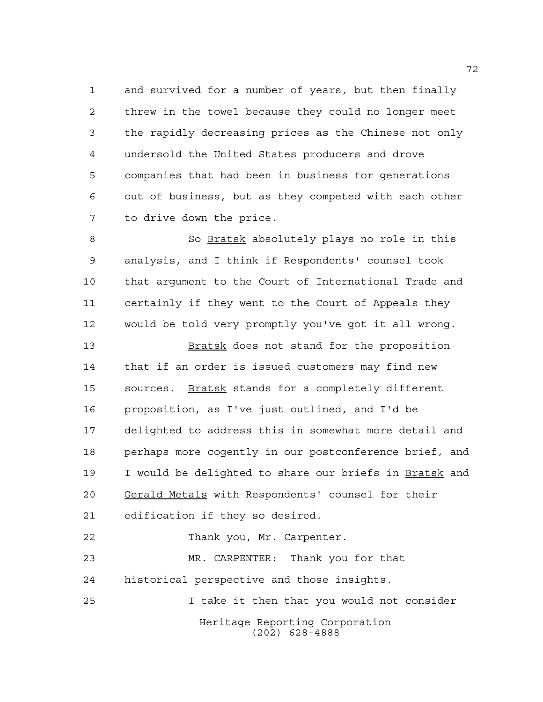and survived for a number of years, but then finally threw in the towel because they could no longer meet the rapidly decreasing prices as the Chinese not only undersold the United States producers and drove companies that had been in business for generations out of business, but as they competed with each other to drive down the price.

 So Bratsk absolutely plays no role in this analysis, and I think if Respondents' counsel took that argument to the Court of International Trade and certainly if they went to the Court of Appeals they would be told very promptly you've got it all wrong.

13 Bratsk does not stand for the proposition that if an order is issued customers may find new sources. Bratsk stands for a completely different proposition, as I've just outlined, and I'd be delighted to address this in somewhat more detail and perhaps more cogently in our postconference brief, and I would be delighted to share our briefs in Bratsk and Gerald Metals with Respondents' counsel for their edification if they so desired.

Heritage Reporting Corporation (202) 628-4888 22 Thank you, Mr. Carpenter. MR. CARPENTER: Thank you for that historical perspective and those insights. I take it then that you would not consider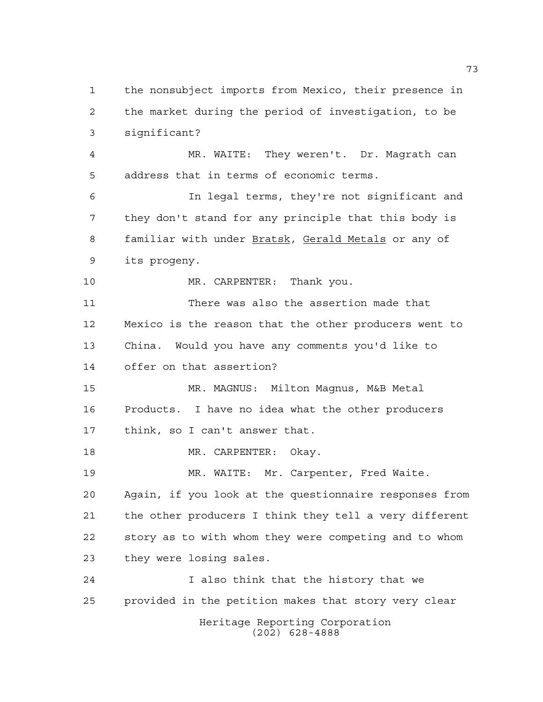Heritage Reporting Corporation (202) 628-4888 the nonsubject imports from Mexico, their presence in the market during the period of investigation, to be significant? MR. WAITE: They weren't. Dr. Magrath can address that in terms of economic terms. In legal terms, they're not significant and they don't stand for any principle that this body is familiar with under Bratsk, Gerald Metals or any of its progeny. 10 MR. CARPENTER: Thank you. There was also the assertion made that Mexico is the reason that the other producers went to China. Would you have any comments you'd like to offer on that assertion? MR. MAGNUS: Milton Magnus, M&B Metal Products. I have no idea what the other producers think, so I can't answer that. 18 MR. CARPENTER: Okay. MR. WAITE: Mr. Carpenter, Fred Waite. Again, if you look at the questionnaire responses from the other producers I think they tell a very different story as to with whom they were competing and to whom they were losing sales. I also think that the history that we provided in the petition makes that story very clear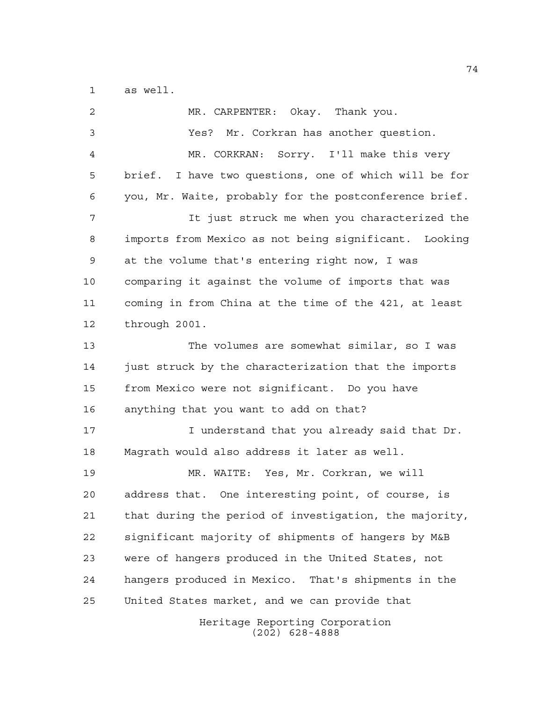as well.

| 2  | MR. CARPENTER: Okay. Thank you.                        |
|----|--------------------------------------------------------|
| 3  | Yes? Mr. Corkran has another question.                 |
| 4  | MR. CORKRAN: Sorry. I'll make this very                |
| 5  | brief. I have two questions, one of which will be for  |
| 6  | you, Mr. Waite, probably for the postconference brief. |
| 7  | It just struck me when you characterized the           |
| 8  | imports from Mexico as not being significant. Looking  |
| 9  | at the volume that's entering right now, I was         |
| 10 | comparing it against the volume of imports that was    |
| 11 | coming in from China at the time of the 421, at least  |
| 12 | through 2001.                                          |
| 13 | The volumes are somewhat similar, so I was             |
| 14 | just struck by the characterization that the imports   |
| 15 | from Mexico were not significant. Do you have          |
| 16 | anything that you want to add on that?                 |
| 17 | I understand that you already said that Dr.            |
| 18 | Magrath would also address it later as well.           |
| 19 | MR. WAITE: Yes, Mr. Corkran, we will                   |
| 20 | address that. One interesting point, of course, is     |
| 21 | that during the period of investigation, the majority, |
| 22 | significant majority of shipments of hangers by M&B    |
| 23 | were of hangers produced in the United States, not     |
| 24 | hangers produced in Mexico. That's shipments in the    |
| 25 | United States market, and we can provide that          |
|    | Heritage Reporting Corporation                         |

(202) 628-4888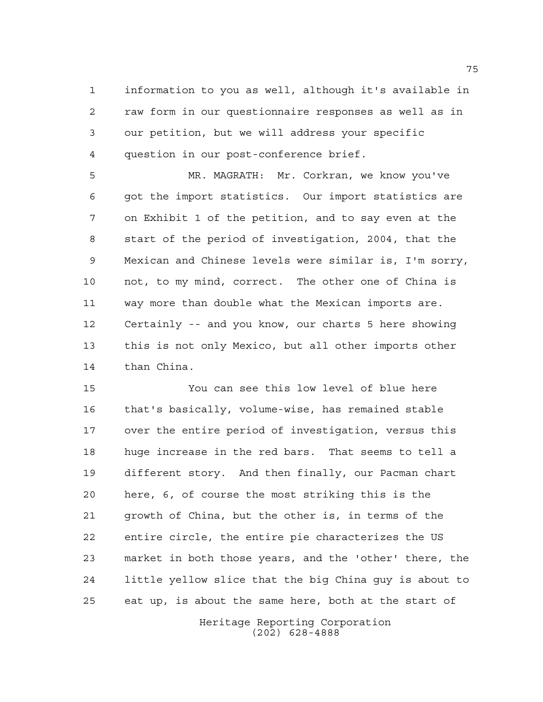information to you as well, although it's available in raw form in our questionnaire responses as well as in our petition, but we will address your specific question in our post-conference brief.

 MR. MAGRATH: Mr. Corkran, we know you've got the import statistics. Our import statistics are on Exhibit 1 of the petition, and to say even at the start of the period of investigation, 2004, that the Mexican and Chinese levels were similar is, I'm sorry, not, to my mind, correct. The other one of China is way more than double what the Mexican imports are. Certainly -- and you know, our charts 5 here showing this is not only Mexico, but all other imports other than China.

 You can see this low level of blue here that's basically, volume-wise, has remained stable over the entire period of investigation, versus this huge increase in the red bars. That seems to tell a different story. And then finally, our Pacman chart here, 6, of course the most striking this is the growth of China, but the other is, in terms of the entire circle, the entire pie characterizes the US market in both those years, and the 'other' there, the little yellow slice that the big China guy is about to eat up, is about the same here, both at the start of

> Heritage Reporting Corporation (202) 628-4888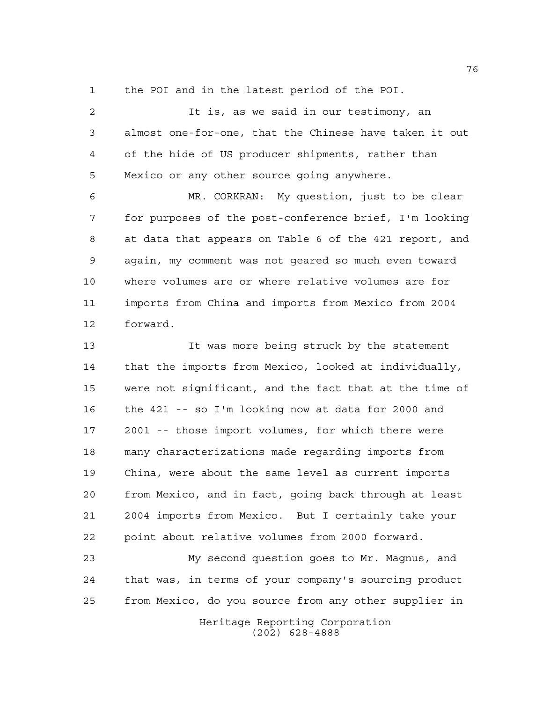the POI and in the latest period of the POI.

 It is, as we said in our testimony, an almost one-for-one, that the Chinese have taken it out of the hide of US producer shipments, rather than Mexico or any other source going anywhere.

 MR. CORKRAN: My question, just to be clear for purposes of the post-conference brief, I'm looking at data that appears on Table 6 of the 421 report, and again, my comment was not geared so much even toward where volumes are or where relative volumes are for imports from China and imports from Mexico from 2004 forward.

 It was more being struck by the statement that the imports from Mexico, looked at individually, were not significant, and the fact that at the time of the 421 -- so I'm looking now at data for 2000 and 2001 -- those import volumes, for which there were many characterizations made regarding imports from China, were about the same level as current imports from Mexico, and in fact, going back through at least 2004 imports from Mexico. But I certainly take your point about relative volumes from 2000 forward.

 My second question goes to Mr. Magnus, and that was, in terms of your company's sourcing product from Mexico, do you source from any other supplier in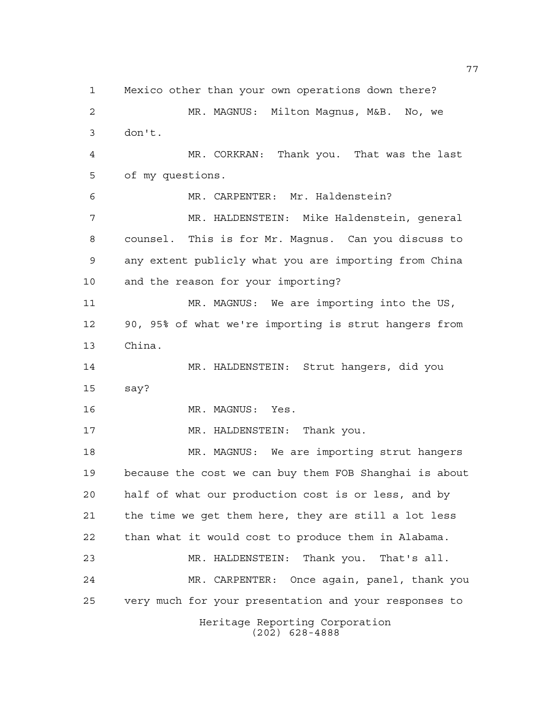Heritage Reporting Corporation Mexico other than your own operations down there? MR. MAGNUS: Milton Magnus, M&B. No, we don't. MR. CORKRAN: Thank you. That was the last of my questions. MR. CARPENTER: Mr. Haldenstein? MR. HALDENSTEIN: Mike Haldenstein, general counsel. This is for Mr. Magnus. Can you discuss to any extent publicly what you are importing from China and the reason for your importing? MR. MAGNUS: We are importing into the US, 90, 95% of what we're importing is strut hangers from China. MR. HALDENSTEIN: Strut hangers, did you say? 16 MR. MAGNUS: Yes. 17 MR. HALDENSTEIN: Thank you. MR. MAGNUS: We are importing strut hangers because the cost we can buy them FOB Shanghai is about half of what our production cost is or less, and by the time we get them here, they are still a lot less than what it would cost to produce them in Alabama. MR. HALDENSTEIN: Thank you. That's all. MR. CARPENTER: Once again, panel, thank you very much for your presentation and your responses to

(202) 628-4888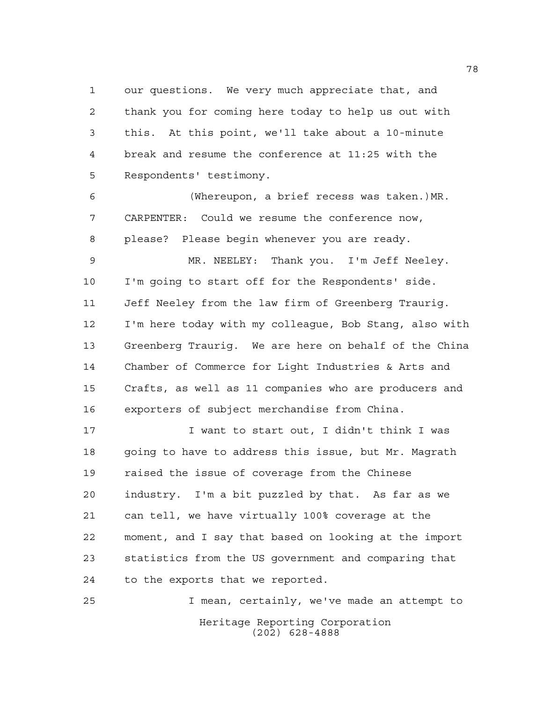our questions. We very much appreciate that, and thank you for coming here today to help us out with this. At this point, we'll take about a 10-minute break and resume the conference at 11:25 with the Respondents' testimony.

 (Whereupon, a brief recess was taken.)MR. CARPENTER: Could we resume the conference now, please? Please begin whenever you are ready.

 MR. NEELEY: Thank you. I'm Jeff Neeley. I'm going to start off for the Respondents' side. Jeff Neeley from the law firm of Greenberg Traurig. I'm here today with my colleague, Bob Stang, also with Greenberg Traurig. We are here on behalf of the China Chamber of Commerce for Light Industries & Arts and Crafts, as well as 11 companies who are producers and exporters of subject merchandise from China.

 I want to start out, I didn't think I was going to have to address this issue, but Mr. Magrath raised the issue of coverage from the Chinese industry. I'm a bit puzzled by that. As far as we can tell, we have virtually 100% coverage at the moment, and I say that based on looking at the import statistics from the US government and comparing that to the exports that we reported.

Heritage Reporting Corporation (202) 628-4888 I mean, certainly, we've made an attempt to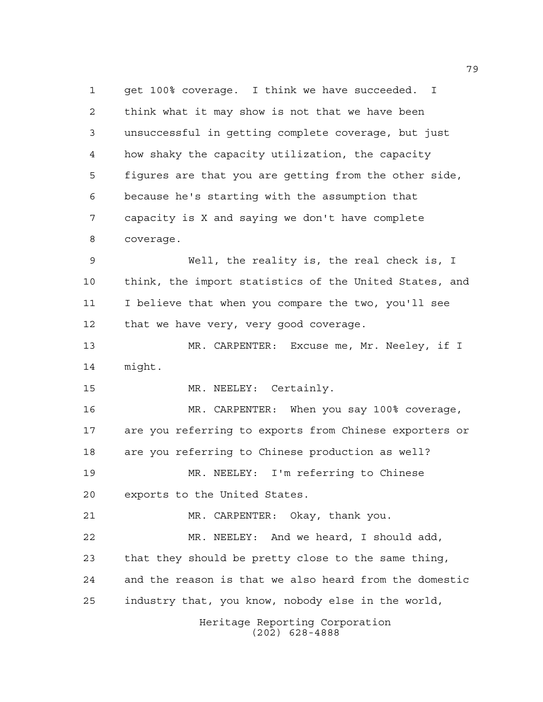get 100% coverage. I think we have succeeded. I think what it may show is not that we have been unsuccessful in getting complete coverage, but just how shaky the capacity utilization, the capacity figures are that you are getting from the other side, because he's starting with the assumption that capacity is X and saying we don't have complete coverage. Well, the reality is, the real check is, I

 think, the import statistics of the United States, and I believe that when you compare the two, you'll see that we have very, very good coverage.

 MR. CARPENTER: Excuse me, Mr. Neeley, if I might.

MR. NEELEY: Certainly.

 MR. CARPENTER: When you say 100% coverage, are you referring to exports from Chinese exporters or are you referring to Chinese production as well?

 MR. NEELEY: I'm referring to Chinese exports to the United States.

 MR. CARPENTER: Okay, thank you. MR. NEELEY: And we heard, I should add, that they should be pretty close to the same thing, and the reason is that we also heard from the domestic industry that, you know, nobody else in the world,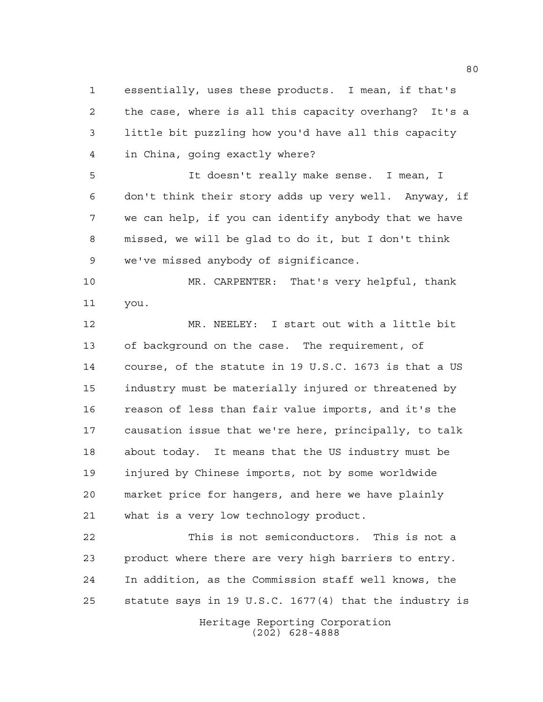essentially, uses these products. I mean, if that's the case, where is all this capacity overhang? It's a little bit puzzling how you'd have all this capacity in China, going exactly where?

 It doesn't really make sense. I mean, I don't think their story adds up very well. Anyway, if we can help, if you can identify anybody that we have missed, we will be glad to do it, but I don't think we've missed anybody of significance.

 MR. CARPENTER: That's very helpful, thank you.

 MR. NEELEY: I start out with a little bit of background on the case. The requirement, of course, of the statute in 19 U.S.C. 1673 is that a US industry must be materially injured or threatened by reason of less than fair value imports, and it's the causation issue that we're here, principally, to talk about today. It means that the US industry must be injured by Chinese imports, not by some worldwide market price for hangers, and here we have plainly what is a very low technology product.

 This is not semiconductors. This is not a product where there are very high barriers to entry. In addition, as the Commission staff well knows, the statute says in 19 U.S.C. 1677(4) that the industry is

> Heritage Reporting Corporation (202) 628-4888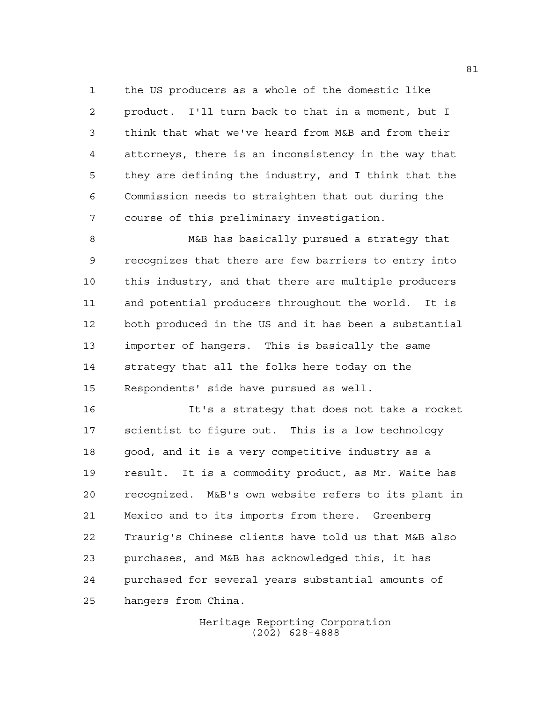the US producers as a whole of the domestic like product. I'll turn back to that in a moment, but I think that what we've heard from M&B and from their attorneys, there is an inconsistency in the way that they are defining the industry, and I think that the Commission needs to straighten that out during the course of this preliminary investigation.

 M&B has basically pursued a strategy that recognizes that there are few barriers to entry into this industry, and that there are multiple producers and potential producers throughout the world. It is both produced in the US and it has been a substantial importer of hangers. This is basically the same strategy that all the folks here today on the Respondents' side have pursued as well.

 It's a strategy that does not take a rocket scientist to figure out. This is a low technology good, and it is a very competitive industry as a result. It is a commodity product, as Mr. Waite has recognized. M&B's own website refers to its plant in Mexico and to its imports from there. Greenberg Traurig's Chinese clients have told us that M&B also purchases, and M&B has acknowledged this, it has purchased for several years substantial amounts of hangers from China.

> Heritage Reporting Corporation (202) 628-4888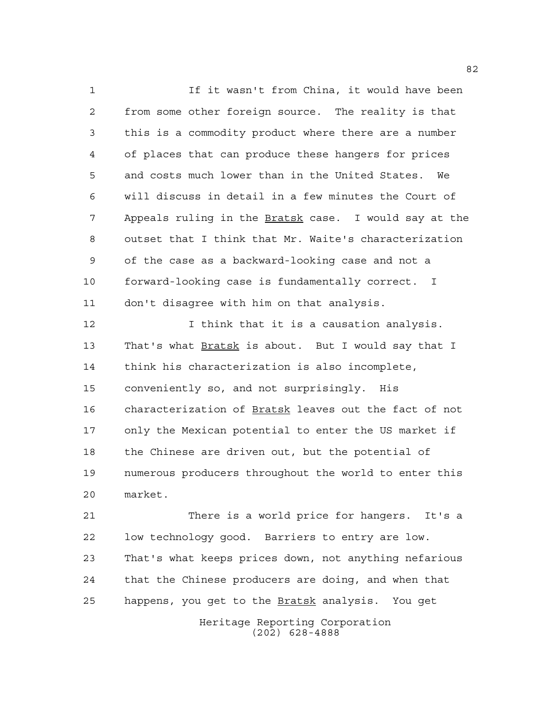If it wasn't from China, it would have been from some other foreign source. The reality is that this is a commodity product where there are a number of places that can produce these hangers for prices and costs much lower than in the United States. We will discuss in detail in a few minutes the Court of Appeals ruling in the Bratsk case. I would say at the outset that I think that Mr. Waite's characterization of the case as a backward-looking case and not a forward-looking case is fundamentally correct. I don't disagree with him on that analysis.

12 12 I think that it is a causation analysis. 13 That's what Bratsk is about. But I would say that I think his characterization is also incomplete, conveniently so, and not surprisingly. His characterization of Bratsk leaves out the fact of not only the Mexican potential to enter the US market if the Chinese are driven out, but the potential of numerous producers throughout the world to enter this market.

 There is a world price for hangers. It's a low technology good. Barriers to entry are low. That's what keeps prices down, not anything nefarious that the Chinese producers are doing, and when that 25 happens, you get to the **Bratsk** analysis. You get

> Heritage Reporting Corporation (202) 628-4888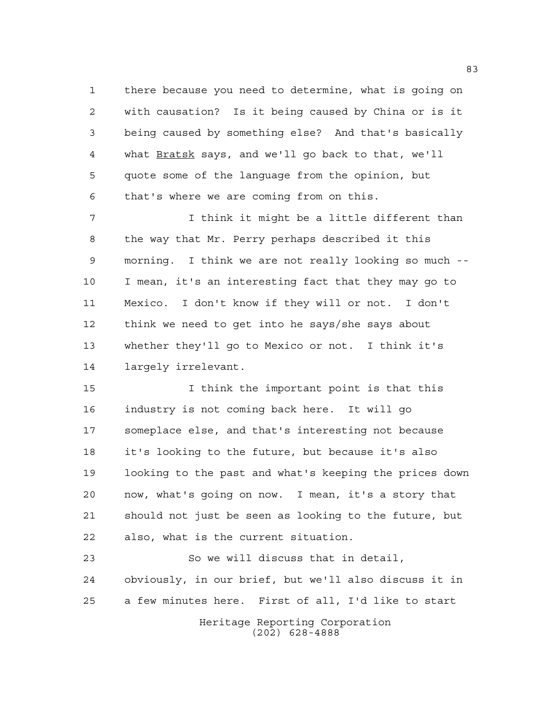there because you need to determine, what is going on with causation? Is it being caused by China or is it being caused by something else? And that's basically 4 what Bratsk says, and we'll go back to that, we'll quote some of the language from the opinion, but that's where we are coming from on this.

 I think it might be a little different than the way that Mr. Perry perhaps described it this morning. I think we are not really looking so much -- I mean, it's an interesting fact that they may go to Mexico. I don't know if they will or not. I don't think we need to get into he says/she says about whether they'll go to Mexico or not. I think it's largely irrelevant.

 I think the important point is that this industry is not coming back here. It will go someplace else, and that's interesting not because it's looking to the future, but because it's also looking to the past and what's keeping the prices down now, what's going on now. I mean, it's a story that should not just be seen as looking to the future, but also, what is the current situation.

Heritage Reporting Corporation (202) 628-4888 So we will discuss that in detail, obviously, in our brief, but we'll also discuss it in a few minutes here. First of all, I'd like to start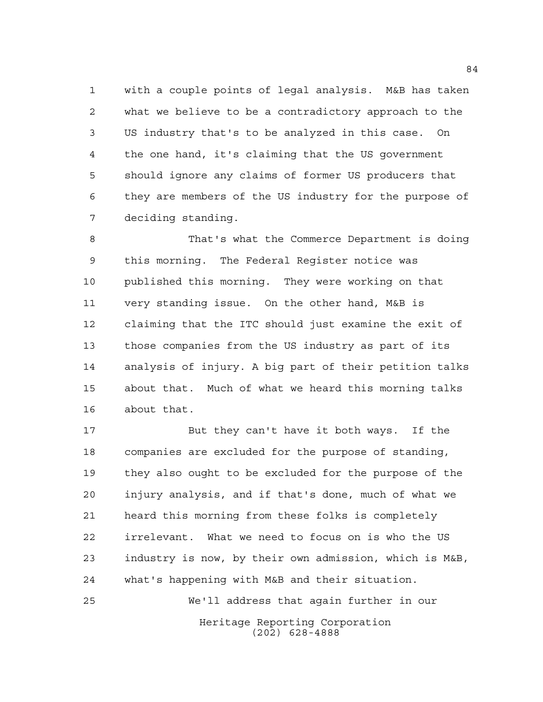with a couple points of legal analysis. M&B has taken what we believe to be a contradictory approach to the US industry that's to be analyzed in this case. On the one hand, it's claiming that the US government should ignore any claims of former US producers that they are members of the US industry for the purpose of deciding standing.

 That's what the Commerce Department is doing this morning. The Federal Register notice was published this morning. They were working on that very standing issue. On the other hand, M&B is claiming that the ITC should just examine the exit of those companies from the US industry as part of its analysis of injury. A big part of their petition talks about that. Much of what we heard this morning talks about that.

 But they can't have it both ways. If the companies are excluded for the purpose of standing, they also ought to be excluded for the purpose of the injury analysis, and if that's done, much of what we heard this morning from these folks is completely irrelevant. What we need to focus on is who the US industry is now, by their own admission, which is M&B, what's happening with M&B and their situation.

We'll address that again further in our

Heritage Reporting Corporation (202) 628-4888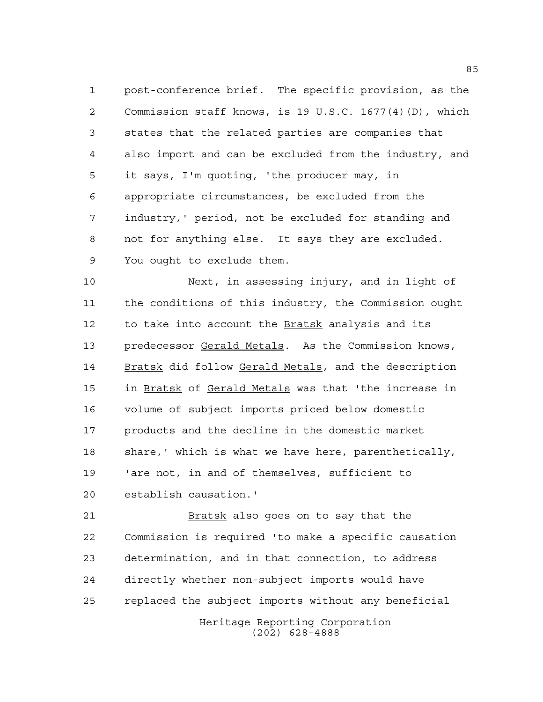post-conference brief. The specific provision, as the Commission staff knows, is 19 U.S.C. 1677(4)(D), which states that the related parties are companies that also import and can be excluded from the industry, and it says, I'm quoting, 'the producer may, in appropriate circumstances, be excluded from the industry,' period, not be excluded for standing and not for anything else. It says they are excluded. You ought to exclude them.

 Next, in assessing injury, and in light of the conditions of this industry, the Commission ought to take into account the Bratsk analysis and its predecessor Gerald Metals. As the Commission knows, Bratsk did follow Gerald Metals, and the description in Bratsk of Gerald Metals was that 'the increase in volume of subject imports priced below domestic products and the decline in the domestic market share,' which is what we have here, parenthetically, 'are not, in and of themselves, sufficient to establish causation.'

Heritage Reporting Corporation 21 Bratsk also goes on to say that the Commission is required 'to make a specific causation determination, and in that connection, to address directly whether non-subject imports would have replaced the subject imports without any beneficial

(202) 628-4888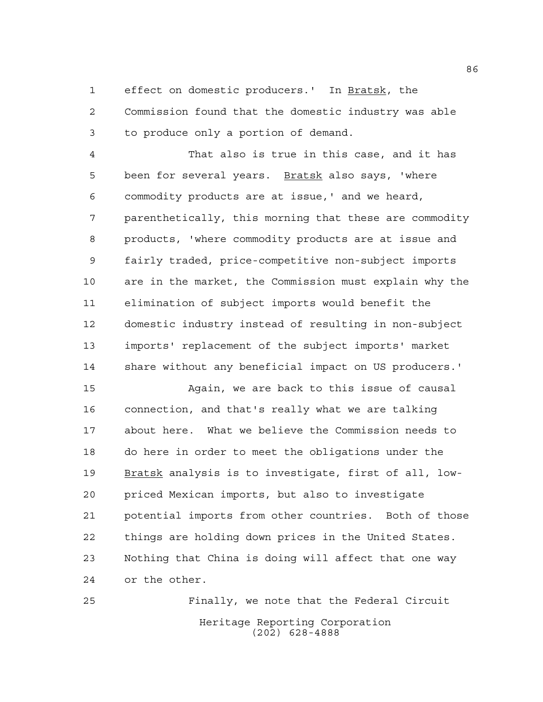effect on domestic producers.' In Bratsk, the

 Commission found that the domestic industry was able to produce only a portion of demand.

 That also is true in this case, and it has 5 been for several years. Bratsk also says, 'where commodity products are at issue,' and we heard, parenthetically, this morning that these are commodity products, 'where commodity products are at issue and fairly traded, price-competitive non-subject imports are in the market, the Commission must explain why the elimination of subject imports would benefit the domestic industry instead of resulting in non-subject imports' replacement of the subject imports' market share without any beneficial impact on US producers.'

 Again, we are back to this issue of causal connection, and that's really what we are talking about here. What we believe the Commission needs to do here in order to meet the obligations under the Bratsk analysis is to investigate, first of all, low- priced Mexican imports, but also to investigate potential imports from other countries. Both of those things are holding down prices in the United States. Nothing that China is doing will affect that one way or the other.

Heritage Reporting Corporation (202) 628-4888 Finally, we note that the Federal Circuit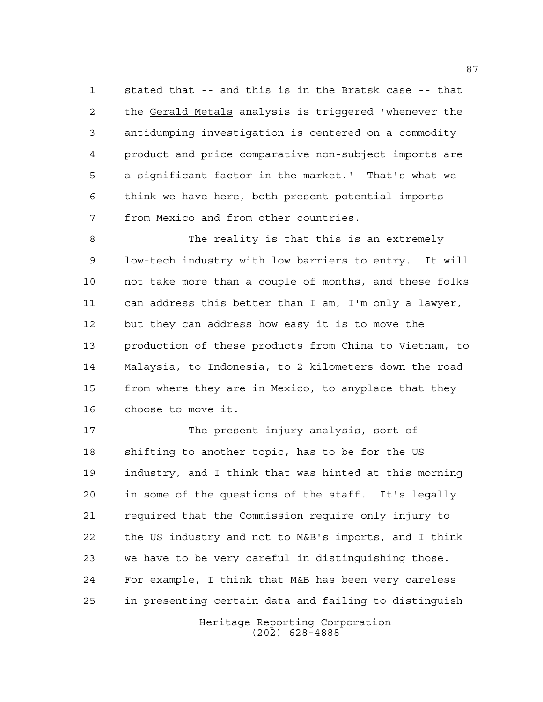stated that -- and this is in the Bratsk case -- that the Gerald Metals analysis is triggered 'whenever the antidumping investigation is centered on a commodity product and price comparative non-subject imports are a significant factor in the market.' That's what we think we have here, both present potential imports from Mexico and from other countries.

 The reality is that this is an extremely low-tech industry with low barriers to entry. It will not take more than a couple of months, and these folks can address this better than I am, I'm only a lawyer, but they can address how easy it is to move the production of these products from China to Vietnam, to Malaysia, to Indonesia, to 2 kilometers down the road from where they are in Mexico, to anyplace that they choose to move it.

 The present injury analysis, sort of shifting to another topic, has to be for the US industry, and I think that was hinted at this morning in some of the questions of the staff. It's legally required that the Commission require only injury to the US industry and not to M&B's imports, and I think we have to be very careful in distinguishing those. For example, I think that M&B has been very careless in presenting certain data and failing to distinguish

> Heritage Reporting Corporation (202) 628-4888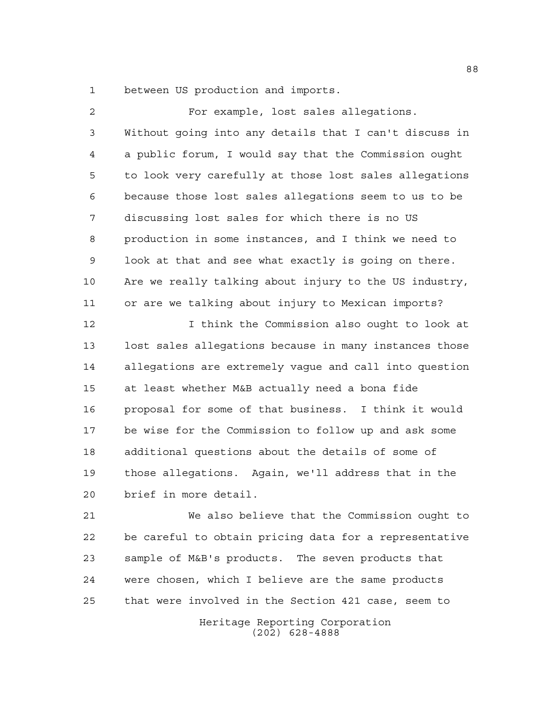between US production and imports.

| $\overline{a}$ | For example, lost sales allegations.                   |
|----------------|--------------------------------------------------------|
| 3              | Without going into any details that I can't discuss in |
| 4              | a public forum, I would say that the Commission ought  |
| 5              | to look very carefully at those lost sales allegations |
| 6              | because those lost sales allegations seem to us to be  |
| 7              | discussing lost sales for which there is no US         |
| 8              | production in some instances, and I think we need to   |
| 9              | look at that and see what exactly is going on there.   |
| 10             | Are we really talking about injury to the US industry, |
| 11             | or are we talking about injury to Mexican imports?     |
| 12             | I think the Commission also ought to look at           |
| 13             | lost sales allegations because in many instances those |
| 14             | allegations are extremely vague and call into question |
| 15             | at least whether M&B actually need a bona fide         |
| 16             | proposal for some of that business. I think it would   |
| 17             | be wise for the Commission to follow up and ask some   |
| 18             | additional questions about the details of some of      |
| 19             | those allegations. Again, we'll address that in the    |
| 20             | brief in more detail.                                  |
| 21             | We also believe that the Commission ought to           |
| 22             | be careful to obtain pricing data for a representative |
| 23             | sample of M&B's products. The seven products that      |
| 24             | were chosen, which I believe are the same products     |
|                |                                                        |

that were involved in the Section 421 case, seem to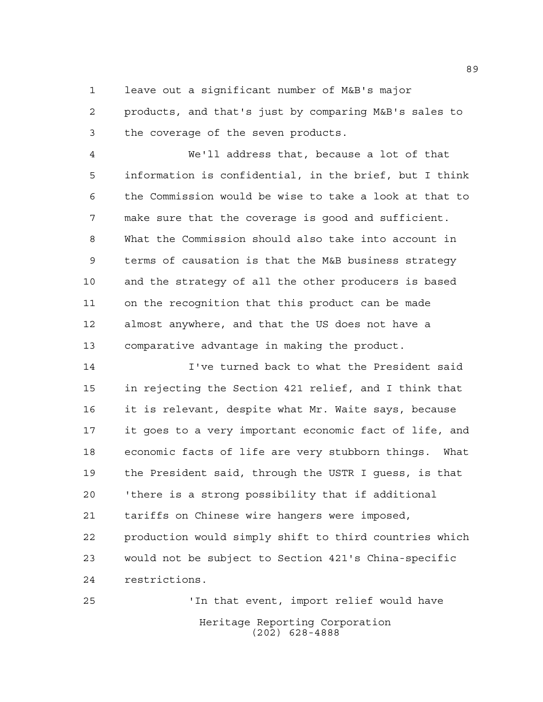leave out a significant number of M&B's major

 products, and that's just by comparing M&B's sales to the coverage of the seven products.

 We'll address that, because a lot of that information is confidential, in the brief, but I think the Commission would be wise to take a look at that to make sure that the coverage is good and sufficient. What the Commission should also take into account in terms of causation is that the M&B business strategy and the strategy of all the other producers is based on the recognition that this product can be made almost anywhere, and that the US does not have a comparative advantage in making the product.

 I've turned back to what the President said in rejecting the Section 421 relief, and I think that it is relevant, despite what Mr. Waite says, because it goes to a very important economic fact of life, and economic facts of life are very stubborn things. What the President said, through the USTR I guess, is that 'there is a strong possibility that if additional tariffs on Chinese wire hangers were imposed, production would simply shift to third countries which would not be subject to Section 421's China-specific restrictions.

Heritage Reporting Corporation (202) 628-4888 'In that event, import relief would have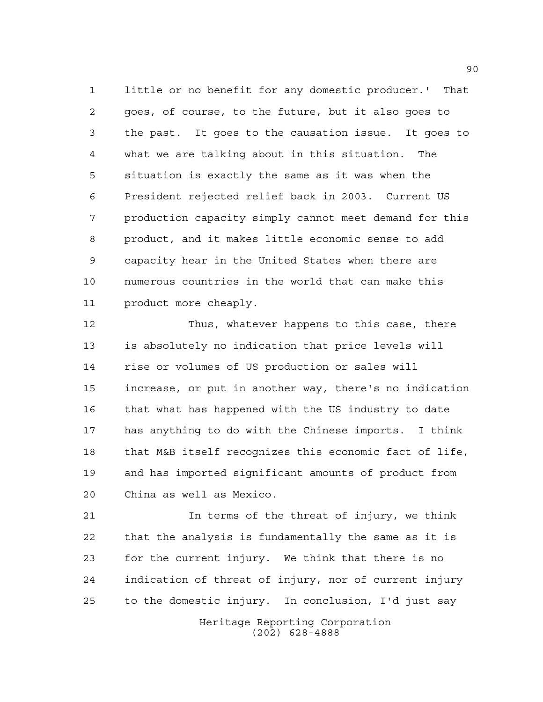little or no benefit for any domestic producer.' That goes, of course, to the future, but it also goes to the past. It goes to the causation issue. It goes to what we are talking about in this situation. The situation is exactly the same as it was when the President rejected relief back in 2003. Current US production capacity simply cannot meet demand for this product, and it makes little economic sense to add capacity hear in the United States when there are numerous countries in the world that can make this product more cheaply.

 Thus, whatever happens to this case, there is absolutely no indication that price levels will rise or volumes of US production or sales will increase, or put in another way, there's no indication that what has happened with the US industry to date has anything to do with the Chinese imports. I think that M&B itself recognizes this economic fact of life, and has imported significant amounts of product from China as well as Mexico.

 In terms of the threat of injury, we think that the analysis is fundamentally the same as it is for the current injury. We think that there is no indication of threat of injury, nor of current injury to the domestic injury. In conclusion, I'd just say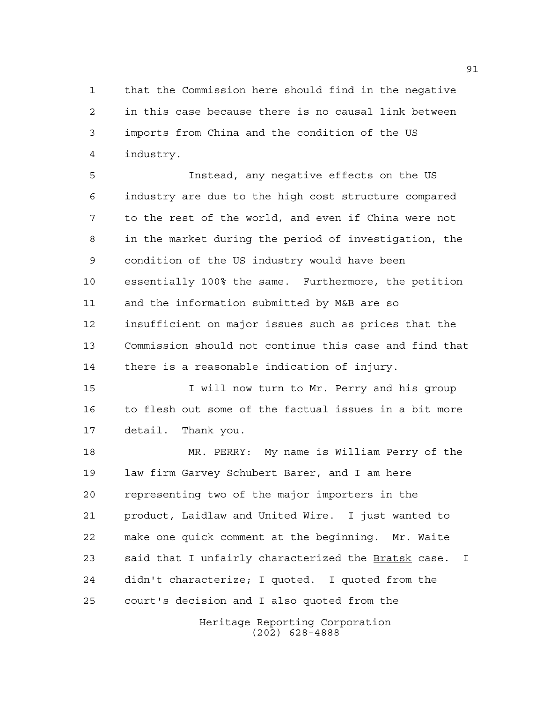that the Commission here should find in the negative in this case because there is no causal link between imports from China and the condition of the US industry.

 Instead, any negative effects on the US industry are due to the high cost structure compared to the rest of the world, and even if China were not in the market during the period of investigation, the condition of the US industry would have been essentially 100% the same. Furthermore, the petition and the information submitted by M&B are so insufficient on major issues such as prices that the Commission should not continue this case and find that there is a reasonable indication of injury.

**I** will now turn to Mr. Perry and his group to flesh out some of the factual issues in a bit more detail. Thank you.

 MR. PERRY: My name is William Perry of the law firm Garvey Schubert Barer, and I am here representing two of the major importers in the product, Laidlaw and United Wire. I just wanted to make one quick comment at the beginning. Mr. Waite said that I unfairly characterized the Bratsk case. I didn't characterize; I quoted. I quoted from the court's decision and I also quoted from the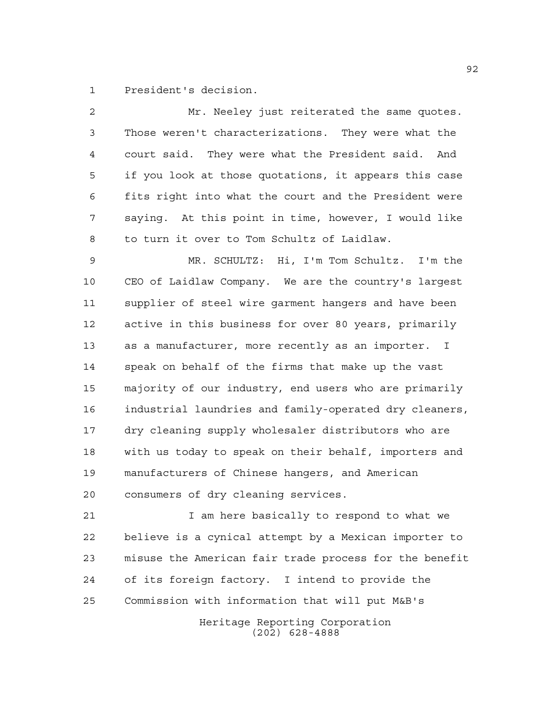President's decision.

| 2  | Mr. Neeley just reiterated the same quotes.            |
|----|--------------------------------------------------------|
| 3  | Those weren't characterizations. They were what the    |
| 4  | court said. They were what the President said. And     |
| 5  | if you look at those quotations, it appears this case  |
| 6  | fits right into what the court and the President were  |
| 7  | saying. At this point in time, however, I would like   |
| 8  | to turn it over to Tom Schultz of Laidlaw.             |
| 9  | MR. SCHULTZ: Hi, I'm Tom Schultz. I'm the              |
| 10 | CEO of Laidlaw Company. We are the country's largest   |
| 11 | supplier of steel wire garment hangers and have been   |
| 12 | active in this business for over 80 years, primarily   |
| 13 | as a manufacturer, more recently as an importer. I     |
| 14 | speak on behalf of the firms that make up the vast     |
| 15 | majority of our industry, end users who are primarily  |
| 16 | industrial laundries and family-operated dry cleaners, |
| 17 | dry cleaning supply wholesaler distributors who are    |
| 18 | with us today to speak on their behalf, importers and  |
| 19 | manufacturers of Chinese hangers, and American         |
| 20 | consumers of dry cleaning services.                    |
| 21 | I am here basically to respond to what we              |
| 22 | believe is a cynical attempt by a Mexican importer to  |
| 23 | misuse the American fair trade process for the benefit |
| 24 | of its foreign factory. I intend to provide the        |
| 25 | Commission with information that will put M&B's        |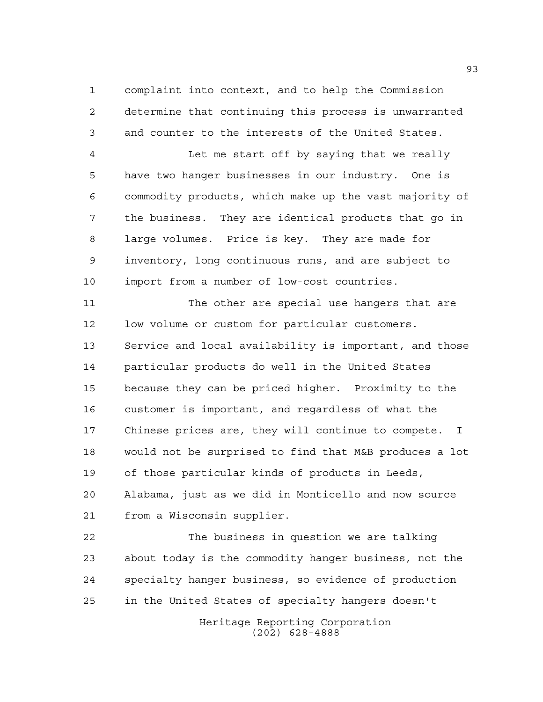complaint into context, and to help the Commission determine that continuing this process is unwarranted and counter to the interests of the United States.

 Let me start off by saying that we really have two hanger businesses in our industry. One is commodity products, which make up the vast majority of the business. They are identical products that go in large volumes. Price is key. They are made for inventory, long continuous runs, and are subject to import from a number of low-cost countries.

11 The other are special use hangers that are low volume or custom for particular customers. Service and local availability is important, and those particular products do well in the United States because they can be priced higher. Proximity to the customer is important, and regardless of what the Chinese prices are, they will continue to compete. I would not be surprised to find that M&B produces a lot of those particular kinds of products in Leeds, Alabama, just as we did in Monticello and now source from a Wisconsin supplier.

 The business in question we are talking about today is the commodity hanger business, not the specialty hanger business, so evidence of production in the United States of specialty hangers doesn't

> Heritage Reporting Corporation (202) 628-4888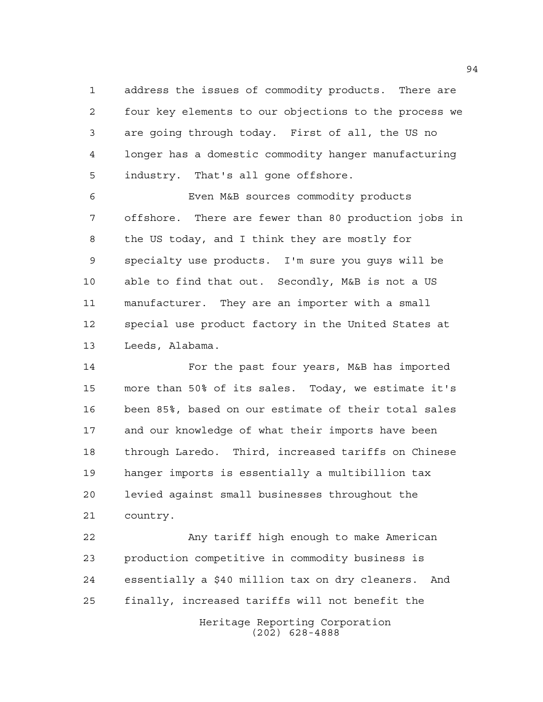address the issues of commodity products. There are four key elements to our objections to the process we are going through today. First of all, the US no longer has a domestic commodity hanger manufacturing industry. That's all gone offshore.

 Even M&B sources commodity products offshore. There are fewer than 80 production jobs in the US today, and I think they are mostly for specialty use products. I'm sure you guys will be able to find that out. Secondly, M&B is not a US manufacturer. They are an importer with a small special use product factory in the United States at Leeds, Alabama.

 For the past four years, M&B has imported more than 50% of its sales. Today, we estimate it's been 85%, based on our estimate of their total sales and our knowledge of what their imports have been through Laredo. Third, increased tariffs on Chinese hanger imports is essentially a multibillion tax levied against small businesses throughout the country.

Heritage Reporting Corporation (202) 628-4888 Any tariff high enough to make American production competitive in commodity business is essentially a \$40 million tax on dry cleaners. And finally, increased tariffs will not benefit the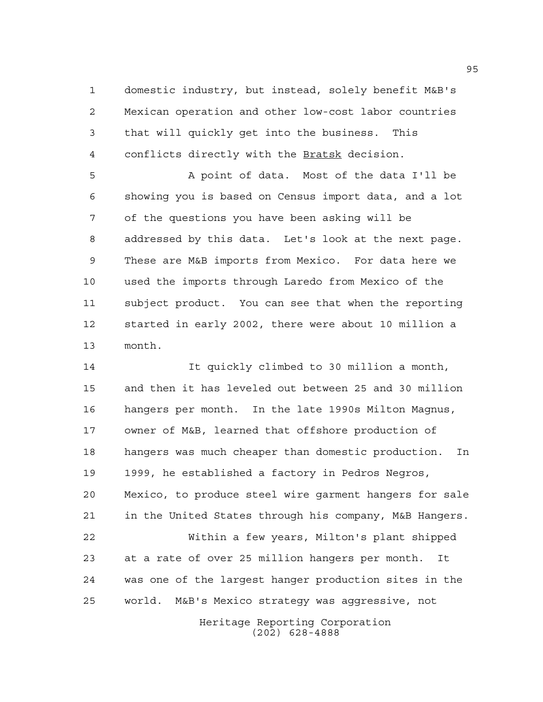domestic industry, but instead, solely benefit M&B's Mexican operation and other low-cost labor countries that will quickly get into the business. This conflicts directly with the Bratsk decision.

 A point of data. Most of the data I'll be showing you is based on Census import data, and a lot of the questions you have been asking will be addressed by this data. Let's look at the next page. These are M&B imports from Mexico. For data here we used the imports through Laredo from Mexico of the subject product. You can see that when the reporting started in early 2002, there were about 10 million a month.

 It quickly climbed to 30 million a month, and then it has leveled out between 25 and 30 million hangers per month. In the late 1990s Milton Magnus, owner of M&B, learned that offshore production of hangers was much cheaper than domestic production. In 1999, he established a factory in Pedros Negros, Mexico, to produce steel wire garment hangers for sale in the United States through his company, M&B Hangers. Within a few years, Milton's plant shipped at a rate of over 25 million hangers per month. It was one of the largest hanger production sites in the world. M&B's Mexico strategy was aggressive, not

Heritage Reporting Corporation (202) 628-4888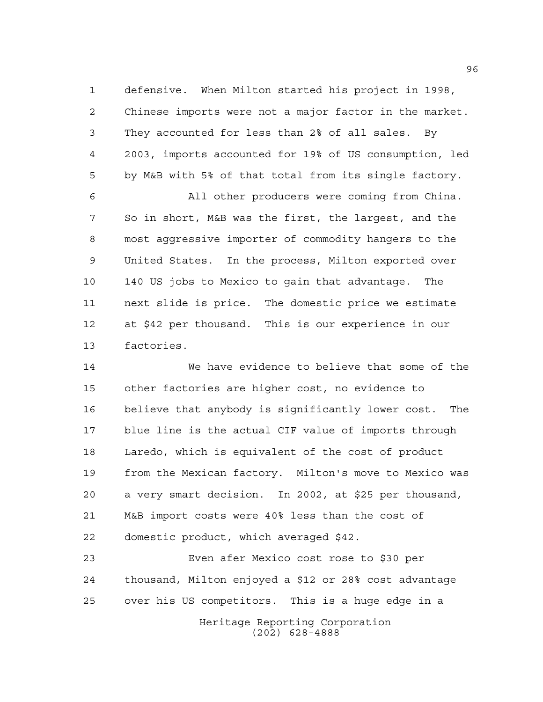defensive. When Milton started his project in 1998, Chinese imports were not a major factor in the market. They accounted for less than 2% of all sales. By 2003, imports accounted for 19% of US consumption, led by M&B with 5% of that total from its single factory.

 All other producers were coming from China. So in short, M&B was the first, the largest, and the most aggressive importer of commodity hangers to the United States. In the process, Milton exported over 140 US jobs to Mexico to gain that advantage. The next slide is price. The domestic price we estimate at \$42 per thousand. This is our experience in our factories.

 We have evidence to believe that some of the other factories are higher cost, no evidence to believe that anybody is significantly lower cost. The blue line is the actual CIF value of imports through Laredo, which is equivalent of the cost of product from the Mexican factory. Milton's move to Mexico was a very smart decision. In 2002, at \$25 per thousand, M&B import costs were 40% less than the cost of domestic product, which averaged \$42.

 Even afer Mexico cost rose to \$30 per thousand, Milton enjoyed a \$12 or 28% cost advantage over his US competitors. This is a huge edge in a

Heritage Reporting Corporation (202) 628-4888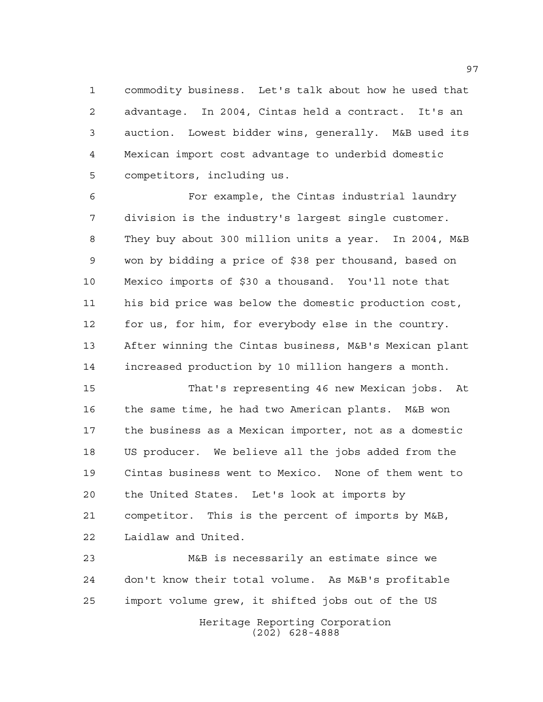commodity business. Let's talk about how he used that advantage. In 2004, Cintas held a contract. It's an auction. Lowest bidder wins, generally. M&B used its Mexican import cost advantage to underbid domestic competitors, including us.

 For example, the Cintas industrial laundry division is the industry's largest single customer. They buy about 300 million units a year. In 2004, M&B won by bidding a price of \$38 per thousand, based on Mexico imports of \$30 a thousand. You'll note that his bid price was below the domestic production cost, for us, for him, for everybody else in the country. After winning the Cintas business, M&B's Mexican plant increased production by 10 million hangers a month.

 That's representing 46 new Mexican jobs. At the same time, he had two American plants. M&B won the business as a Mexican importer, not as a domestic US producer. We believe all the jobs added from the Cintas business went to Mexico. None of them went to the United States. Let's look at imports by competitor. This is the percent of imports by M&B, Laidlaw and United.

Heritage Reporting Corporation (202) 628-4888 M&B is necessarily an estimate since we don't know their total volume. As M&B's profitable import volume grew, it shifted jobs out of the US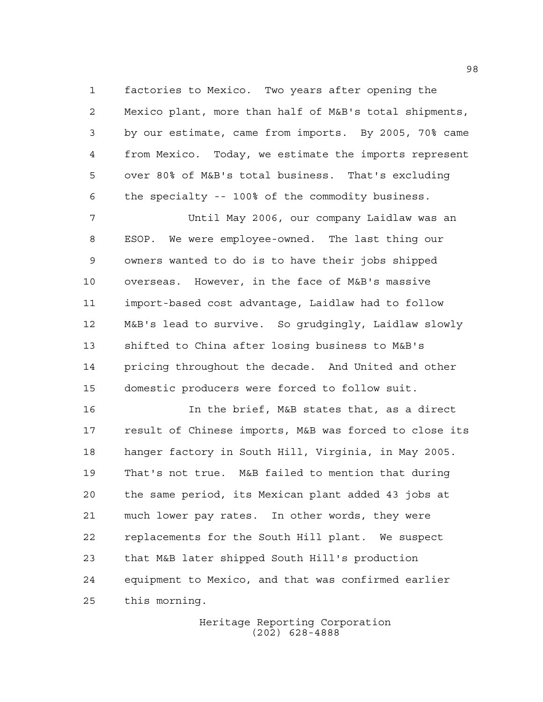factories to Mexico. Two years after opening the Mexico plant, more than half of M&B's total shipments, by our estimate, came from imports. By 2005, 70% came from Mexico. Today, we estimate the imports represent over 80% of M&B's total business. That's excluding the specialty -- 100% of the commodity business.

 Until May 2006, our company Laidlaw was an ESOP. We were employee-owned. The last thing our owners wanted to do is to have their jobs shipped overseas. However, in the face of M&B's massive import-based cost advantage, Laidlaw had to follow M&B's lead to survive. So grudgingly, Laidlaw slowly shifted to China after losing business to M&B's pricing throughout the decade. And United and other domestic producers were forced to follow suit.

 In the brief, M&B states that, as a direct result of Chinese imports, M&B was forced to close its hanger factory in South Hill, Virginia, in May 2005. That's not true. M&B failed to mention that during the same period, its Mexican plant added 43 jobs at much lower pay rates. In other words, they were replacements for the South Hill plant. We suspect that M&B later shipped South Hill's production equipment to Mexico, and that was confirmed earlier this morning.

> Heritage Reporting Corporation (202) 628-4888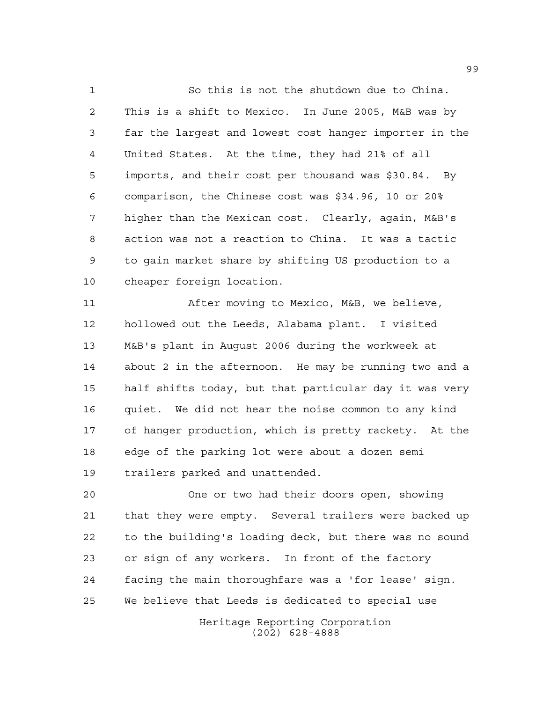So this is not the shutdown due to China. This is a shift to Mexico. In June 2005, M&B was by far the largest and lowest cost hanger importer in the United States. At the time, they had 21% of all imports, and their cost per thousand was \$30.84. By comparison, the Chinese cost was \$34.96, 10 or 20% higher than the Mexican cost. Clearly, again, M&B's action was not a reaction to China. It was a tactic to gain market share by shifting US production to a cheaper foreign location.

 After moving to Mexico, M&B, we believe, hollowed out the Leeds, Alabama plant. I visited M&B's plant in August 2006 during the workweek at about 2 in the afternoon. He may be running two and a half shifts today, but that particular day it was very quiet. We did not hear the noise common to any kind of hanger production, which is pretty rackety. At the edge of the parking lot were about a dozen semi trailers parked and unattended.

 One or two had their doors open, showing that they were empty. Several trailers were backed up to the building's loading deck, but there was no sound or sign of any workers. In front of the factory facing the main thoroughfare was a 'for lease' sign. We believe that Leeds is dedicated to special use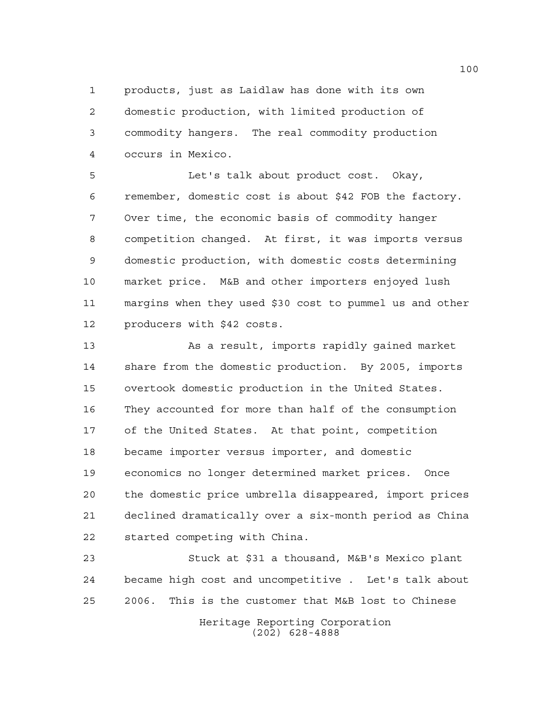products, just as Laidlaw has done with its own domestic production, with limited production of commodity hangers. The real commodity production occurs in Mexico.

 Let's talk about product cost. Okay, remember, domestic cost is about \$42 FOB the factory. Over time, the economic basis of commodity hanger competition changed. At first, it was imports versus domestic production, with domestic costs determining market price. M&B and other importers enjoyed lush margins when they used \$30 cost to pummel us and other producers with \$42 costs.

 As a result, imports rapidly gained market share from the domestic production. By 2005, imports overtook domestic production in the United States. They accounted for more than half of the consumption of the United States. At that point, competition became importer versus importer, and domestic economics no longer determined market prices. Once the domestic price umbrella disappeared, import prices declined dramatically over a six-month period as China started competing with China.

Heritage Reporting Corporation (202) 628-4888 Stuck at \$31 a thousand, M&B's Mexico plant became high cost and uncompetitive . Let's talk about 2006. This is the customer that M&B lost to Chinese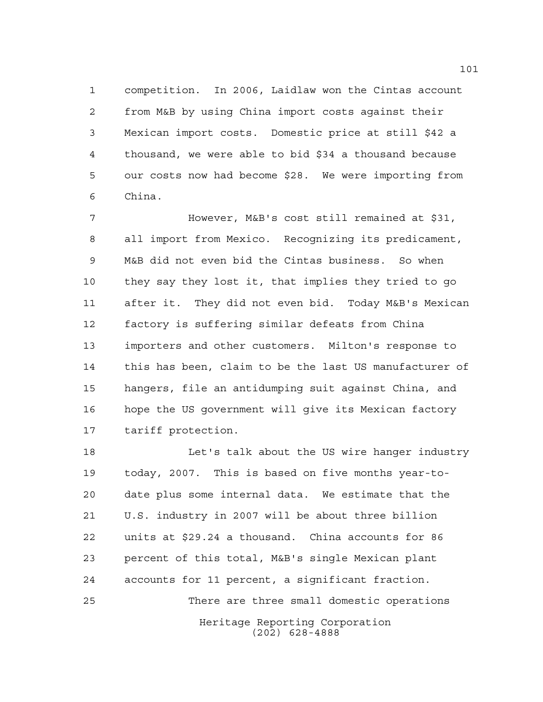competition. In 2006, Laidlaw won the Cintas account from M&B by using China import costs against their Mexican import costs. Domestic price at still \$42 a thousand, we were able to bid \$34 a thousand because our costs now had become \$28. We were importing from China.

 However, M&B's cost still remained at \$31, all import from Mexico. Recognizing its predicament, M&B did not even bid the Cintas business. So when they say they lost it, that implies they tried to go after it. They did not even bid. Today M&B's Mexican factory is suffering similar defeats from China importers and other customers. Milton's response to this has been, claim to be the last US manufacturer of hangers, file an antidumping suit against China, and hope the US government will give its Mexican factory tariff protection.

Heritage Reporting Corporation (202) 628-4888 Let's talk about the US wire hanger industry today, 2007. This is based on five months year-to- date plus some internal data. We estimate that the U.S. industry in 2007 will be about three billion units at \$29.24 a thousand. China accounts for 86 percent of this total, M&B's single Mexican plant accounts for 11 percent, a significant fraction. There are three small domestic operations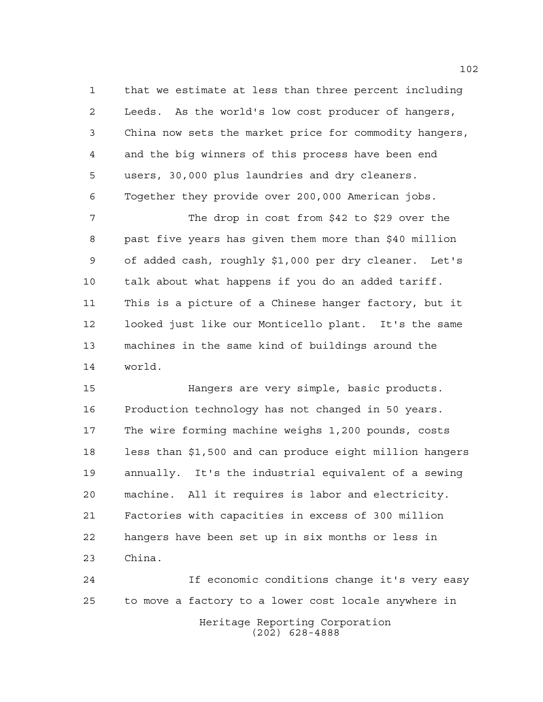that we estimate at less than three percent including Leeds. As the world's low cost producer of hangers, China now sets the market price for commodity hangers, and the big winners of this process have been end users, 30,000 plus laundries and dry cleaners. Together they provide over 200,000 American jobs.

 The drop in cost from \$42 to \$29 over the past five years has given them more than \$40 million of added cash, roughly \$1,000 per dry cleaner. Let's talk about what happens if you do an added tariff. This is a picture of a Chinese hanger factory, but it looked just like our Monticello plant. It's the same machines in the same kind of buildings around the world.

 Hangers are very simple, basic products. Production technology has not changed in 50 years. The wire forming machine weighs 1,200 pounds, costs less than \$1,500 and can produce eight million hangers annually. It's the industrial equivalent of a sewing machine. All it requires is labor and electricity. Factories with capacities in excess of 300 million hangers have been set up in six months or less in China.

Heritage Reporting Corporation (202) 628-4888 If economic conditions change it's very easy to move a factory to a lower cost locale anywhere in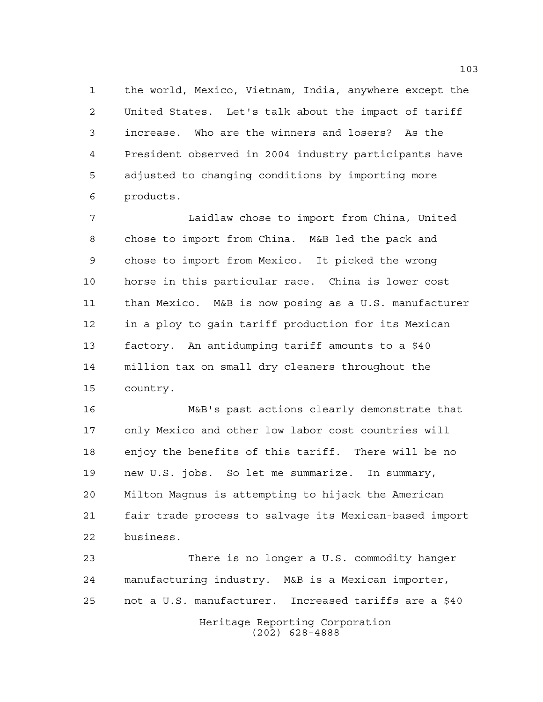the world, Mexico, Vietnam, India, anywhere except the United States. Let's talk about the impact of tariff increase. Who are the winners and losers? As the President observed in 2004 industry participants have adjusted to changing conditions by importing more products.

 Laidlaw chose to import from China, United chose to import from China. M&B led the pack and chose to import from Mexico. It picked the wrong horse in this particular race. China is lower cost than Mexico. M&B is now posing as a U.S. manufacturer in a ploy to gain tariff production for its Mexican factory. An antidumping tariff amounts to a \$40 million tax on small dry cleaners throughout the country.

 M&B's past actions clearly demonstrate that only Mexico and other low labor cost countries will enjoy the benefits of this tariff. There will be no new U.S. jobs. So let me summarize. In summary, Milton Magnus is attempting to hijack the American fair trade process to salvage its Mexican-based import business.

Heritage Reporting Corporation (202) 628-4888 There is no longer a U.S. commodity hanger manufacturing industry. M&B is a Mexican importer, not a U.S. manufacturer. Increased tariffs are a \$40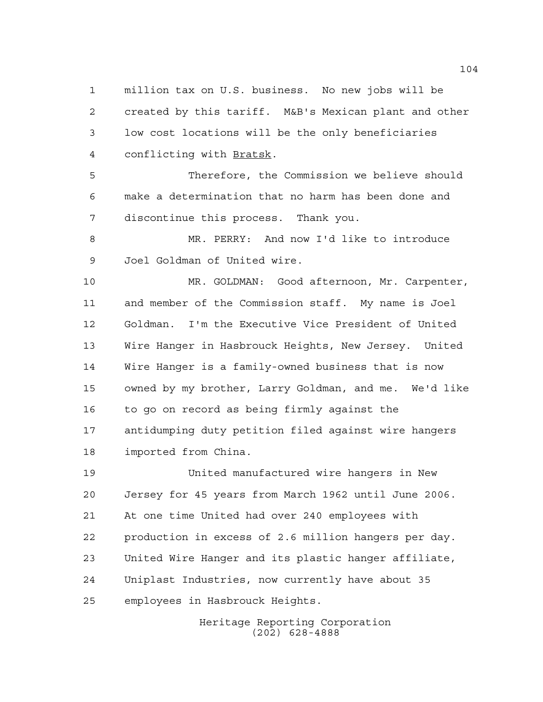million tax on U.S. business. No new jobs will be created by this tariff. M&B's Mexican plant and other low cost locations will be the only beneficiaries conflicting with Bratsk.

 Therefore, the Commission we believe should make a determination that no harm has been done and discontinue this process. Thank you.

 MR. PERRY: And now I'd like to introduce Joel Goldman of United wire.

 MR. GOLDMAN: Good afternoon, Mr. Carpenter, and member of the Commission staff. My name is Joel Goldman. I'm the Executive Vice President of United Wire Hanger in Hasbrouck Heights, New Jersey. United Wire Hanger is a family-owned business that is now owned by my brother, Larry Goldman, and me. We'd like to go on record as being firmly against the antidumping duty petition filed against wire hangers imported from China.

 United manufactured wire hangers in New Jersey for 45 years from March 1962 until June 2006. At one time United had over 240 employees with production in excess of 2.6 million hangers per day. United Wire Hanger and its plastic hanger affiliate, Uniplast Industries, now currently have about 35 employees in Hasbrouck Heights.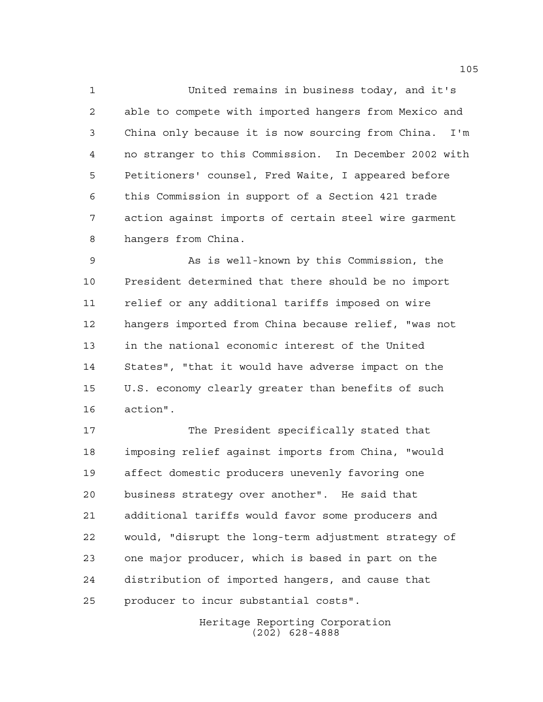United remains in business today, and it's able to compete with imported hangers from Mexico and China only because it is now sourcing from China. I'm no stranger to this Commission. In December 2002 with Petitioners' counsel, Fred Waite, I appeared before this Commission in support of a Section 421 trade action against imports of certain steel wire garment hangers from China.

 As is well-known by this Commission, the President determined that there should be no import relief or any additional tariffs imposed on wire hangers imported from China because relief, "was not in the national economic interest of the United States", "that it would have adverse impact on the U.S. economy clearly greater than benefits of such action".

 The President specifically stated that imposing relief against imports from China, "would affect domestic producers unevenly favoring one business strategy over another". He said that additional tariffs would favor some producers and would, "disrupt the long-term adjustment strategy of one major producer, which is based in part on the distribution of imported hangers, and cause that producer to incur substantial costs".

> Heritage Reporting Corporation (202) 628-4888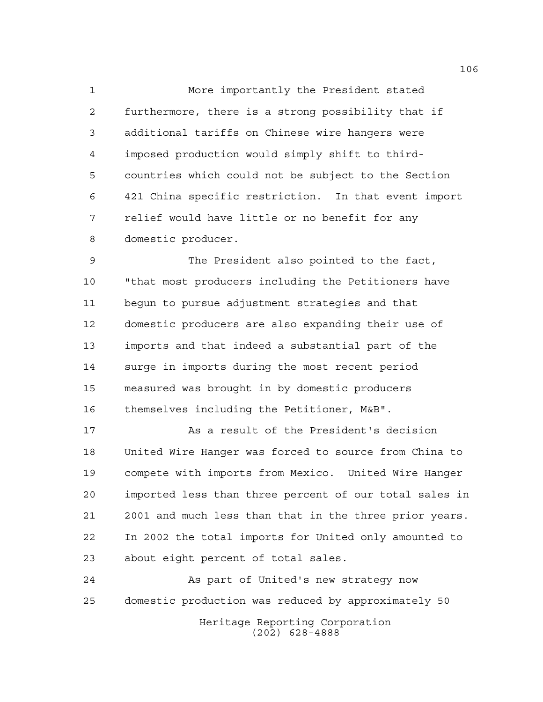More importantly the President stated furthermore, there is a strong possibility that if additional tariffs on Chinese wire hangers were imposed production would simply shift to third- countries which could not be subject to the Section 421 China specific restriction. In that event import relief would have little or no benefit for any domestic producer.

 The President also pointed to the fact, "that most producers including the Petitioners have begun to pursue adjustment strategies and that domestic producers are also expanding their use of imports and that indeed a substantial part of the surge in imports during the most recent period measured was brought in by domestic producers themselves including the Petitioner, M&B".

 As a result of the President's decision United Wire Hanger was forced to source from China to compete with imports from Mexico. United Wire Hanger imported less than three percent of our total sales in 2001 and much less than that in the three prior years. In 2002 the total imports for United only amounted to about eight percent of total sales.

 As part of United's new strategy now domestic production was reduced by approximately 50

Heritage Reporting Corporation (202) 628-4888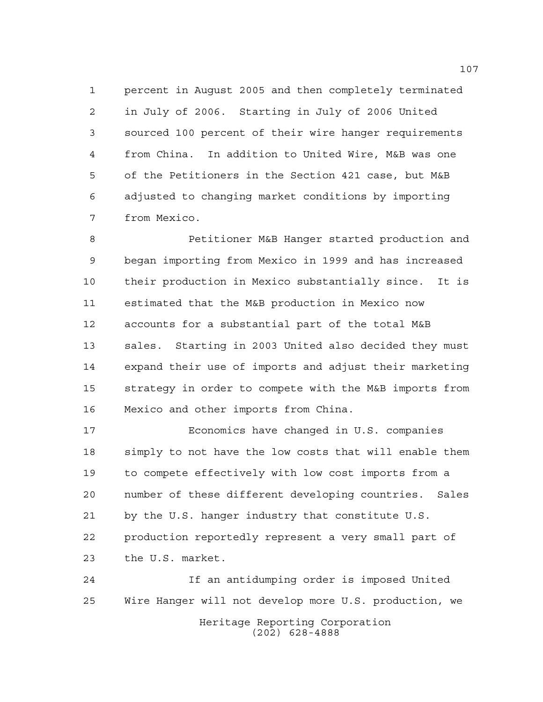percent in August 2005 and then completely terminated in July of 2006. Starting in July of 2006 United sourced 100 percent of their wire hanger requirements from China. In addition to United Wire, M&B was one of the Petitioners in the Section 421 case, but M&B adjusted to changing market conditions by importing from Mexico.

 Petitioner M&B Hanger started production and began importing from Mexico in 1999 and has increased their production in Mexico substantially since. It is estimated that the M&B production in Mexico now accounts for a substantial part of the total M&B sales. Starting in 2003 United also decided they must expand their use of imports and adjust their marketing strategy in order to compete with the M&B imports from Mexico and other imports from China.

 Economics have changed in U.S. companies simply to not have the low costs that will enable them to compete effectively with low cost imports from a number of these different developing countries. Sales by the U.S. hanger industry that constitute U.S. production reportedly represent a very small part of the U.S. market.

Heritage Reporting Corporation (202) 628-4888 If an antidumping order is imposed United Wire Hanger will not develop more U.S. production, we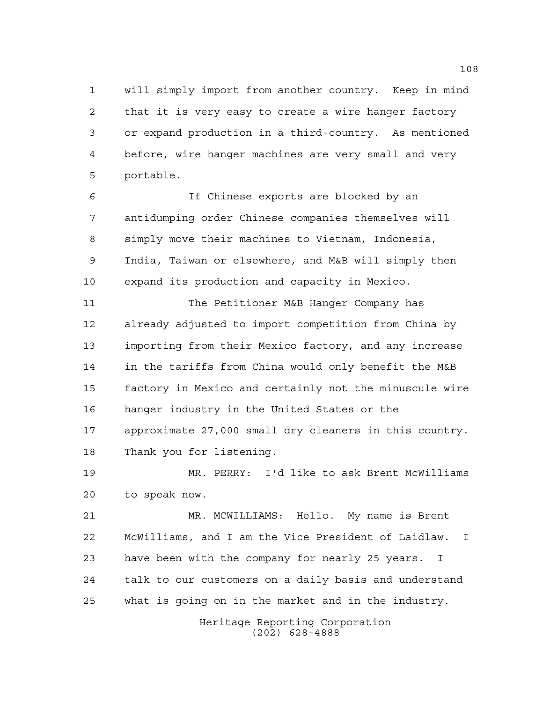will simply import from another country. Keep in mind that it is very easy to create a wire hanger factory or expand production in a third-country. As mentioned before, wire hanger machines are very small and very portable.

 If Chinese exports are blocked by an antidumping order Chinese companies themselves will simply move their machines to Vietnam, Indonesia, India, Taiwan or elsewhere, and M&B will simply then expand its production and capacity in Mexico.

 The Petitioner M&B Hanger Company has already adjusted to import competition from China by importing from their Mexico factory, and any increase in the tariffs from China would only benefit the M&B factory in Mexico and certainly not the minuscule wire hanger industry in the United States or the approximate 27,000 small dry cleaners in this country. Thank you for listening.

 MR. PERRY: I'd like to ask Brent McWilliams to speak now.

 MR. MCWILLIAMS: Hello. My name is Brent McWilliams, and I am the Vice President of Laidlaw. I have been with the company for nearly 25 years. I talk to our customers on a daily basis and understand what is going on in the market and in the industry.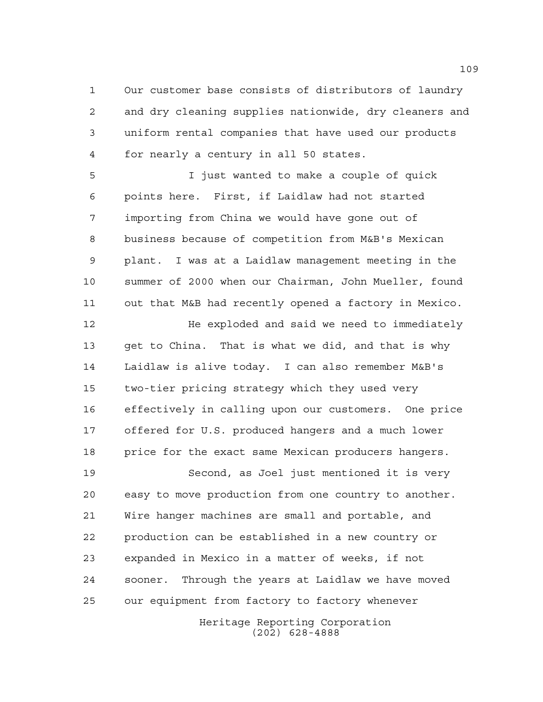Our customer base consists of distributors of laundry and dry cleaning supplies nationwide, dry cleaners and uniform rental companies that have used our products for nearly a century in all 50 states.

 I just wanted to make a couple of quick points here. First, if Laidlaw had not started importing from China we would have gone out of business because of competition from M&B's Mexican plant. I was at a Laidlaw management meeting in the summer of 2000 when our Chairman, John Mueller, found out that M&B had recently opened a factory in Mexico.

**He exploded and said we need to immediately**  get to China. That is what we did, and that is why Laidlaw is alive today. I can also remember M&B's two-tier pricing strategy which they used very effectively in calling upon our customers. One price offered for U.S. produced hangers and a much lower price for the exact same Mexican producers hangers.

 Second, as Joel just mentioned it is very easy to move production from one country to another. Wire hanger machines are small and portable, and production can be established in a new country or expanded in Mexico in a matter of weeks, if not sooner. Through the years at Laidlaw we have moved our equipment from factory to factory whenever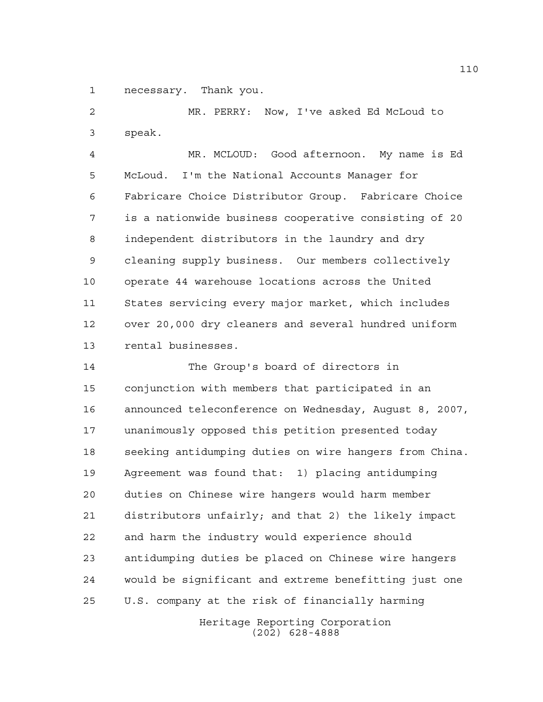necessary. Thank you.

 MR. PERRY: Now, I've asked Ed McLoud to speak.

 MR. MCLOUD: Good afternoon. My name is Ed McLoud. I'm the National Accounts Manager for Fabricare Choice Distributor Group. Fabricare Choice is a nationwide business cooperative consisting of 20 independent distributors in the laundry and dry cleaning supply business. Our members collectively operate 44 warehouse locations across the United States servicing every major market, which includes over 20,000 dry cleaners and several hundred uniform rental businesses.

 The Group's board of directors in conjunction with members that participated in an announced teleconference on Wednesday, August 8, 2007, unanimously opposed this petition presented today seeking antidumping duties on wire hangers from China. Agreement was found that: 1) placing antidumping duties on Chinese wire hangers would harm member distributors unfairly; and that 2) the likely impact and harm the industry would experience should antidumping duties be placed on Chinese wire hangers would be significant and extreme benefitting just one U.S. company at the risk of financially harming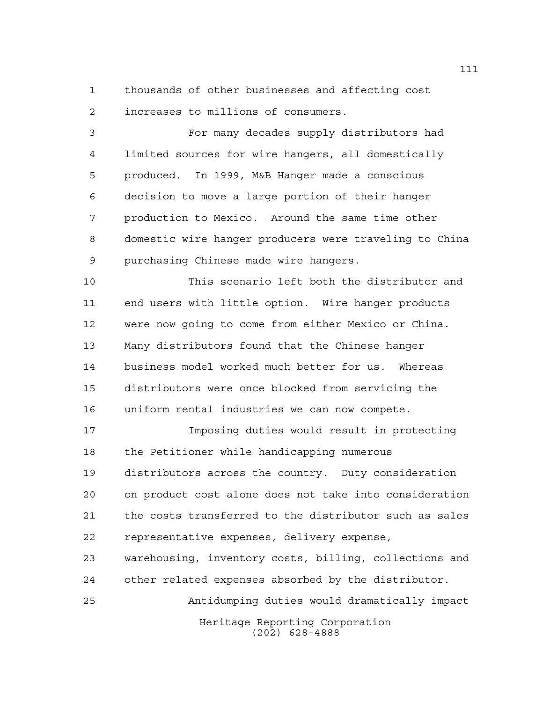thousands of other businesses and affecting cost increases to millions of consumers.

 For many decades supply distributors had limited sources for wire hangers, all domestically produced. In 1999, M&B Hanger made a conscious decision to move a large portion of their hanger production to Mexico. Around the same time other domestic wire hanger producers were traveling to China purchasing Chinese made wire hangers.

 This scenario left both the distributor and end users with little option. Wire hanger products were now going to come from either Mexico or China. Many distributors found that the Chinese hanger business model worked much better for us. Whereas distributors were once blocked from servicing the uniform rental industries we can now compete.

 Imposing duties would result in protecting the Petitioner while handicapping numerous distributors across the country. Duty consideration on product cost alone does not take into consideration the costs transferred to the distributor such as sales representative expenses, delivery expense,

 warehousing, inventory costs, billing, collections and other related expenses absorbed by the distributor.

Antidumping duties would dramatically impact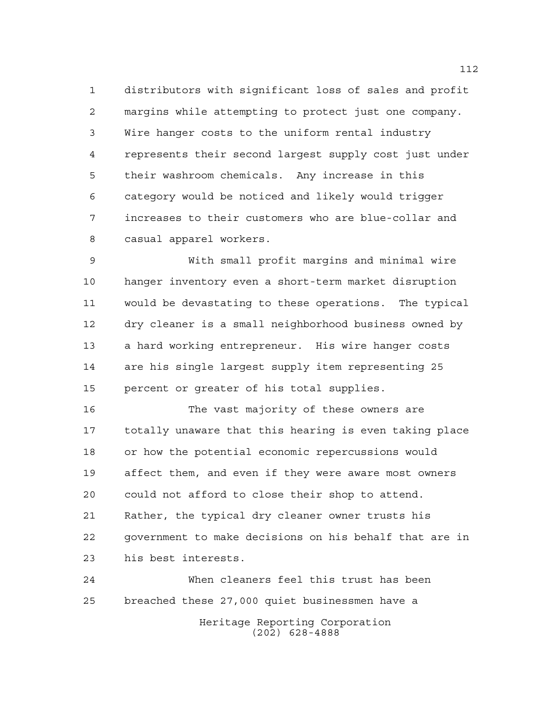distributors with significant loss of sales and profit margins while attempting to protect just one company. Wire hanger costs to the uniform rental industry represents their second largest supply cost just under their washroom chemicals. Any increase in this category would be noticed and likely would trigger increases to their customers who are blue-collar and casual apparel workers.

 With small profit margins and minimal wire hanger inventory even a short-term market disruption would be devastating to these operations. The typical dry cleaner is a small neighborhood business owned by a hard working entrepreneur. His wire hanger costs are his single largest supply item representing 25 percent or greater of his total supplies.

 The vast majority of these owners are totally unaware that this hearing is even taking place or how the potential economic repercussions would affect them, and even if they were aware most owners could not afford to close their shop to attend. Rather, the typical dry cleaner owner trusts his government to make decisions on his behalf that are in his best interests.

Heritage Reporting Corporation (202) 628-4888 When cleaners feel this trust has been breached these 27,000 quiet businessmen have a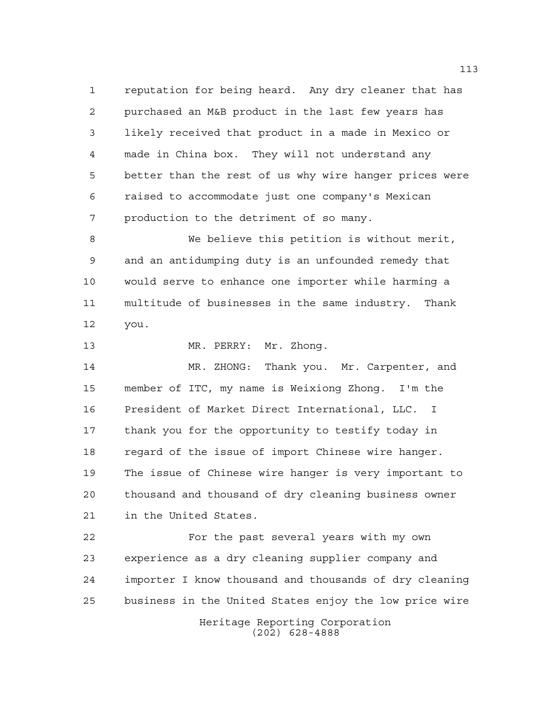reputation for being heard. Any dry cleaner that has purchased an M&B product in the last few years has likely received that product in a made in Mexico or made in China box. They will not understand any better than the rest of us why wire hanger prices were raised to accommodate just one company's Mexican production to the detriment of so many.

 We believe this petition is without merit, and an antidumping duty is an unfounded remedy that would serve to enhance one importer while harming a multitude of businesses in the same industry. Thank you.

13 MR. PERRY: Mr. Zhong.

 MR. ZHONG: Thank you. Mr. Carpenter, and member of ITC, my name is Weixiong Zhong. I'm the President of Market Direct International, LLC. I thank you for the opportunity to testify today in regard of the issue of import Chinese wire hanger. The issue of Chinese wire hanger is very important to thousand and thousand of dry cleaning business owner in the United States.

 For the past several years with my own experience as a dry cleaning supplier company and importer I know thousand and thousands of dry cleaning business in the United States enjoy the low price wire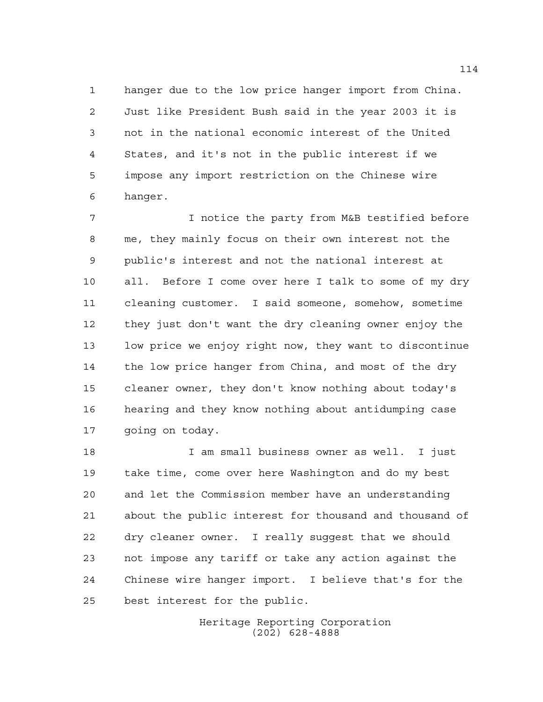hanger due to the low price hanger import from China. Just like President Bush said in the year 2003 it is not in the national economic interest of the United States, and it's not in the public interest if we impose any import restriction on the Chinese wire hanger.

 I notice the party from M&B testified before me, they mainly focus on their own interest not the public's interest and not the national interest at all. Before I come over here I talk to some of my dry cleaning customer. I said someone, somehow, sometime they just don't want the dry cleaning owner enjoy the low price we enjoy right now, they want to discontinue the low price hanger from China, and most of the dry cleaner owner, they don't know nothing about today's hearing and they know nothing about antidumping case going on today.

 I am small business owner as well. I just take time, come over here Washington and do my best and let the Commission member have an understanding about the public interest for thousand and thousand of dry cleaner owner. I really suggest that we should not impose any tariff or take any action against the Chinese wire hanger import. I believe that's for the best interest for the public.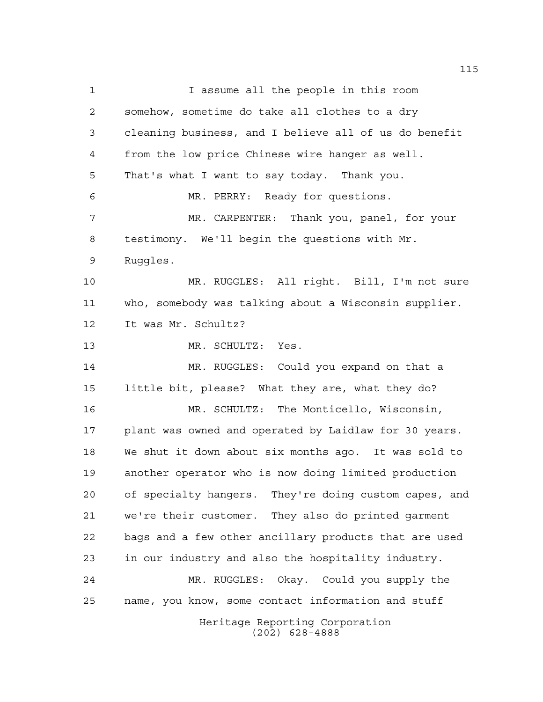Heritage Reporting Corporation (202) 628-4888 1 1 I assume all the people in this room somehow, sometime do take all clothes to a dry cleaning business, and I believe all of us do benefit from the low price Chinese wire hanger as well. That's what I want to say today. Thank you. MR. PERRY: Ready for questions. MR. CARPENTER: Thank you, panel, for your testimony. We'll begin the questions with Mr. Ruggles. MR. RUGGLES: All right. Bill, I'm not sure who, somebody was talking about a Wisconsin supplier. It was Mr. Schultz? MR. SCHULTZ: Yes. MR. RUGGLES: Could you expand on that a little bit, please? What they are, what they do? MR. SCHULTZ: The Monticello, Wisconsin, plant was owned and operated by Laidlaw for 30 years. We shut it down about six months ago. It was sold to another operator who is now doing limited production of specialty hangers. They're doing custom capes, and we're their customer. They also do printed garment bags and a few other ancillary products that are used in our industry and also the hospitality industry. MR. RUGGLES: Okay. Could you supply the name, you know, some contact information and stuff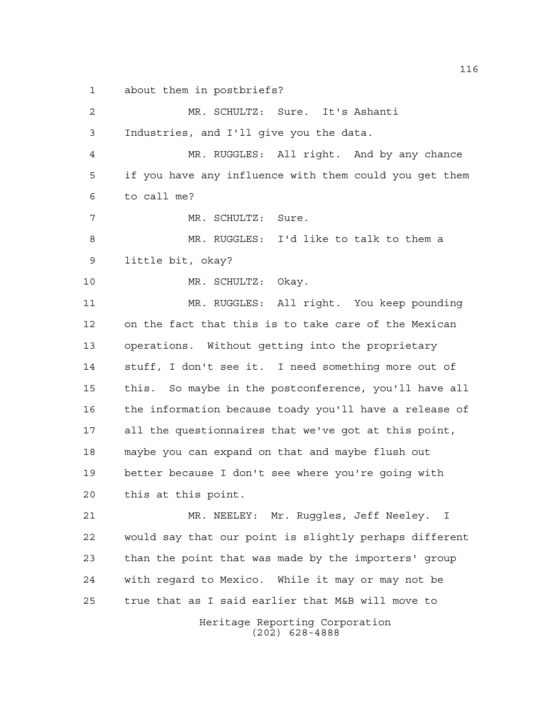about them in postbriefs?

Heritage Reporting Corporation (202) 628-4888 MR. SCHULTZ: Sure. It's Ashanti Industries, and I'll give you the data. MR. RUGGLES: All right. And by any chance if you have any influence with them could you get them to call me? MR. SCHULTZ: Sure. MR. RUGGLES: I'd like to talk to them a little bit, okay? MR. SCHULTZ: Okay. MR. RUGGLES: All right. You keep pounding on the fact that this is to take care of the Mexican operations. Without getting into the proprietary stuff, I don't see it. I need something more out of this. So maybe in the postconference, you'll have all the information because toady you'll have a release of all the questionnaires that we've got at this point, maybe you can expand on that and maybe flush out better because I don't see where you're going with this at this point. MR. NEELEY: Mr. Ruggles, Jeff Neeley. I would say that our point is slightly perhaps different than the point that was made by the importers' group with regard to Mexico. While it may or may not be true that as I said earlier that M&B will move to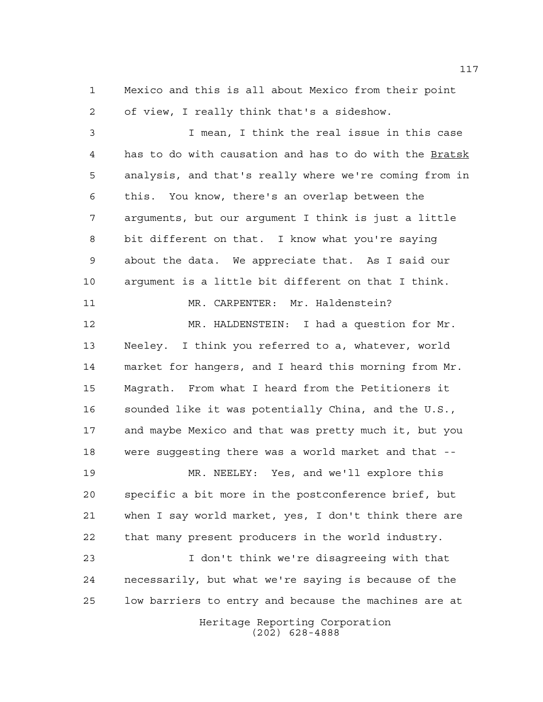Mexico and this is all about Mexico from their point of view, I really think that's a sideshow.

 I mean, I think the real issue in this case has to do with causation and has to do with the Bratsk analysis, and that's really where we're coming from in this. You know, there's an overlap between the arguments, but our argument I think is just a little bit different on that. I know what you're saying about the data. We appreciate that. As I said our argument is a little bit different on that I think. MR. CARPENTER: Mr. Haldenstein?

 MR. HALDENSTEIN: I had a question for Mr. Neeley. I think you referred to a, whatever, world market for hangers, and I heard this morning from Mr. Magrath. From what I heard from the Petitioners it sounded like it was potentially China, and the U.S., and maybe Mexico and that was pretty much it, but you were suggesting there was a world market and that --

 MR. NEELEY: Yes, and we'll explore this specific a bit more in the postconference brief, but when I say world market, yes, I don't think there are that many present producers in the world industry.

 I don't think we're disagreeing with that necessarily, but what we're saying is because of the low barriers to entry and because the machines are at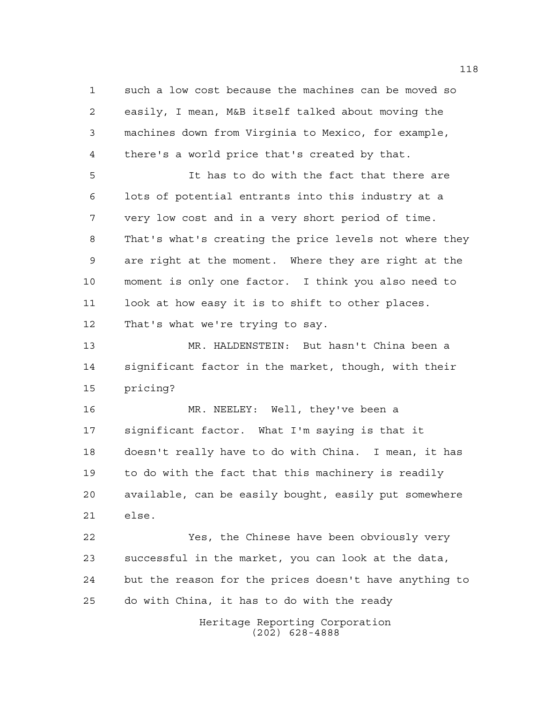such a low cost because the machines can be moved so easily, I mean, M&B itself talked about moving the machines down from Virginia to Mexico, for example, there's a world price that's created by that.

 It has to do with the fact that there are lots of potential entrants into this industry at a very low cost and in a very short period of time. That's what's creating the price levels not where they are right at the moment. Where they are right at the moment is only one factor. I think you also need to look at how easy it is to shift to other places. That's what we're trying to say.

 MR. HALDENSTEIN: But hasn't China been a significant factor in the market, though, with their pricing?

 MR. NEELEY: Well, they've been a significant factor. What I'm saying is that it doesn't really have to do with China. I mean, it has to do with the fact that this machinery is readily available, can be easily bought, easily put somewhere else.

 Yes, the Chinese have been obviously very successful in the market, you can look at the data, but the reason for the prices doesn't have anything to do with China, it has to do with the ready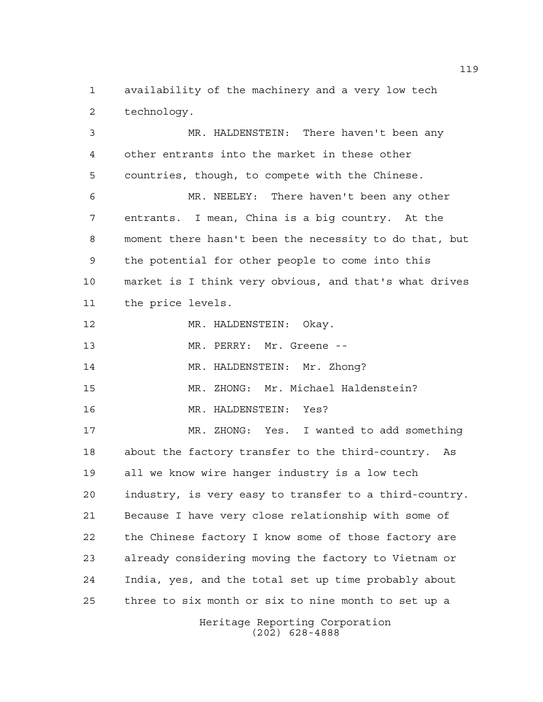availability of the machinery and a very low tech technology.

 MR. HALDENSTEIN: There haven't been any other entrants into the market in these other countries, though, to compete with the Chinese. MR. NEELEY: There haven't been any other entrants. I mean, China is a big country. At the moment there hasn't been the necessity to do that, but the potential for other people to come into this market is I think very obvious, and that's what drives the price levels. MR. HALDENSTEIN: Okay. 13 MR. PERRY: Mr. Greene -- MR. HALDENSTEIN: Mr. Zhong? MR. ZHONG: Mr. Michael Haldenstein? MR. HALDENSTEIN: Yes? MR. ZHONG: Yes. I wanted to add something about the factory transfer to the third-country. As all we know wire hanger industry is a low tech industry, is very easy to transfer to a third-country. Because I have very close relationship with some of the Chinese factory I know some of those factory are already considering moving the factory to Vietnam or India, yes, and the total set up time probably about three to six month or six to nine month to set up a

> Heritage Reporting Corporation (202) 628-4888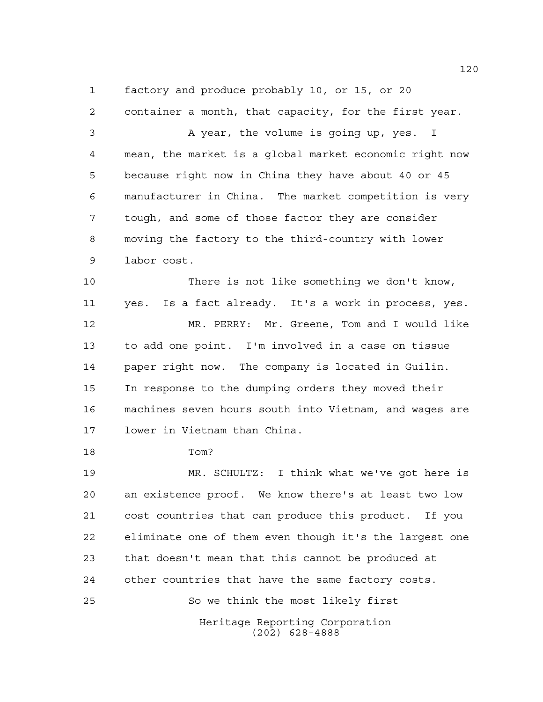factory and produce probably 10, or 15, or 20

 container a month, that capacity, for the first year. A year, the volume is going up, yes. I mean, the market is a global market economic right now because right now in China they have about 40 or 45 manufacturer in China. The market competition is very tough, and some of those factor they are consider moving the factory to the third-country with lower labor cost. There is not like something we don't know, yes. Is a fact already. It's a work in process, yes. MR. PERRY: Mr. Greene, Tom and I would like to add one point. I'm involved in a case on tissue paper right now. The company is located in Guilin. In response to the dumping orders they moved their machines seven hours south into Vietnam, and wages are

lower in Vietnam than China.

Tom?

 MR. SCHULTZ: I think what we've got here is an existence proof. We know there's at least two low cost countries that can produce this product. If you eliminate one of them even though it's the largest one that doesn't mean that this cannot be produced at other countries that have the same factory costs. So we think the most likely first

> Heritage Reporting Corporation (202) 628-4888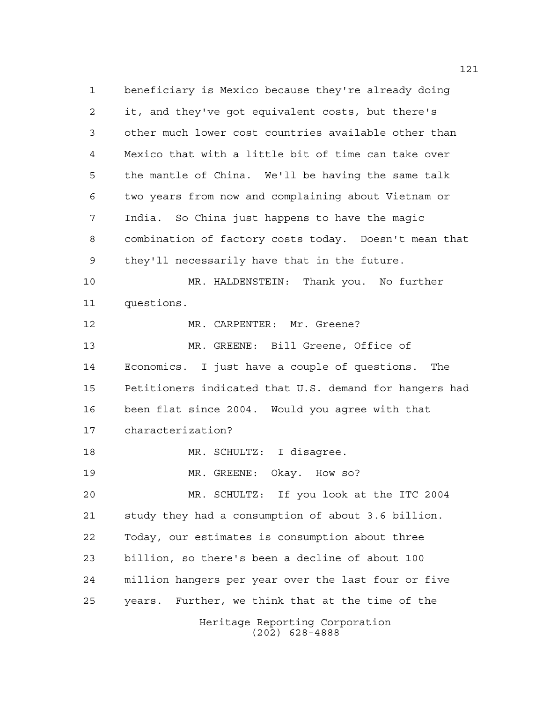Heritage Reporting Corporation (202) 628-4888 beneficiary is Mexico because they're already doing it, and they've got equivalent costs, but there's other much lower cost countries available other than Mexico that with a little bit of time can take over the mantle of China. We'll be having the same talk two years from now and complaining about Vietnam or India. So China just happens to have the magic combination of factory costs today. Doesn't mean that they'll necessarily have that in the future. MR. HALDENSTEIN: Thank you. No further questions. 12 MR. CARPENTER: Mr. Greene? MR. GREENE: Bill Greene, Office of Economics. I just have a couple of questions. The Petitioners indicated that U.S. demand for hangers had been flat since 2004. Would you agree with that characterization? MR. SCHULTZ: I disagree. 19 MR. GREENE: Okay. How so? MR. SCHULTZ: If you look at the ITC 2004 study they had a consumption of about 3.6 billion. Today, our estimates is consumption about three billion, so there's been a decline of about 100 million hangers per year over the last four or five years. Further, we think that at the time of the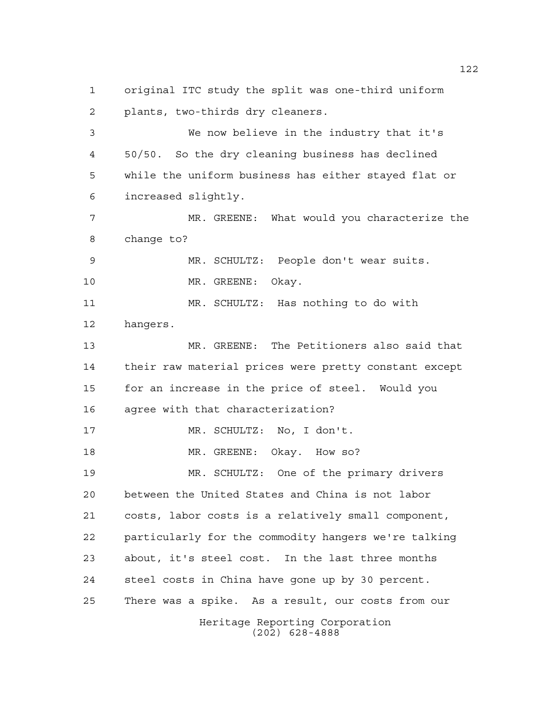Heritage Reporting Corporation (202) 628-4888 original ITC study the split was one-third uniform plants, two-thirds dry cleaners. We now believe in the industry that it's 50/50. So the dry cleaning business has declined while the uniform business has either stayed flat or increased slightly. MR. GREENE: What would you characterize the change to? MR. SCHULTZ: People don't wear suits. 10 MR. GREENE: Okay. MR. SCHULTZ: Has nothing to do with hangers. MR. GREENE: The Petitioners also said that their raw material prices were pretty constant except for an increase in the price of steel. Would you agree with that characterization? MR. SCHULTZ: No, I don't. 18 MR. GREENE: Okay. How so? MR. SCHULTZ: One of the primary drivers between the United States and China is not labor costs, labor costs is a relatively small component, particularly for the commodity hangers we're talking about, it's steel cost. In the last three months steel costs in China have gone up by 30 percent. There was a spike. As a result, our costs from our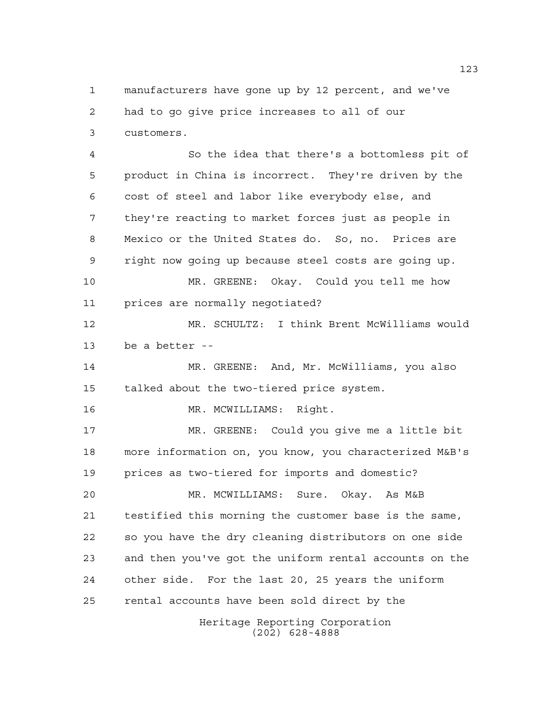manufacturers have gone up by 12 percent, and we've had to go give price increases to all of our customers.

 So the idea that there's a bottomless pit of product in China is incorrect. They're driven by the cost of steel and labor like everybody else, and they're reacting to market forces just as people in Mexico or the United States do. So, no. Prices are right now going up because steel costs are going up. MR. GREENE: Okay. Could you tell me how prices are normally negotiated? MR. SCHULTZ: I think Brent McWilliams would be a better -- MR. GREENE: And, Mr. McWilliams, you also talked about the two-tiered price system. 16 MR. MCWILLIAMS: Right. MR. GREENE: Could you give me a little bit more information on, you know, you characterized M&B's prices as two-tiered for imports and domestic? MR. MCWILLIAMS: Sure. Okay. As M&B testified this morning the customer base is the same, so you have the dry cleaning distributors on one side and then you've got the uniform rental accounts on the

rental accounts have been sold direct by the

other side. For the last 20, 25 years the uniform

Heritage Reporting Corporation (202) 628-4888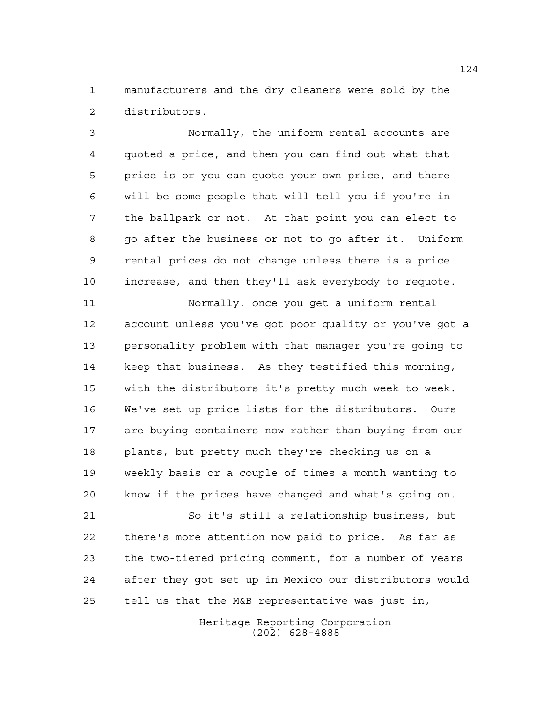manufacturers and the dry cleaners were sold by the distributors.

 Normally, the uniform rental accounts are quoted a price, and then you can find out what that price is or you can quote your own price, and there will be some people that will tell you if you're in the ballpark or not. At that point you can elect to go after the business or not to go after it. Uniform rental prices do not change unless there is a price increase, and then they'll ask everybody to requote.

 Normally, once you get a uniform rental account unless you've got poor quality or you've got a personality problem with that manager you're going to keep that business. As they testified this morning, with the distributors it's pretty much week to week. We've set up price lists for the distributors. Ours are buying containers now rather than buying from our plants, but pretty much they're checking us on a weekly basis or a couple of times a month wanting to know if the prices have changed and what's going on.

 So it's still a relationship business, but there's more attention now paid to price. As far as the two-tiered pricing comment, for a number of years after they got set up in Mexico our distributors would tell us that the M&B representative was just in,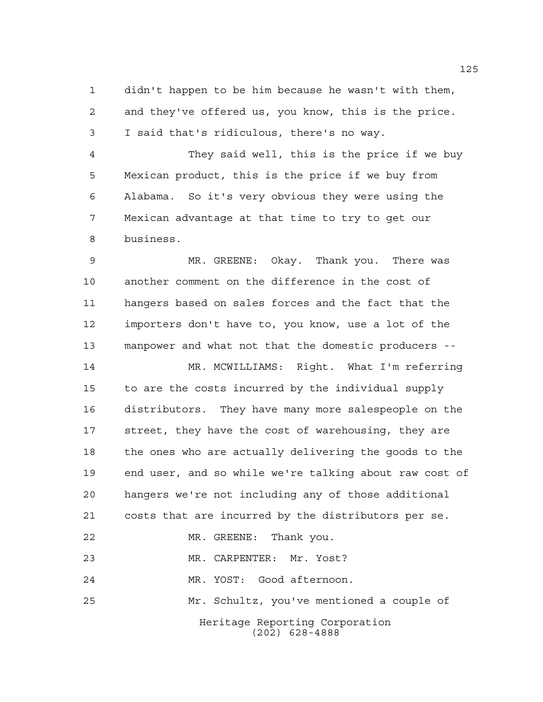didn't happen to be him because he wasn't with them, and they've offered us, you know, this is the price. I said that's ridiculous, there's no way.

 They said well, this is the price if we buy Mexican product, this is the price if we buy from Alabama. So it's very obvious they were using the Mexican advantage at that time to try to get our business.

 MR. GREENE: Okay. Thank you. There was another comment on the difference in the cost of hangers based on sales forces and the fact that the importers don't have to, you know, use a lot of the manpower and what not that the domestic producers --

 MR. MCWILLIAMS: Right. What I'm referring to are the costs incurred by the individual supply distributors. They have many more salespeople on the street, they have the cost of warehousing, they are the ones who are actually delivering the goods to the end user, and so while we're talking about raw cost of hangers we're not including any of those additional costs that are incurred by the distributors per se. MR. GREENE: Thank you. MR. CARPENTER: Mr. Yost? MR. YOST: Good afternoon. Mr. Schultz, you've mentioned a couple of

> Heritage Reporting Corporation (202) 628-4888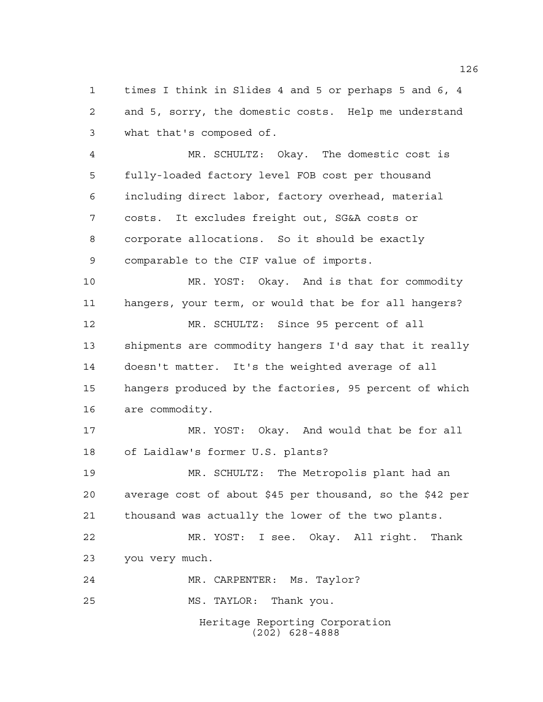times I think in Slides 4 and 5 or perhaps 5 and 6, 4 and 5, sorry, the domestic costs. Help me understand what that's composed of.

 MR. SCHULTZ: Okay. The domestic cost is fully-loaded factory level FOB cost per thousand including direct labor, factory overhead, material costs. It excludes freight out, SG&A costs or corporate allocations. So it should be exactly comparable to the CIF value of imports.

 MR. YOST: Okay. And is that for commodity hangers, your term, or would that be for all hangers?

 MR. SCHULTZ: Since 95 percent of all shipments are commodity hangers I'd say that it really doesn't matter. It's the weighted average of all hangers produced by the factories, 95 percent of which are commodity.

 MR. YOST: Okay. And would that be for all of Laidlaw's former U.S. plants?

 MR. SCHULTZ: The Metropolis plant had an average cost of about \$45 per thousand, so the \$42 per thousand was actually the lower of the two plants.

 MR. YOST: I see. Okay. All right. Thank you very much.

MR. CARPENTER: Ms. Taylor?

MS. TAYLOR: Thank you.

Heritage Reporting Corporation (202) 628-4888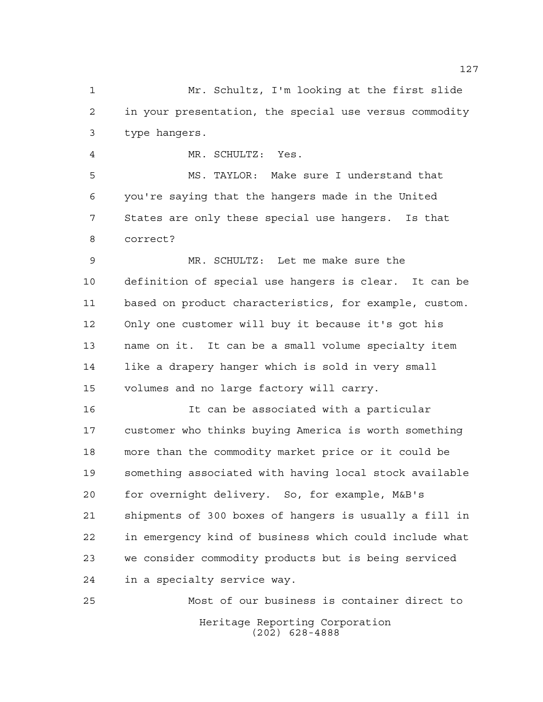Mr. Schultz, I'm looking at the first slide in your presentation, the special use versus commodity type hangers.

MR. SCHULTZ: Yes.

 MS. TAYLOR: Make sure I understand that you're saying that the hangers made in the United States are only these special use hangers. Is that correct?

 MR. SCHULTZ: Let me make sure the definition of special use hangers is clear. It can be based on product characteristics, for example, custom. Only one customer will buy it because it's got his name on it. It can be a small volume specialty item like a drapery hanger which is sold in very small volumes and no large factory will carry.

 It can be associated with a particular customer who thinks buying America is worth something more than the commodity market price or it could be something associated with having local stock available for overnight delivery. So, for example, M&B's shipments of 300 boxes of hangers is usually a fill in in emergency kind of business which could include what we consider commodity products but is being serviced in a specialty service way.

Heritage Reporting Corporation (202) 628-4888 Most of our business is container direct to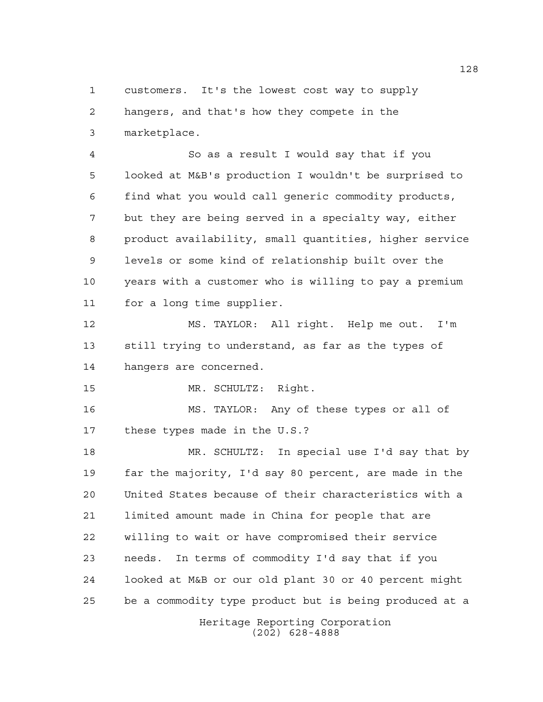customers. It's the lowest cost way to supply hangers, and that's how they compete in the marketplace.

 So as a result I would say that if you looked at M&B's production I wouldn't be surprised to find what you would call generic commodity products, but they are being served in a specialty way, either product availability, small quantities, higher service levels or some kind of relationship built over the years with a customer who is willing to pay a premium for a long time supplier.

 MS. TAYLOR: All right. Help me out. I'm still trying to understand, as far as the types of hangers are concerned.

MR. SCHULTZ: Right.

 MS. TAYLOR: Any of these types or all of these types made in the U.S.?

Heritage Reporting Corporation MR. SCHULTZ: In special use I'd say that by far the majority, I'd say 80 percent, are made in the United States because of their characteristics with a limited amount made in China for people that are willing to wait or have compromised their service needs. In terms of commodity I'd say that if you looked at M&B or our old plant 30 or 40 percent might be a commodity type product but is being produced at a

(202) 628-4888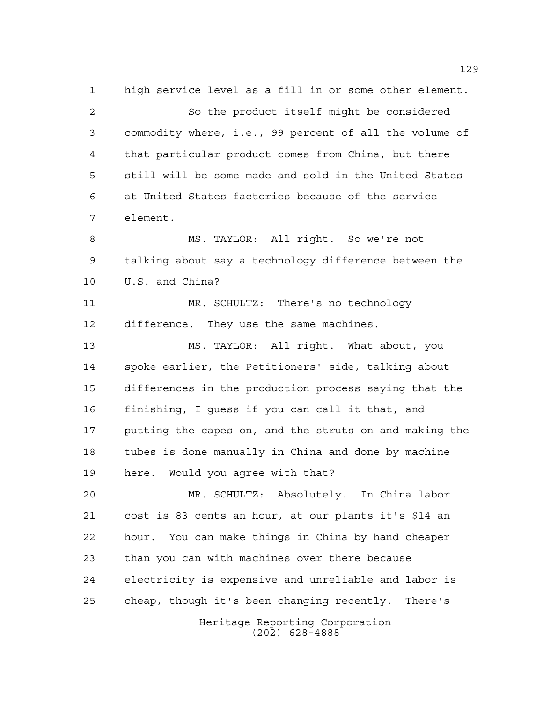high service level as a fill in or some other element. So the product itself might be considered commodity where, i.e., 99 percent of all the volume of that particular product comes from China, but there still will be some made and sold in the United States at United States factories because of the service element. MS. TAYLOR: All right. So we're not talking about say a technology difference between the U.S. and China? MR. SCHULTZ: There's no technology difference. They use the same machines.

 MS. TAYLOR: All right. What about, you spoke earlier, the Petitioners' side, talking about differences in the production process saying that the finishing, I guess if you can call it that, and putting the capes on, and the struts on and making the tubes is done manually in China and done by machine here. Would you agree with that?

 MR. SCHULTZ: Absolutely. In China labor cost is 83 cents an hour, at our plants it's \$14 an hour. You can make things in China by hand cheaper than you can with machines over there because electricity is expensive and unreliable and labor is cheap, though it's been changing recently. There's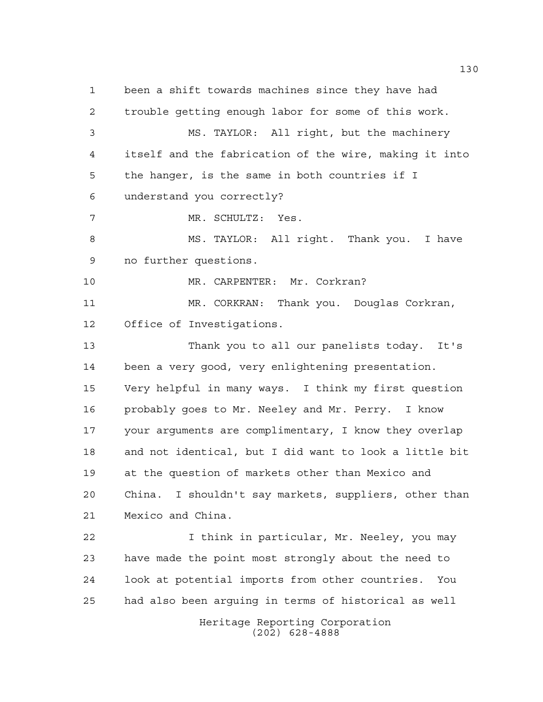Heritage Reporting Corporation been a shift towards machines since they have had trouble getting enough labor for some of this work. MS. TAYLOR: All right, but the machinery itself and the fabrication of the wire, making it into the hanger, is the same in both countries if I understand you correctly? MR. SCHULTZ: Yes. MS. TAYLOR: All right. Thank you. I have no further questions. MR. CARPENTER: Mr. Corkran? MR. CORKRAN: Thank you. Douglas Corkran, Office of Investigations. Thank you to all our panelists today. It's been a very good, very enlightening presentation. Very helpful in many ways. I think my first question probably goes to Mr. Neeley and Mr. Perry. I know your arguments are complimentary, I know they overlap and not identical, but I did want to look a little bit at the question of markets other than Mexico and China. I shouldn't say markets, suppliers, other than Mexico and China. I think in particular, Mr. Neeley, you may have made the point most strongly about the need to look at potential imports from other countries. You had also been arguing in terms of historical as well

(202) 628-4888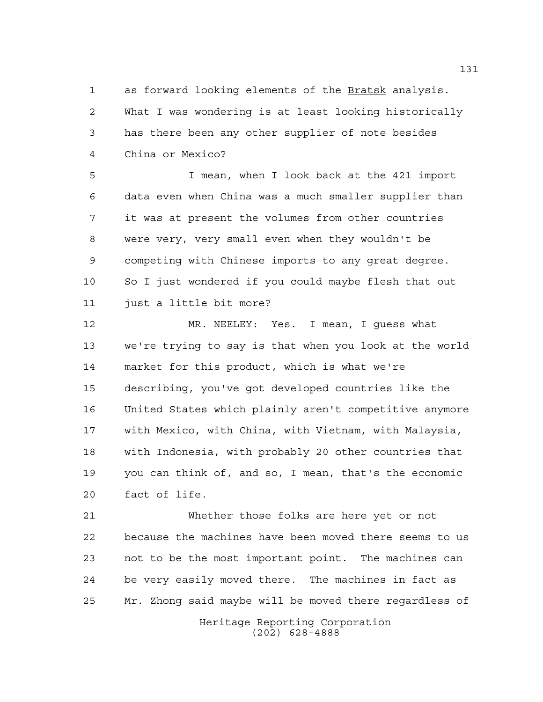as forward looking elements of the Bratsk analysis. What I was wondering is at least looking historically has there been any other supplier of note besides China or Mexico?

 I mean, when I look back at the 421 import data even when China was a much smaller supplier than it was at present the volumes from other countries were very, very small even when they wouldn't be competing with Chinese imports to any great degree. So I just wondered if you could maybe flesh that out just a little bit more?

 MR. NEELEY: Yes. I mean, I guess what we're trying to say is that when you look at the world market for this product, which is what we're describing, you've got developed countries like the United States which plainly aren't competitive anymore with Mexico, with China, with Vietnam, with Malaysia, with Indonesia, with probably 20 other countries that you can think of, and so, I mean, that's the economic fact of life.

 Whether those folks are here yet or not because the machines have been moved there seems to us not to be the most important point. The machines can be very easily moved there. The machines in fact as Mr. Zhong said maybe will be moved there regardless of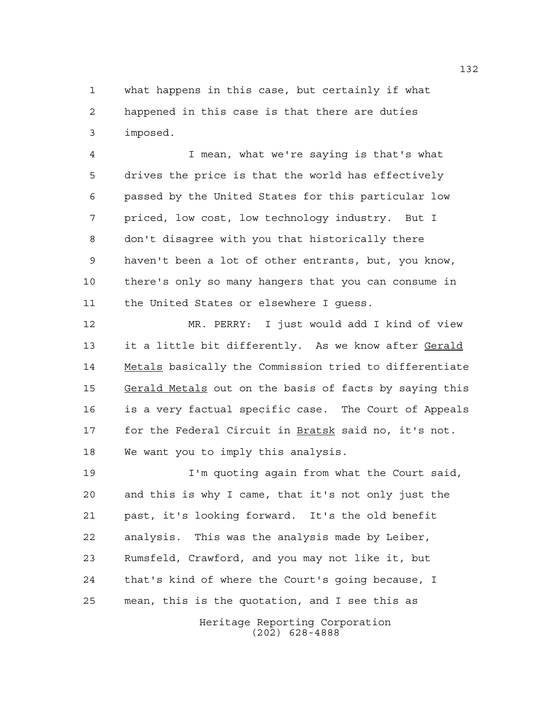what happens in this case, but certainly if what happened in this case is that there are duties imposed.

 I mean, what we're saying is that's what drives the price is that the world has effectively passed by the United States for this particular low priced, low cost, low technology industry. But I don't disagree with you that historically there haven't been a lot of other entrants, but, you know, there's only so many hangers that you can consume in the United States or elsewhere I guess.

 MR. PERRY: I just would add I kind of view it a little bit differently. As we know after Gerald Metals basically the Commission tried to differentiate Gerald Metals out on the basis of facts by saying this is a very factual specific case. The Court of Appeals for the Federal Circuit in Bratsk said no, it's not. We want you to imply this analysis.

 I'm quoting again from what the Court said, and this is why I came, that it's not only just the past, it's looking forward. It's the old benefit analysis. This was the analysis made by Leiber, Rumsfeld, Crawford, and you may not like it, but that's kind of where the Court's going because, I mean, this is the quotation, and I see this as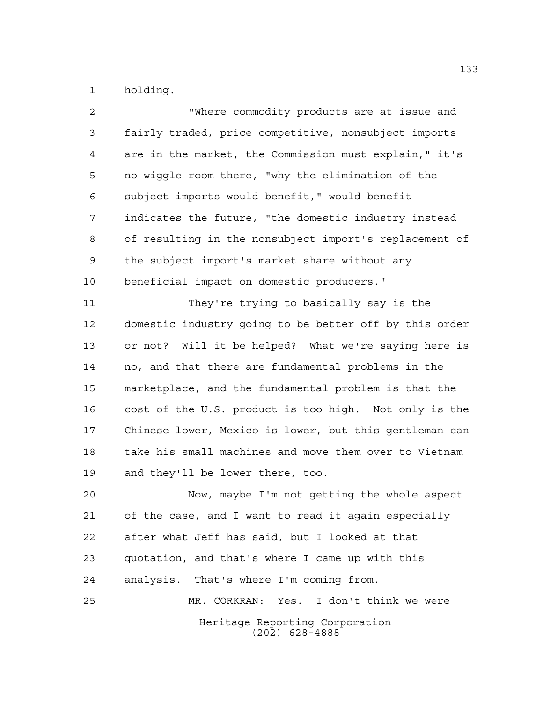holding.

| 2              | "Where commodity products are at issue and             |
|----------------|--------------------------------------------------------|
| $\mathfrak{Z}$ | fairly traded, price competitive, nonsubject imports   |
| 4              | are in the market, the Commission must explain," it's  |
| 5              | no wiggle room there, "why the elimination of the      |
| 6              | subject imports would benefit," would benefit          |
| 7              | indicates the future, "the domestic industry instead   |
| 8              | of resulting in the nonsubject import's replacement of |
| 9              | the subject import's market share without any          |
| 10             | beneficial impact on domestic producers."              |
| 11             | They're trying to basically say is the                 |
| 12             | domestic industry going to be better off by this order |
| 13             | or not? Will it be helped? What we're saying here is   |
| 14             | no, and that there are fundamental problems in the     |
| 15             | marketplace, and the fundamental problem is that the   |
| 16             | cost of the U.S. product is too high. Not only is the  |
| 17             | Chinese lower, Mexico is lower, but this gentleman can |
| 18             | take his small machines and move them over to Vietnam  |
| 19             | and they'll be lower there, too.                       |
| 20             | Now, maybe I'm not getting the whole aspect            |
| 21             | of the case, and I want to read it again especially    |
| 22             | after what Jeff has said, but I looked at that         |
| 23             | quotation, and that's where I came up with this        |
| 24             | analysis. That's where I'm coming from.                |
| 25             | MR. CORKRAN: Yes. I don't think we were                |
|                | Heritage Reporting Corporation<br>$(202)$ 628-4888     |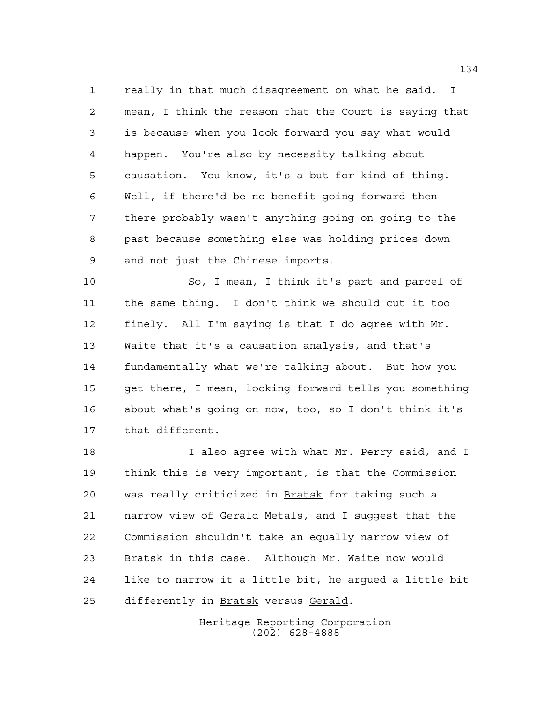really in that much disagreement on what he said. I mean, I think the reason that the Court is saying that is because when you look forward you say what would happen. You're also by necessity talking about causation. You know, it's a but for kind of thing. Well, if there'd be no benefit going forward then there probably wasn't anything going on going to the past because something else was holding prices down and not just the Chinese imports.

 So, I mean, I think it's part and parcel of the same thing. I don't think we should cut it too finely. All I'm saying is that I do agree with Mr. Waite that it's a causation analysis, and that's fundamentally what we're talking about. But how you get there, I mean, looking forward tells you something about what's going on now, too, so I don't think it's that different.

 I also agree with what Mr. Perry said, and I think this is very important, is that the Commission 20 was really criticized in **Bratsk** for taking such a 21 narrow view of Gerald Metals, and I suggest that the Commission shouldn't take an equally narrow view of Bratsk in this case. Although Mr. Waite now would like to narrow it a little bit, he argued a little bit differently in Bratsk versus Gerald.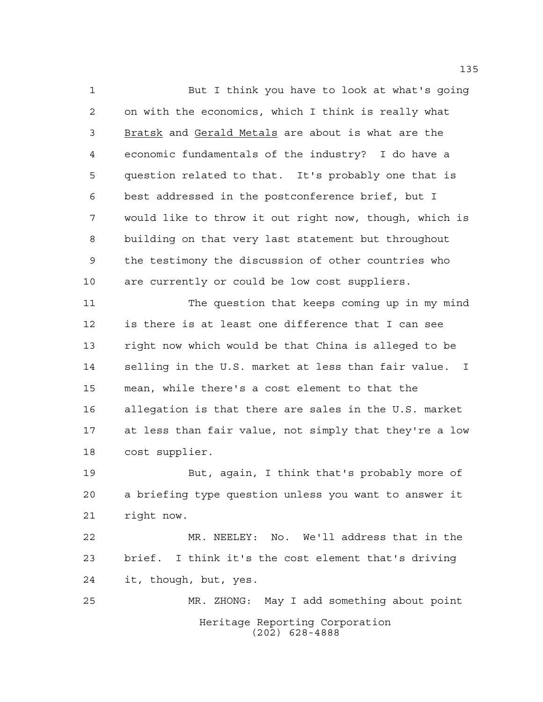But I think you have to look at what's going on with the economics, which I think is really what 3 Bratsk and Gerald Metals are about is what are the economic fundamentals of the industry? I do have a question related to that. It's probably one that is best addressed in the postconference brief, but I would like to throw it out right now, though, which is building on that very last statement but throughout the testimony the discussion of other countries who are currently or could be low cost suppliers.

 The question that keeps coming up in my mind is there is at least one difference that I can see right now which would be that China is alleged to be selling in the U.S. market at less than fair value. I mean, while there's a cost element to that the allegation is that there are sales in the U.S. market at less than fair value, not simply that they're a low cost supplier.

 But, again, I think that's probably more of a briefing type question unless you want to answer it right now.

 MR. NEELEY: No. We'll address that in the brief. I think it's the cost element that's driving it, though, but, yes.

Heritage Reporting Corporation (202) 628-4888 MR. ZHONG: May I add something about point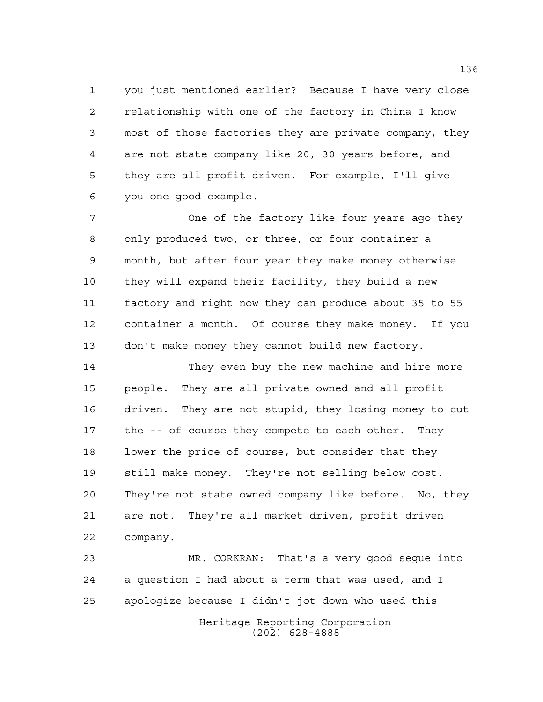you just mentioned earlier? Because I have very close relationship with one of the factory in China I know most of those factories they are private company, they are not state company like 20, 30 years before, and they are all profit driven. For example, I'll give you one good example.

 One of the factory like four years ago they only produced two, or three, or four container a month, but after four year they make money otherwise they will expand their facility, they build a new factory and right now they can produce about 35 to 55 container a month. Of course they make money. If you don't make money they cannot build new factory.

 They even buy the new machine and hire more people. They are all private owned and all profit driven. They are not stupid, they losing money to cut the -- of course they compete to each other. They lower the price of course, but consider that they still make money. They're not selling below cost. They're not state owned company like before. No, they are not. They're all market driven, profit driven company.

Heritage Reporting Corporation MR. CORKRAN: That's a very good segue into a question I had about a term that was used, and I apologize because I didn't jot down who used this

(202) 628-4888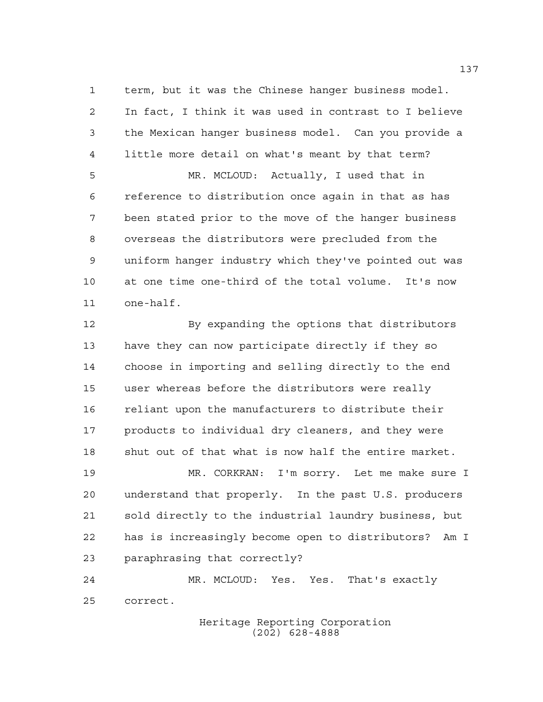term, but it was the Chinese hanger business model. In fact, I think it was used in contrast to I believe the Mexican hanger business model. Can you provide a little more detail on what's meant by that term?

 MR. MCLOUD: Actually, I used that in reference to distribution once again in that as has been stated prior to the move of the hanger business overseas the distributors were precluded from the uniform hanger industry which they've pointed out was at one time one-third of the total volume. It's now one-half.

12 By expanding the options that distributors have they can now participate directly if they so choose in importing and selling directly to the end user whereas before the distributors were really reliant upon the manufacturers to distribute their products to individual dry cleaners, and they were shut out of that what is now half the entire market.

 MR. CORKRAN: I'm sorry. Let me make sure I understand that properly. In the past U.S. producers sold directly to the industrial laundry business, but has is increasingly become open to distributors? Am I paraphrasing that correctly?

 MR. MCLOUD: Yes. Yes. That's exactly correct.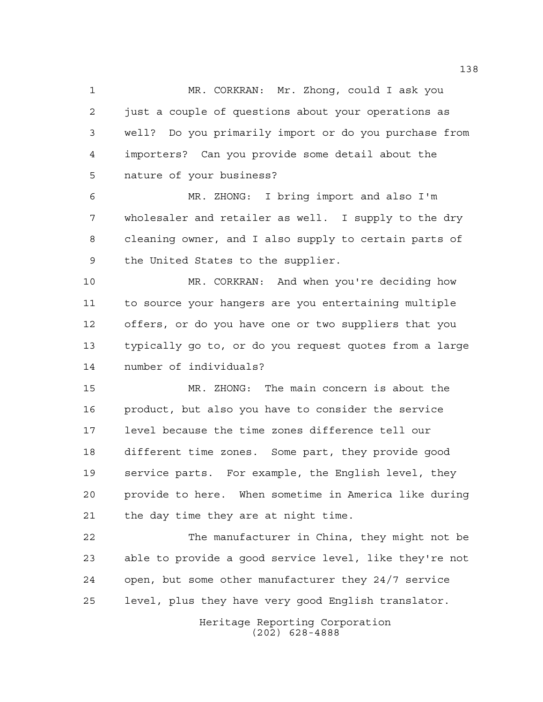MR. CORKRAN: Mr. Zhong, could I ask you just a couple of questions about your operations as well? Do you primarily import or do you purchase from importers? Can you provide some detail about the nature of your business?

 MR. ZHONG: I bring import and also I'm wholesaler and retailer as well. I supply to the dry cleaning owner, and I also supply to certain parts of the United States to the supplier.

 MR. CORKRAN: And when you're deciding how to source your hangers are you entertaining multiple offers, or do you have one or two suppliers that you typically go to, or do you request quotes from a large number of individuals?

 MR. ZHONG: The main concern is about the product, but also you have to consider the service level because the time zones difference tell our different time zones. Some part, they provide good service parts. For example, the English level, they provide to here. When sometime in America like during the day time they are at night time.

 The manufacturer in China, they might not be able to provide a good service level, like they're not open, but some other manufacturer they 24/7 service level, plus they have very good English translator.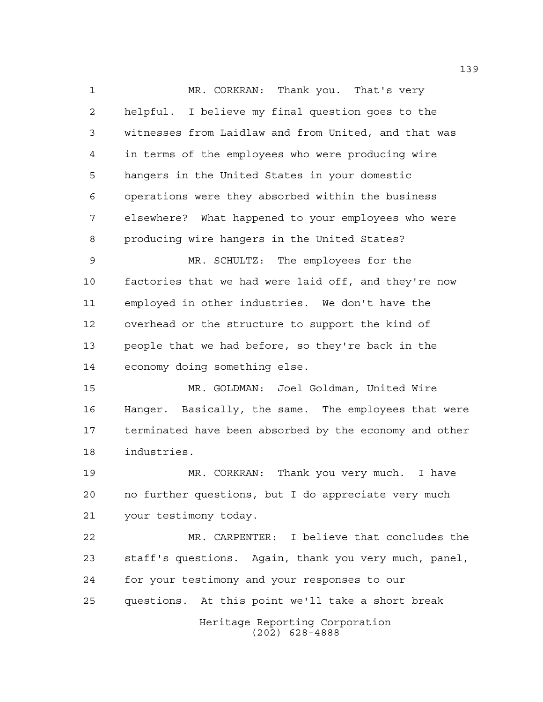1 MR. CORKRAN: Thank you. That's very helpful. I believe my final question goes to the witnesses from Laidlaw and from United, and that was in terms of the employees who were producing wire hangers in the United States in your domestic operations were they absorbed within the business elsewhere? What happened to your employees who were producing wire hangers in the United States?

 MR. SCHULTZ: The employees for the factories that we had were laid off, and they're now employed in other industries. We don't have the overhead or the structure to support the kind of people that we had before, so they're back in the economy doing something else.

 MR. GOLDMAN: Joel Goldman, United Wire Hanger. Basically, the same. The employees that were terminated have been absorbed by the economy and other industries.

 MR. CORKRAN: Thank you very much. I have no further questions, but I do appreciate very much your testimony today.

 MR. CARPENTER: I believe that concludes the staff's questions. Again, thank you very much, panel, for your testimony and your responses to our questions. At this point we'll take a short break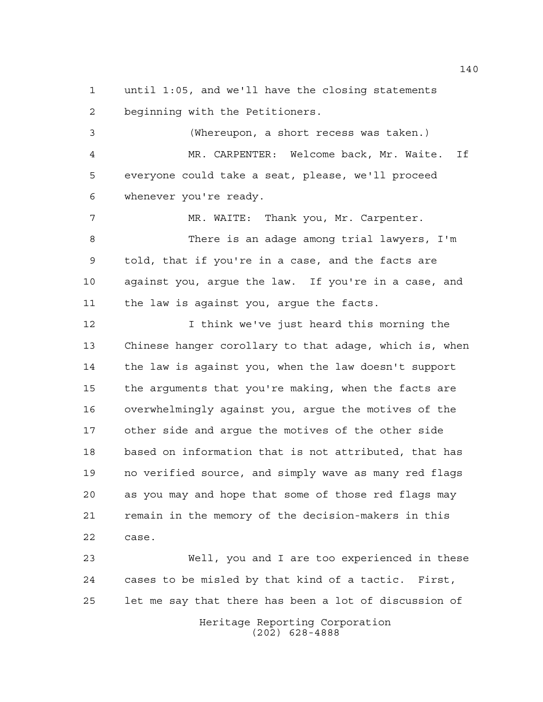until 1:05, and we'll have the closing statements beginning with the Petitioners.

 (Whereupon, a short recess was taken.) MR. CARPENTER: Welcome back, Mr. Waite. If everyone could take a seat, please, we'll proceed whenever you're ready.

 MR. WAITE: Thank you, Mr. Carpenter. There is an adage among trial lawyers, I'm told, that if you're in a case, and the facts are against you, argue the law. If you're in a case, and the law is against you, argue the facts.

 I think we've just heard this morning the Chinese hanger corollary to that adage, which is, when the law is against you, when the law doesn't support the arguments that you're making, when the facts are overwhelmingly against you, argue the motives of the other side and argue the motives of the other side based on information that is not attributed, that has no verified source, and simply wave as many red flags as you may and hope that some of those red flags may remain in the memory of the decision-makers in this case.

Heritage Reporting Corporation Well, you and I are too experienced in these cases to be misled by that kind of a tactic. First, let me say that there has been a lot of discussion of

(202) 628-4888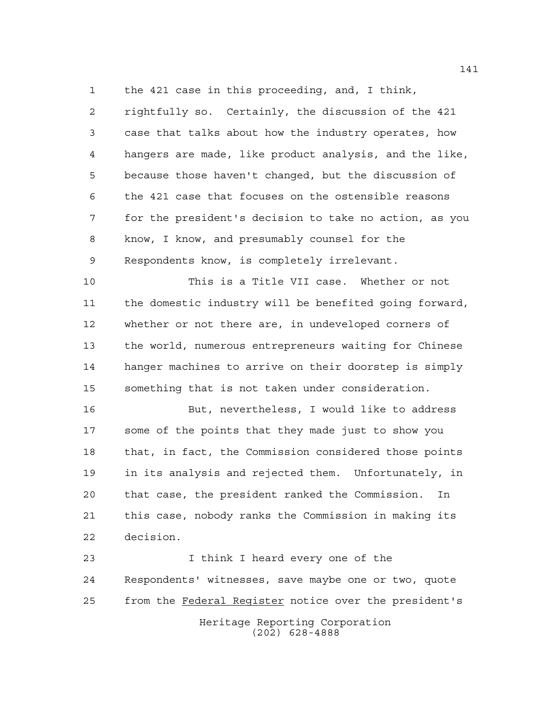the 421 case in this proceeding, and, I think,

 rightfully so. Certainly, the discussion of the 421 case that talks about how the industry operates, how hangers are made, like product analysis, and the like, because those haven't changed, but the discussion of the 421 case that focuses on the ostensible reasons for the president's decision to take no action, as you know, I know, and presumably counsel for the Respondents know, is completely irrelevant.

 This is a Title VII case. Whether or not the domestic industry will be benefited going forward, whether or not there are, in undeveloped corners of the world, numerous entrepreneurs waiting for Chinese hanger machines to arrive on their doorstep is simply something that is not taken under consideration.

 But, nevertheless, I would like to address some of the points that they made just to show you that, in fact, the Commission considered those points in its analysis and rejected them. Unfortunately, in that case, the president ranked the Commission. In this case, nobody ranks the Commission in making its decision.

Heritage Reporting Corporation (202) 628-4888 I think I heard every one of the Respondents' witnesses, save maybe one or two, quote from the Federal Register notice over the president's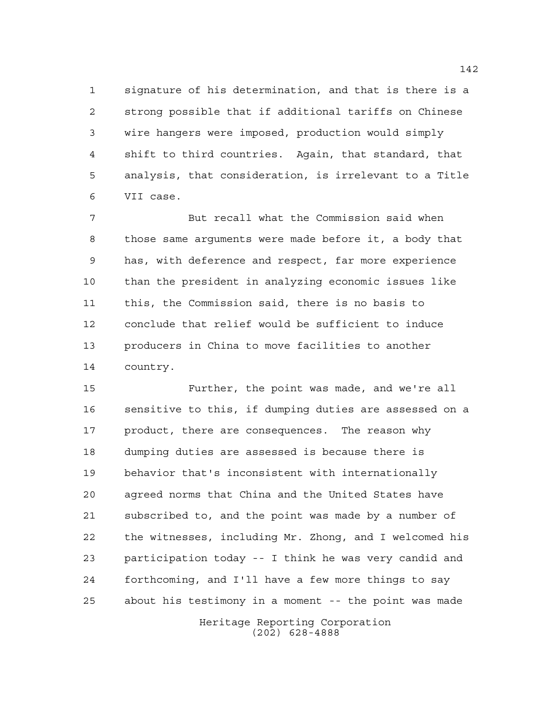signature of his determination, and that is there is a strong possible that if additional tariffs on Chinese wire hangers were imposed, production would simply shift to third countries. Again, that standard, that analysis, that consideration, is irrelevant to a Title VII case.

 But recall what the Commission said when those same arguments were made before it, a body that has, with deference and respect, far more experience than the president in analyzing economic issues like this, the Commission said, there is no basis to conclude that relief would be sufficient to induce producers in China to move facilities to another country.

 Further, the point was made, and we're all sensitive to this, if dumping duties are assessed on a product, there are consequences. The reason why dumping duties are assessed is because there is behavior that's inconsistent with internationally agreed norms that China and the United States have subscribed to, and the point was made by a number of the witnesses, including Mr. Zhong, and I welcomed his participation today -- I think he was very candid and forthcoming, and I'll have a few more things to say about his testimony in a moment -- the point was made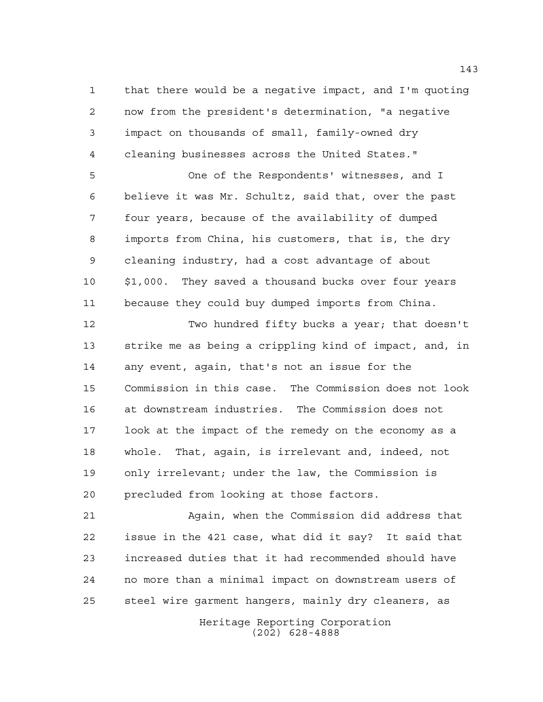that there would be a negative impact, and I'm quoting now from the president's determination, "a negative impact on thousands of small, family-owned dry cleaning businesses across the United States."

 One of the Respondents' witnesses, and I believe it was Mr. Schultz, said that, over the past four years, because of the availability of dumped imports from China, his customers, that is, the dry cleaning industry, had a cost advantage of about \$1,000. They saved a thousand bucks over four years because they could buy dumped imports from China.

 Two hundred fifty bucks a year; that doesn't strike me as being a crippling kind of impact, and, in any event, again, that's not an issue for the Commission in this case. The Commission does not look at downstream industries. The Commission does not look at the impact of the remedy on the economy as a whole. That, again, is irrelevant and, indeed, not only irrelevant; under the law, the Commission is precluded from looking at those factors.

 Again, when the Commission did address that issue in the 421 case, what did it say? It said that increased duties that it had recommended should have no more than a minimal impact on downstream users of steel wire garment hangers, mainly dry cleaners, as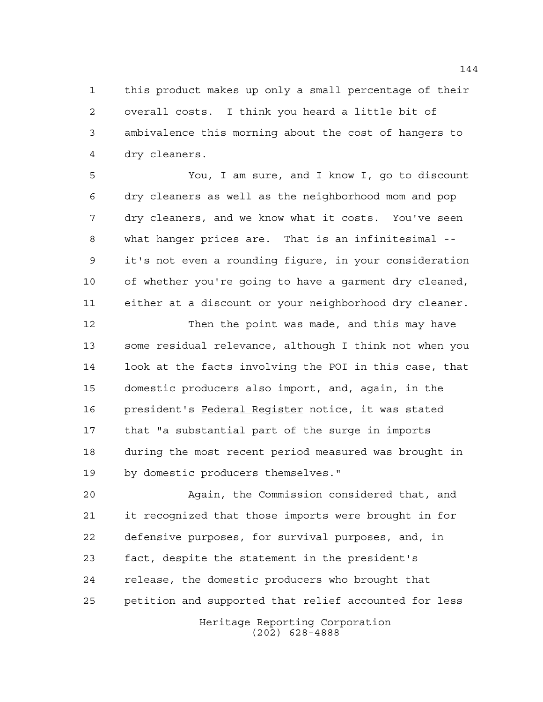this product makes up only a small percentage of their overall costs. I think you heard a little bit of ambivalence this morning about the cost of hangers to dry cleaners.

 You, I am sure, and I know I, go to discount dry cleaners as well as the neighborhood mom and pop dry cleaners, and we know what it costs. You've seen what hanger prices are. That is an infinitesimal -- it's not even a rounding figure, in your consideration of whether you're going to have a garment dry cleaned, either at a discount or your neighborhood dry cleaner.

 Then the point was made, and this may have some residual relevance, although I think not when you look at the facts involving the POI in this case, that domestic producers also import, and, again, in the president's Federal Register notice, it was stated that "a substantial part of the surge in imports during the most recent period measured was brought in by domestic producers themselves."

 Again, the Commission considered that, and it recognized that those imports were brought in for defensive purposes, for survival purposes, and, in fact, despite the statement in the president's release, the domestic producers who brought that petition and supported that relief accounted for less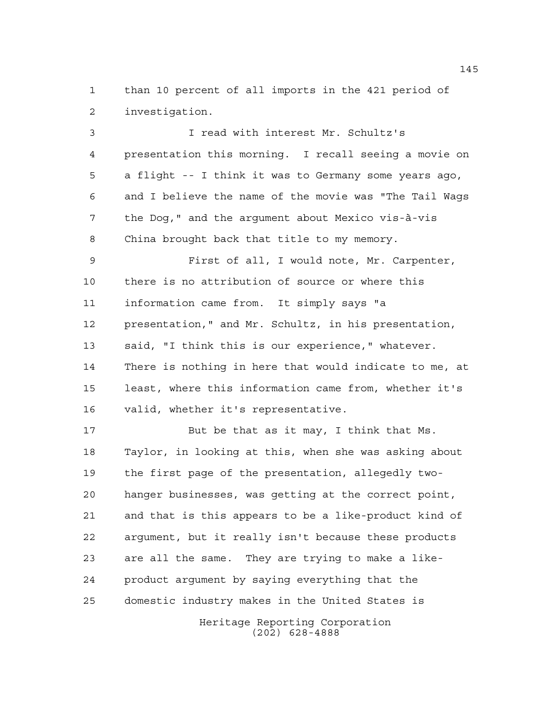than 10 percent of all imports in the 421 period of investigation.

 I read with interest Mr. Schultz's presentation this morning. I recall seeing a movie on a flight -- I think it was to Germany some years ago, and I believe the name of the movie was "The Tail Wags the Dog," and the argument about Mexico vis-à-vis China brought back that title to my memory.

 First of all, I would note, Mr. Carpenter, there is no attribution of source or where this information came from. It simply says "a presentation," and Mr. Schultz, in his presentation, said, "I think this is our experience," whatever. There is nothing in here that would indicate to me, at least, where this information came from, whether it's valid, whether it's representative.

 But be that as it may, I think that Ms. Taylor, in looking at this, when she was asking about the first page of the presentation, allegedly two- hanger businesses, was getting at the correct point, and that is this appears to be a like-product kind of argument, but it really isn't because these products are all the same. They are trying to make a like- product argument by saying everything that the domestic industry makes in the United States is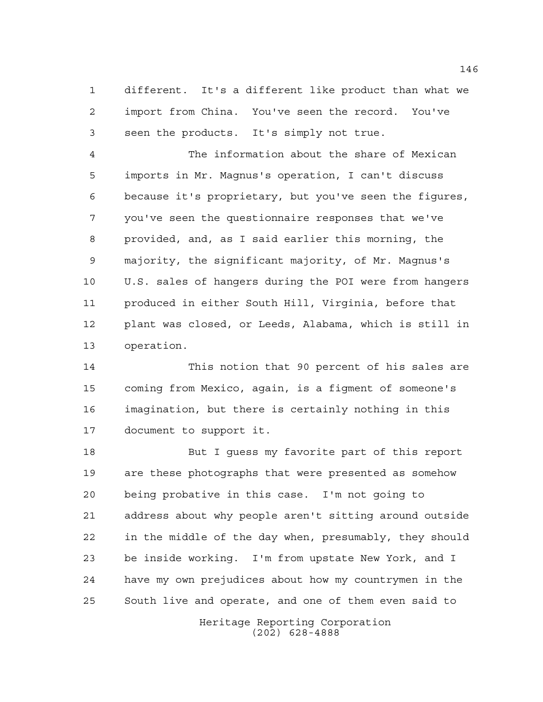different. It's a different like product than what we import from China. You've seen the record. You've seen the products. It's simply not true.

 The information about the share of Mexican imports in Mr. Magnus's operation, I can't discuss because it's proprietary, but you've seen the figures, you've seen the questionnaire responses that we've provided, and, as I said earlier this morning, the majority, the significant majority, of Mr. Magnus's U.S. sales of hangers during the POI were from hangers produced in either South Hill, Virginia, before that plant was closed, or Leeds, Alabama, which is still in operation.

 This notion that 90 percent of his sales are coming from Mexico, again, is a figment of someone's imagination, but there is certainly nothing in this document to support it.

 But I guess my favorite part of this report are these photographs that were presented as somehow being probative in this case. I'm not going to address about why people aren't sitting around outside in the middle of the day when, presumably, they should be inside working. I'm from upstate New York, and I have my own prejudices about how my countrymen in the South live and operate, and one of them even said to

> Heritage Reporting Corporation (202) 628-4888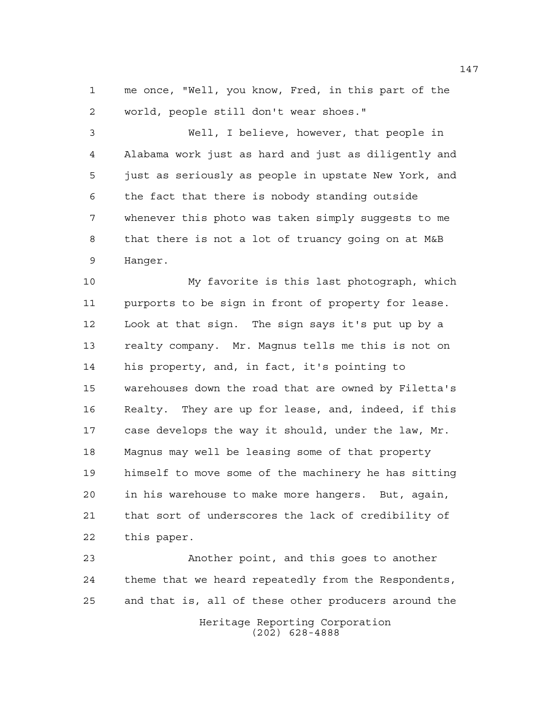me once, "Well, you know, Fred, in this part of the world, people still don't wear shoes."

 Well, I believe, however, that people in Alabama work just as hard and just as diligently and just as seriously as people in upstate New York, and the fact that there is nobody standing outside whenever this photo was taken simply suggests to me that there is not a lot of truancy going on at M&B Hanger.

 My favorite is this last photograph, which purports to be sign in front of property for lease. Look at that sign. The sign says it's put up by a realty company. Mr. Magnus tells me this is not on his property, and, in fact, it's pointing to warehouses down the road that are owned by Filetta's Realty. They are up for lease, and, indeed, if this case develops the way it should, under the law, Mr. Magnus may well be leasing some of that property himself to move some of the machinery he has sitting in his warehouse to make more hangers. But, again, that sort of underscores the lack of credibility of this paper.

 Another point, and this goes to another theme that we heard repeatedly from the Respondents, and that is, all of these other producers around the

> Heritage Reporting Corporation (202) 628-4888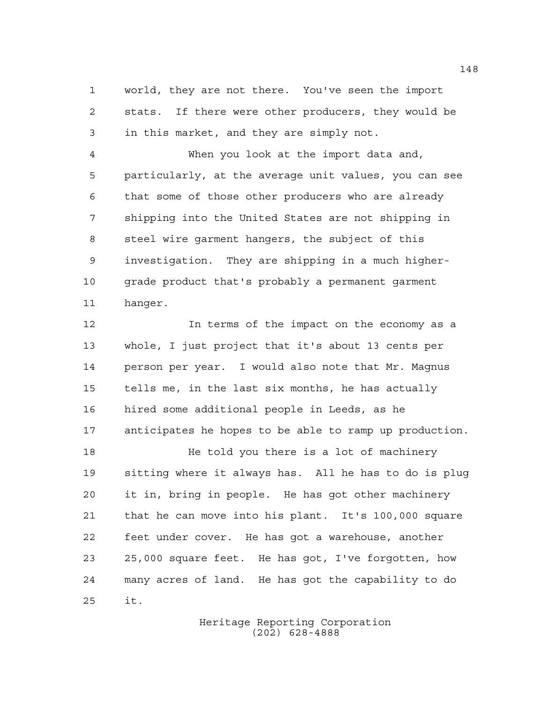world, they are not there. You've seen the import stats. If there were other producers, they would be in this market, and they are simply not.

 When you look at the import data and, particularly, at the average unit values, you can see that some of those other producers who are already shipping into the United States are not shipping in steel wire garment hangers, the subject of this investigation. They are shipping in a much higher- grade product that's probably a permanent garment hanger.

 In terms of the impact on the economy as a whole, I just project that it's about 13 cents per person per year. I would also note that Mr. Magnus tells me, in the last six months, he has actually hired some additional people in Leeds, as he anticipates he hopes to be able to ramp up production.

**He told you there is a lot of machinery**  sitting where it always has. All he has to do is plug it in, bring in people. He has got other machinery that he can move into his plant. It's 100,000 square feet under cover. He has got a warehouse, another 25,000 square feet. He has got, I've forgotten, how many acres of land. He has got the capability to do it.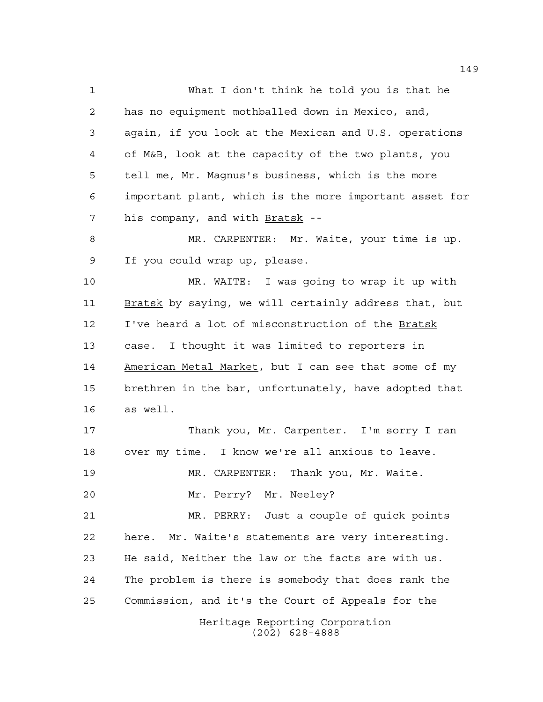What I don't think he told you is that he has no equipment mothballed down in Mexico, and, again, if you look at the Mexican and U.S. operations of M&B, look at the capacity of the two plants, you tell me, Mr. Magnus's business, which is the more important plant, which is the more important asset for 7 his company, and with Bratsk --

 MR. CARPENTER: Mr. Waite, your time is up. If you could wrap up, please.

 MR. WAITE: I was going to wrap it up with Bratsk by saying, we will certainly address that, but I've heard a lot of misconstruction of the Bratsk case. I thought it was limited to reporters in American Metal Market, but I can see that some of my brethren in the bar, unfortunately, have adopted that as well.

 Thank you, Mr. Carpenter. I'm sorry I ran over my time. I know we're all anxious to leave.

MR. CARPENTER: Thank you, Mr. Waite.

Mr. Perry? Mr. Neeley?

 MR. PERRY: Just a couple of quick points here. Mr. Waite's statements are very interesting. He said, Neither the law or the facts are with us. The problem is there is somebody that does rank the Commission, and it's the Court of Appeals for the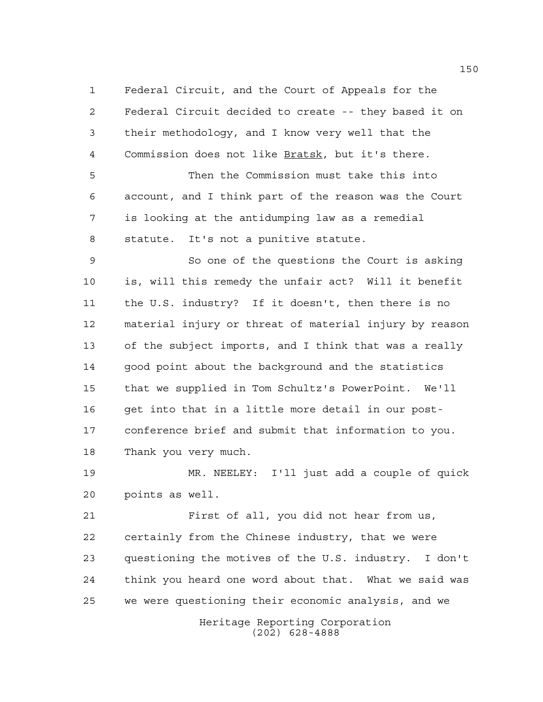Federal Circuit, and the Court of Appeals for the Federal Circuit decided to create -- they based it on their methodology, and I know very well that the Commission does not like Bratsk, but it's there.

 Then the Commission must take this into account, and I think part of the reason was the Court is looking at the antidumping law as a remedial statute. It's not a punitive statute.

 So one of the questions the Court is asking is, will this remedy the unfair act? Will it benefit the U.S. industry? If it doesn't, then there is no material injury or threat of material injury by reason of the subject imports, and I think that was a really good point about the background and the statistics that we supplied in Tom Schultz's PowerPoint. We'll get into that in a little more detail in our post- conference brief and submit that information to you. Thank you very much.

 MR. NEELEY: I'll just add a couple of quick points as well.

 First of all, you did not hear from us, certainly from the Chinese industry, that we were questioning the motives of the U.S. industry. I don't think you heard one word about that. What we said was we were questioning their economic analysis, and we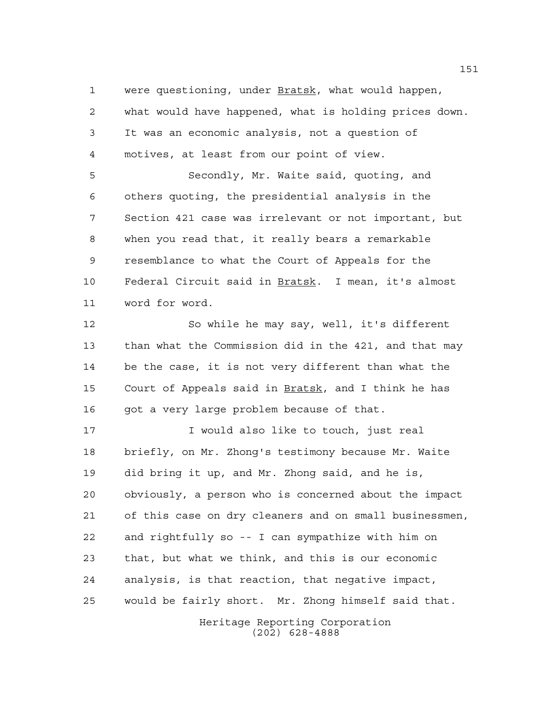were questioning, under Bratsk, what would happen, what would have happened, what is holding prices down. It was an economic analysis, not a question of motives, at least from our point of view.

 Secondly, Mr. Waite said, quoting, and others quoting, the presidential analysis in the Section 421 case was irrelevant or not important, but when you read that, it really bears a remarkable resemblance to what the Court of Appeals for the Federal Circuit said in Bratsk. I mean, it's almost word for word.

 So while he may say, well, it's different than what the Commission did in the 421, and that may be the case, it is not very different than what the Court of Appeals said in Bratsk, and I think he has 16 got a very large problem because of that.

 I would also like to touch, just real briefly, on Mr. Zhong's testimony because Mr. Waite did bring it up, and Mr. Zhong said, and he is, obviously, a person who is concerned about the impact of this case on dry cleaners and on small businessmen, and rightfully so -- I can sympathize with him on that, but what we think, and this is our economic analysis, is that reaction, that negative impact, would be fairly short. Mr. Zhong himself said that.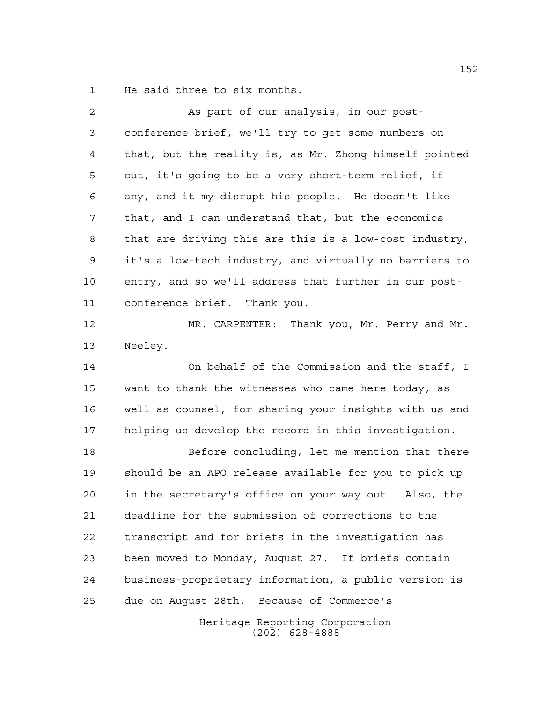He said three to six months.

| 2  | As part of our analysis, in our post-                  |
|----|--------------------------------------------------------|
| 3  | conference brief, we'll try to get some numbers on     |
| 4  | that, but the reality is, as Mr. Zhong himself pointed |
| 5  | out, it's going to be a very short-term relief, if     |
| 6  | any, and it my disrupt his people. He doesn't like     |
| 7  | that, and I can understand that, but the economics     |
| 8  | that are driving this are this is a low-cost industry, |
| 9  | it's a low-tech industry, and virtually no barriers to |
| 10 | entry, and so we'll address that further in our post-  |
| 11 | conference brief. Thank you.                           |
| 12 | MR. CARPENTER: Thank you, Mr. Perry and Mr.            |
| 13 | Neeley.                                                |
| 14 | On behalf of the Commission and the staff, I           |
| 15 | want to thank the witnesses who came here today, as    |
| 16 | well as counsel, for sharing your insights with us and |
| 17 | helping us develop the record in this investigation.   |
| 18 | Before concluding, let me mention that there           |
| 19 | should be an APO release available for you to pick up  |
| 20 | in the secretary's office on your way out. Also, the   |
| 21 | deadline for the submission of corrections to the      |
| 22 | transcript and for briefs in the investigation has     |
| 23 | been moved to Monday, August 27. If briefs contain     |
| 24 | business-proprietary information, a public version is  |
| 25 | due on Auqust 28th. Because of Commerce's              |
|    | Heritage Reporting Corporation<br>$(202)$ 628-4888     |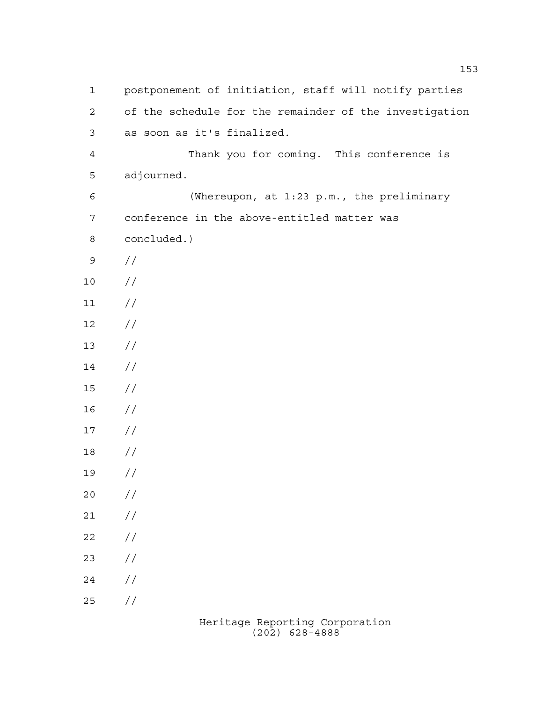| $\mathbf 1$    | postponement of initiation, staff will notify parties  |  |  |  |  |  |
|----------------|--------------------------------------------------------|--|--|--|--|--|
| $\overline{a}$ | of the schedule for the remainder of the investigation |  |  |  |  |  |
| 3              | as soon as it's finalized.                             |  |  |  |  |  |
| $\overline{4}$ | Thank you for coming. This conference is               |  |  |  |  |  |
| 5              | adjourned.                                             |  |  |  |  |  |
| 6              | (Whereupon, at 1:23 p.m., the preliminary              |  |  |  |  |  |
| $\overline{7}$ | conference in the above-entitled matter was            |  |  |  |  |  |
| $\,8\,$        | concluded.)                                            |  |  |  |  |  |
| 9              | $\frac{1}{2}$                                          |  |  |  |  |  |
| 10             | //                                                     |  |  |  |  |  |
| 11             | //                                                     |  |  |  |  |  |
| 12             | //                                                     |  |  |  |  |  |
| 13             | //                                                     |  |  |  |  |  |
| 14             | //                                                     |  |  |  |  |  |
| 15             | //                                                     |  |  |  |  |  |
| 16             | //                                                     |  |  |  |  |  |
| 17             | //                                                     |  |  |  |  |  |
| 18             | //                                                     |  |  |  |  |  |
| 19             | //                                                     |  |  |  |  |  |
| 20             | $\frac{\sqrt{2}}{2}$                                   |  |  |  |  |  |
| 21             | $\frac{\sqrt{2}}{2}$                                   |  |  |  |  |  |
| 22             | $\frac{\sqrt{2}}{2}$                                   |  |  |  |  |  |
| 23             | $\frac{1}{2}$                                          |  |  |  |  |  |
| 24             | $\frac{1}{2}$                                          |  |  |  |  |  |
| 25             | $\!/\!$                                                |  |  |  |  |  |
|                |                                                        |  |  |  |  |  |